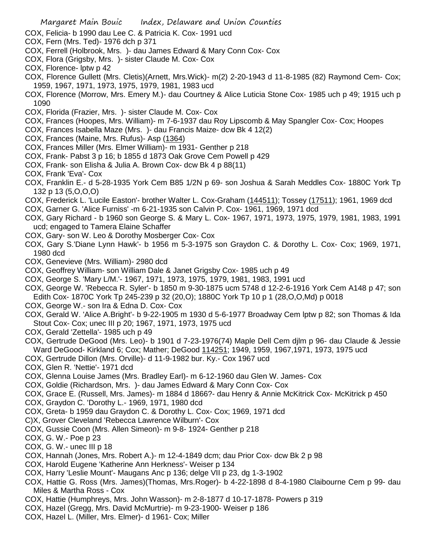- COX, Felicia- b 1990 dau Lee C. & Patricia K. Cox- 1991 ucd
- COX, Fern (Mrs. Ted)- 1976 dch p 371
- COX, Ferrell (Holbrook, Mrs. )- dau James Edward & Mary Conn Cox- Cox
- COX, Flora (Grigsby, Mrs. )- sister Claude M. Cox- Cox
- COX, Florence- lptw p 42
- COX, Florence Gullett (Mrs. Cletis)(Arnett, Mrs.Wick)- m(2) 2-20-1943 d 11-8-1985 (82) Raymond Cem- Cox; 1959, 1967, 1971, 1973, 1975, 1979, 1981, 1983 ucd
- COX, Florence (Morrow, Mrs. Emery M.)- dau Courtney & Alice Luticia Stone Cox- 1985 uch p 49; 1915 uch p 1090
- COX, Florida (Frazier, Mrs. )- sister Claude M. Cox- Cox
- COX, Frances (Hoopes, Mrs. William)- m 7-6-1937 dau Roy Lipscomb & May Spangler Cox- Cox; Hoopes
- COX, Frances Isabella Maze (Mrs. )- dau Francis Maize- dcw Bk 4 12(2)
- COX, Frances (Maine, Mrs. Rufus)- Asp (1364)
- COX, Frances Miller (Mrs. Elmer William)- m 1931- Genther p 218
- COX, Frank- Pabst 3 p 16; b 1855 d 1873 Oak Grove Cem Powell p 429
- COX, Frank- son Elisha & Julia A. Brown Cox- dcw Bk 4 p 88(11)
- COX, Frank 'Eva'- Cox
- COX, Franklin E.- d 5-28-1935 York Cem B85 1/2N p 69- son Joshua & Sarah Meddles Cox- 1880C York Tp 132 p 13 (5,O,O,O)
- COX, Frederick L. 'Lucile Easton'- brother Walter L. Cox-Graham (144511); Tossey (17511); 1961, 1969 dcd
- COX, Garner G. 'Alice Furniss' -m 6-21-1935 son Calvin P. Cox- 1961, 1969, 1971 dcd
- COX, Gary Richard b 1960 son George S. & Mary L. Cox- 1967, 1971, 1973, 1975, 1979, 1981, 1983, 1991 ucd; engaged to Tamera Elaine Schaffer
- COX, Gary- son W. Leo & Dorothy Mosberger Cox- Cox
- COX, Gary S.'Diane Lynn Hawk'- b 1956 m 5-3-1975 son Graydon C. & Dorothy L. Cox- Cox; 1969, 1971, 1980 dcd
- COX, Genevieve (Mrs. William)- 2980 dcd
- COX, Geoffrey William- son William Dale & Janet Grigsby Cox- 1985 uch p 49
- COX, George S. 'Mary L/M.'- 1967, 1971, 1973, 1975, 1979, 1981, 1983, 1991 ucd
- COX, George W. 'Rebecca R. Syler'- b 1850 m 9-30-1875 ucm 5748 d 12-2-6-1916 York Cem A148 p 47; son Edith Cox- 1870C York Tp 245-239 p 32 (20,O); 1880C York Tp 10 p 1 (28,O,O,Md) p 0018
- COX, George W.- son Ira & Edna D. Cox- Cox
- COX, Gerald W. 'Alice A.Bright'- b 9-22-1905 m 1930 d 5-6-1977 Broadway Cem lptw p 82; son Thomas & Ida Stout Cox- Cox; unec III p 20; 1967, 1971, 1973, 1975 ucd
- COX, Gerald 'Zettella'- 1985 uch p 49
- COX, Gertrude DeGood (Mrs. Leo)- b 1901 d 7-23-1976(74) Maple Dell Cem djlm p 96- dau Claude & Jessie Ward DeGood- Kirkland 6; Cox; Mather; DeGood 114251; 1949, 1959, 1967,1971, 1973, 1975 ucd
- COX, Gertrude Dillon (Mrs. Orville)- d 11-9-1982 bur. Ky.- Cox 1967 ucd
- COX, Glen R. 'Nettie'- 1971 dcd
- COX, Glenna Louise James (Mrs. Bradley Earl)- m 6-12-1960 dau Glen W. James- Cox
- COX, Goldie (Richardson, Mrs. )- dau James Edward & Mary Conn Cox- Cox
- COX, Grace E. (Russell, Mrs. James)- m 1884 d 1866?- dau Henry & Annie McKitrick Cox- McKitrick p 450
- COX, Graydon C. 'Dorothy L.- 1969, 1971, 1980 dcd
- COX, Greta- b 1959 dau Graydon C. & Dorothy L. Cox- Cox; 1969, 1971 dcd
- C)X, Grover Cleveland 'Rebecca Lawrence Wilburn'- Cox
- COX, Gussie Coon (Mrs. Allen Simeon)- m 9-8- 1924- Genther p 218
- COX, G. W.- Poe p 23
- COX, G. W.- unec III p 18
- COX, Hannah (Jones, Mrs. Robert A.)- m 12-4-1849 dcm; dau Prior Cox- dcw Bk 2 p 98
- COX, Harold Eugene 'Katherine Ann Herkness'- Weiser p 134
- COX, Harry 'Leslie Mount'- Maugans Anc p 136; delge VII p 23, dg 1-3-1902
- COX, Hattie G. Ross (Mrs. James)(Thomas, Mrs.Roger)- b 4-22-1898 d 8-4-1980 Claibourne Cem p 99- dau Miles & Martha Ross - Cox
- COX, Hattie (Humphreys, Mrs. John Wasson)- m 2-8-1877 d 10-17-1878- Powers p 319
- COX, Hazel (Gregg, Mrs. David McMurtrie)- m 9-23-1900- Weiser p 186
- COX, Hazel L. (Miller, Mrs. Elmer)- d 1961- Cox; Miller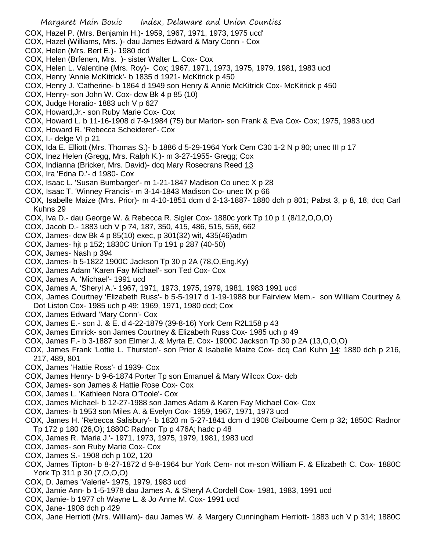- Margaret Main Bouic Index, Delaware and Union Counties COX, Hazel P. (Mrs. Benjamin H.)- 1959, 1967, 1971, 1973, 1975 ucd' COX, Hazel (Williams, Mrs. )- dau James Edward & Mary Conn - Cox COX, Helen (Mrs. Bert E.)- 1980 dcd COX, Helen (Brfenen, Mrs. )- sister Walter L. Cox- Cox COX, Helen L. Valentine (Mrs. Roy)- Cox; 1967, 1971, 1973, 1975, 1979, 1981, 1983 ucd COX, Henry 'Annie McKitrick'- b 1835 d 1921- McKitrick p 450 COX, Henry J. 'Catherine- b 1864 d 1949 son Henry & Annie McKitrick Cox- McKitrick p 450 COX, Henry- son John W. Cox- dcw Bk 4 p 85 (10) COX, Judge Horatio- 1883 uch V p 627 COX, Howard,Jr.- son Ruby Marie Cox- Cox COX, Howard L. b 11-16-1908 d 7-9-1984 (75) bur Marion- son Frank & Eva Cox- Cox; 1975, 1983 ucd COX, Howard R. 'Rebecca Scheiderer'- Cox COX, I.- delge VI p 21 COX, Ida E. Elliott (Mrs. Thomas S.)- b 1886 d 5-29-1964 York Cem C30 1-2 N p 80; unec III p 17 COX, Inez Helen (Gregg, Mrs. Ralph K.)- m 3-27-1955- Gregg; Cox COX, Indianna (Bricker, Mrs. David)- dcq Mary Rosecrans Reed 13 COX, Ira 'Edna D.'- d 1980- Cox COX, Isaac L. 'Susan Bumbarger'- m 1-21-1847 Madison Co unec X p 28 COX, Isaac T. 'Winney Francis'- m 3-14-1843 Madison Co- unec IX p 66 COX, Isabelle Maize (Mrs. Prior)- m 4-10-1851 dcm d 2-13-1887- 1880 dch p 801; Pabst 3, p 8, 18; dcq Carl Kuhns 29 COX, Iva D.- dau George W. & Rebecca R. Sigler Cox- 1880c york Tp 10 p 1 (8/12,O,O,O) COX, Jacob D.- 1883 uch V p 74, 187, 350, 415, 486, 515, 558, 662 COX, James- dcw Bk 4 p 85(10) exec, p 301(32) wit, 435(46)adm COX, James- hjt p 152; 1830C Union Tp 191 p 287 (40-50) COX, James- Nash p 394 COX, James- b 5-1822 1900C Jackson Tp 30 p 2A (78,O,Eng,Ky) COX, James Adam 'Karen Fay Michael'- son Ted Cox- Cox COX, James A. 'Michael'- 1991 ucd COX, James A. 'Sheryl A.'- 1967, 1971, 1973, 1975, 1979, 1981, 1983 1991 ucd
- COX, James Courtney 'Elizabeth Russ'- b 5-5-1917 d 1-19-1988 bur Fairview Mem.- son William Courtney & Dot Liston Cox- 1985 uch p 49; 1969, 1971, 1980 dcd; Cox
- COX, James Edward 'Mary Conn'- Cox
- COX, James E.- son J. & E. d 4-22-1879 (39-8-16) York Cem R2L158 p 43
- COX, James Emrick- son James Courtney & Elizabeth Russ Cox- 1985 uch p 49
- COX, James F.- b 3-1887 son Elmer J. & Myrta E. Cox- 1900C Jackson Tp 30 p 2A (13,O,O,O)
- COX, James Frank 'Lottie L. Thurston'- son Prior & Isabelle Maize Cox- dcq Carl Kuhn 14; 1880 dch p 216, 217, 489, 801
- COX, James 'Hattie Ross'- d 1939- Cox
- COX, James Henry- b 9-6-1874 Porter Tp son Emanuel & Mary Wilcox Cox- dcb
- COX, James- son James & Hattie Rose Cox- Cox
- COX, James L. 'Kathleen Nora O'Toole'- Cox
- COX, James Michael- b 12-27-1988 son James Adam & Karen Fay Michael Cox- Cox
- COX, James- b 1953 son Miles A. & Evelyn Cox- 1959, 1967, 1971, 1973 ucd
- COX, James H. 'Rebecca Salisbury'- b 1820 m 5-27-1841 dcm d 1908 Claibourne Cem p 32; 1850C Radnor Tp 172 p 180 (26,O); 1880C Radnor Tp p 476A; hadc p 48
- COX, James R. 'Maria J.'- 1971, 1973, 1975, 1979, 1981, 1983 ucd
- COX, James- son Ruby Marie Cox- Cox
- COX, James S.- 1908 dch p 102, 120
- COX, James Tipton- b 8-27-1872 d 9-8-1964 bur York Cem- not m-son William F. & Elizabeth C. Cox- 1880C York Tp 311 p 30 (7,O,O,O)
- COX, D. James 'Valerie'- 1975, 1979, 1983 ucd
- COX, Jamie Ann- b 1-5-1978 dau James A. & Sheryl A.Cordell Cox- 1981, 1983, 1991 ucd
- COX, Jamie- b 1977 ch Wayne L. & Jo Anne M. Cox- 1991 ucd
- COX, Jane- 1908 dch p 429
- COX, Jane Herriott (Mrs. William)- dau James W. & Margery Cunningham Herriott- 1883 uch V p 314; 1880C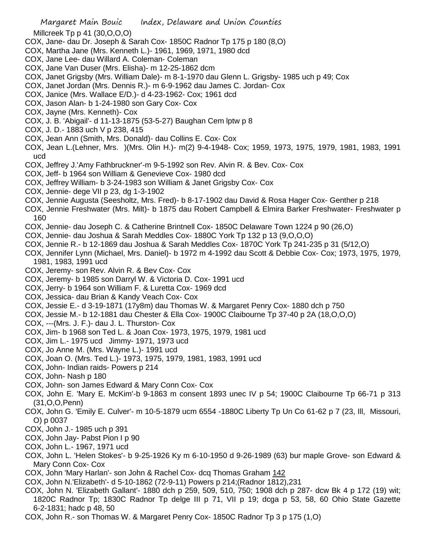- Millcreek Tp p 41 (30,O,O,O)
- COX, Jane- dau Dr. Joseph & Sarah Cox- 1850C Radnor Tp 175 p 180 (8,O)
- COX, Martha Jane (Mrs. Kenneth L.)- 1961, 1969, 1971, 1980 dcd
- COX, Jane Lee- dau Willard A. Coleman- Coleman
- COX, Jane Van Duser (Mrs. Elisha)- m 12-25-1862 dcm
- COX, Janet Grigsby (Mrs. William Dale)- m 8-1-1970 dau Glenn L. Grigsby- 1985 uch p 49; Cox
- COX, Janet Jordan (Mrs. Dennis R.)- m 6-9-1962 dau James C. Jordan- Cox
- COX, Janice (Mrs. Wallace E/D.)- d 4-23-1962- Cox; 1961 dcd
- COX, Jason Alan- b 1-24-1980 son Gary Cox- Cox
- COX, Jayne (Mrs. Kenneth)- Cox
- COX, J. B. 'Abigail'- d 11-13-1875 (53-5-27) Baughan Cem lptw p 8
- COX, J. D.- 1883 uch V p 238, 415
- COX, Jean Ann (Smith, Mrs. Donald)- dau Collins E. Cox- Cox
- COX, Jean L.(Lehner, Mrs. )(Mrs. Olin H.)- m(2) 9-4-1948- Cox; 1959, 1973, 1975, 1979, 1981, 1983, 1991 ucd
- COX, Jeffrey J.'Amy Fathbruckner'-m 9-5-1992 son Rev. Alvin R. & Bev. Cox- Cox
- COX, Jeff- b 1964 son William & Genevieve Cox- 1980 dcd
- COX, Jeffrey William- b 3-24-1983 son William & Janet Grigsby Cox- Cox
- COX, Jennie- dege VII p 23, dg 1-3-1902
- COX, Jennie Augusta (Seesholtz, Mrs. Fred)- b 8-17-1902 dau David & Rosa Hager Cox- Genther p 218
- COX, Jennie Freshwater (Mrs. Milt)- b 1875 dau Robert Campbell & Elmira Barker Freshwater- Freshwater p 160
- COX, Jennie- dau Joseph C. & Catherine Brintnell Cox- 1850C Delaware Town 1224 p 90 (26,O)
- COX, Jennie- dau Joshua & Sarah Meddles Cox- 1880C York Tp 132 p 13 (9,O,O,O)
- COX, Jennie R.- b 12-1869 dau Joshua & Sarah Meddles Cox- 1870C York Tp 241-235 p 31 (5/12,O)
- COX, Jennifer Lynn (Michael, Mrs. Daniel)- b 1972 m 4-1992 dau Scott & Debbie Cox- Cox; 1973, 1975, 1979, 1981, 1983, 1991 ucd
- COX, Jeremy- son Rev. Alvin R. & Bev Cox- Cox
- COX, Jeremy- b 1985 son Darryl W. & Victoria D. Cox- 1991 ucd
- COX, Jerry- b 1964 son William F. & Luretta Cox- 1969 dcd
- COX, Jessica- dau Brian & Kandy Veach Cox- Cox
- COX, Jessie E.- d 3-19-1871 (17y8m) dau Thomas W. & Margaret Penry Cox- 1880 dch p 750
- COX, Jessie M.- b 12-1881 dau Chester & Ella Cox- 1900C Claibourne Tp 37-40 p 2A (18,O,O,O)
- COX, ---(Mrs. J. F.)- dau J. L. Thurston- Cox
- COX, Jim- b 1968 son Ted L. & Joan Cox- 1973, 1975, 1979, 1981 ucd
- COX, Jim L.- 1975 ucd Jimmy- 1971, 1973 ucd
- COX, Jo Anne M. (Mrs. Wayne L.)- 1991 ucd
- COX, Joan O. (Mrs. Ted L.)- 1973, 1975, 1979, 1981, 1983, 1991 ucd
- COX, John- Indian raids- Powers p 214
- COX, John- Nash p 180
- COX, John- son James Edward & Mary Conn Cox- Cox
- COX, John E. 'Mary E. McKim'-b 9-1863 m consent 1893 unec IV p 54; 1900C Claibourne Tp 66-71 p 313 (31,O,O,Penn)
- COX, John G. 'Emily E. Culver'- m 10-5-1879 ucm 6554 -1880C Liberty Tp Un Co 61-62 p 7 (23, Ill, Missouri, O) p 0037
- COX, John J.- 1985 uch p 391
- COX, John Jay- Pabst Pion I p 90
- COX, John L.- 1967, 1971 ucd
- COX, John L. 'Helen Stokes'- b 9-25-1926 Ky m 6-10-1950 d 9-26-1989 (63) bur maple Grove- son Edward & Mary Conn Cox- Cox
- COX, John 'Mary Harlan'- son John & Rachel Cox- dcq Thomas Graham 142
- COX, John N.'Elizabeth'- d 5-10-1862 (72-9-11) Powers p 214;(Radnor 1812),231
- COX, John N. 'Elizabeth Gallant'- 1880 dch p 259, 509, 510, 750; 1908 dch p 287- dcw Bk 4 p 172 (19) wit; 1820C Radnor Tp; 1830C Radnor Tp delge III p 71, VII p 19; dcga p 53, 58, 60 Ohio State Gazette 6-2-1831; hadc p 48, 50
- COX, John R.- son Thomas W. & Margaret Penry Cox- 1850C Radnor Tp 3 p 175 (1,O)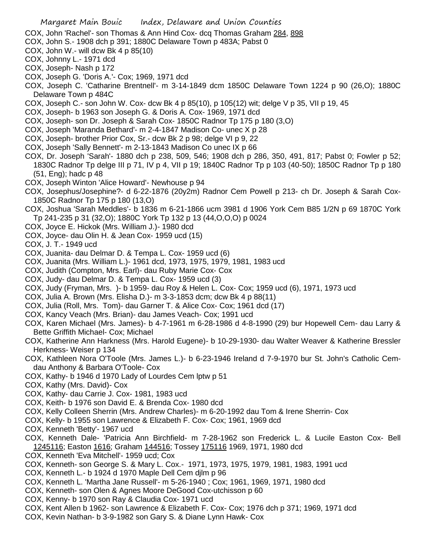- COX, John 'Rachel'- son Thomas & Ann Hind Cox- dcq Thomas Graham 284, 898
- COX, John S.- 1908 dch p 391; 1880C Delaware Town p 483A; Pabst 0
- COX, John W.- will dcw Bk 4 p 85(10)
- COX, Johnny L.- 1971 dcd
- COX, Joseph- Nash p 172
- COX, Joseph G. 'Doris A.'- Cox; 1969, 1971 dcd
- COX, Joseph C. 'Catharine Brentnell'- m 3-14-1849 dcm 1850C Delaware Town 1224 p 90 (26,O); 1880C Delaware Town p 484C
- COX, Joseph C.- son John W. Cox- dcw Bk 4 p 85(10), p 105(12) wit; delge V p 35, VII p 19, 45
- COX, Joseph- b 1963 son Joseph G. & Doris A. Cox- 1969, 1971 dcd
- COX, Joseph- son Dr. Joseph & Sarah Cox- 1850C Radnor Tp 175 p 180 (3,O)
- COX, Joseph 'Maranda Bethard'- m 2-4-1847 Madison Co- unec X p 28
- COX, Joseph- brother Prior Cox, Sr.- dcw Bk 2 p 98; delge VI p 9, 22
- COX, Joseph 'Sally Bennett'- m 2-13-1843 Madison Co unec IX p 66
- COX, Dr. Joseph 'Sarah'- 1880 dch p 238, 509, 546; 1908 dch p 286, 350, 491, 817; Pabst 0; Fowler p 52; 1830C Radnor Tp delge III p 71, IV p 4, VII p 19; 1840C Radnor Tp p 103 (40-50); 1850C Radnor Tp p 180 (51, Eng); hadc p 48
- COX, Joseph Winton 'Alice Howard'- Newhouse p 94
- COX, Josephus/Josephine?- d 6-22-1876 (20y2m) Radnor Cem Powell p 213- ch Dr. Joseph & Sarah Cox-1850C Radnor Tp 175 p 180 (13,O)
- COX, Joshua 'Sarah Meddles'- b 1836 m 6-21-1866 ucm 3981 d 1906 York Cem B85 1/2N p 69 1870C York Tp 241-235 p 31 (32,O); 1880C York Tp 132 p 13 (44,O,O,O) p 0024
- COX, Joyce E. Hickok (Mrs. William J.)- 1980 dcd
- COX, Joyce- dau Olin H. & Jean Cox- 1959 ucd (15)
- COX, J. T.- 1949 ucd
- COX, Juanita- dau Delmar D. & Tempa L. Cox- 1959 ucd (6)
- COX, Juanita (Mrs. William L.)- 1961 dcd, 1973, 1975, 1979, 1981, 1983 ucd
- COX, Judith (Compton, Mrs. Earl)- dau Ruby Marie Cox- Cox
- COX, Judy- dau Delmar D. & Tempa L. Cox- 1959 ucd (3)
- COX, Judy (Fryman, Mrs. )- b 1959- dau Roy & Helen L. Cox- Cox; 1959 ucd (6), 1971, 1973 ucd
- COX, Julia A. Brown (Mrs. Elisha D.)- m 3-3-1853 dcm; dcw Bk 4 p 88(11)
- COX, Julia (Roll, Mrs. Tom)- dau Garner T. & Alice Cox- Cox; 1961 dcd (17)
- COX, Kancy Veach (Mrs. Brian)- dau James Veach- Cox; 1991 ucd
- COX, Karen Michael (Mrs. James)- b 4-7-1961 m 6-28-1986 d 4-8-1990 (29) bur Hopewell Cem- dau Larry & Bette Griffith Michael- Cox; Michael
- COX, Katherine Ann Harkness (Mrs. Harold Eugene)- b 10-29-1930- dau Walter Weaver & Katherine Bressler Herkness- Weiser p 134
- COX, Kathleen Nora O'Toole (Mrs. James L.)- b 6-23-1946 Ireland d 7-9-1970 bur St. John's Catholic Cemdau Anthony & Barbara O'Toole- Cox
- COX, Kathy- b 1946 d 1970 Lady of Lourdes Cem lptw p 51
- COX, Kathy (Mrs. David)- Cox
- COX, Kathy- dau Carrie J. Cox- 1981, 1983 ucd
- COX, Keith- b 1976 son David E. & Brenda Cox- 1980 dcd
- COX, Kelly Colleen Sherrin (Mrs. Andrew Charles)- m 6-20-1992 dau Tom & Irene Sherrin- Cox
- COX, Kelly- b 1955 son Lawrence & Elizabeth F. Cox- Cox; 1961, 1969 dcd
- COX, Kenneth 'Betty'- 1967 ucd
- COX, Kenneth Dale- 'Patricia Ann Birchfield- m 7-28-1962 son Frederick L. & Lucile Easton Cox- Bell 1245116; Easton 1616; Graham 144516; Tossey 175116 1969, 1971, 1980 dcd
- COX, Kenneth 'Eva Mitchell'- 1959 ucd; Cox
- COX, Kenneth- son George S. & Mary L. Cox.- 1971, 1973, 1975, 1979, 1981, 1983, 1991 ucd
- COX, Kenneth L.- b 1924 d 1970 Maple Dell Cem djlm p 96
- COX, Kenneth L. 'Martha Jane Russell'- m 5-26-1940 ; Cox; 1961, 1969, 1971, 1980 dcd
- COX, Kenneth- son Olen & Agnes Moore DeGood Cox-utchisson p 60
- COX, Kenny- b 1970 son Ray & Claudia Cox- 1971 ucd
- COX, Kent Allen b 1962- son Lawrence & Elizabeth F. Cox- Cox; 1976 dch p 371; 1969, 1971 dcd
- COX, Kevin Nathan- b 3-9-1982 son Gary S. & Diane Lynn Hawk- Cox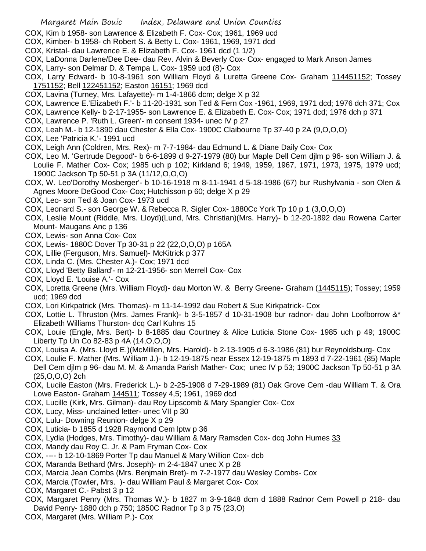- COX, Kim b 1958- son Lawrence & Elizabeth F. Cox- Cox; 1961, 1969 ucd
- COX, Kimber- b 1958- ch Robert S. & Betty L. Cox- 1961, 1969, 1971 dcd
- COX, Kristal- dau Lawrence E. & Elizabeth F. Cox- 1961 dcd (1 1/2)
- COX, LaDonna Darlene/Dee Dee- dau Rev. Alvin & Beverly Cox- Cox- engaged to Mark Anson James
- COX, Larry- son Delmar D. & Tempa L. Cox- 1959 ucd (8)- Cox
- COX, Larry Edward- b 10-8-1961 son William Floyd & Luretta Greene Cox- Graham 114451152; Tossey 1751152; Bell 122451152; Easton 16151; 1969 dcd
- COX, Lavina (Turney, Mrs. Lafayette)- m 1-4-1866 dcm; delge X p 32
- COX, Lawrence E.'Elizabeth F.'- b 11-20-1931 son Ted & Fern Cox -1961, 1969, 1971 dcd; 1976 dch 371; Cox
- COX, Lawrence Kelly- b 2-17-1955- son Lawrence E. & Elizabeth E. Cox- Cox; 1971 dcd; 1976 dch p 371
- COX, Lawrence P. 'Ruth L. Green'- m consent 1934- unec IV p 27
- COX, Leah M.- b 12-1890 dau Chester & Ella Cox- 1900C Claibourne Tp 37-40 p 2A (9,O,O,O)
- COX, Lee 'Patricia K.'- 1991 ucd
- COX, Leigh Ann (Coldren, Mrs. Rex)- m 7-7-1984- dau Edmund L. & Diane Daily Cox- Cox
- COX, Leo M. 'Gertrude Degood'- b 6-6-1899 d 9-27-1979 (80) bur Maple Dell Cem djlm p 96- son William J. & Loulie F. Mather Cox- Cox; 1985 uch p 102; Kirkland 6; 1949, 1959, 1967, 1971, 1973, 1975, 1979 ucd; 1900C Jackson Tp 50-51 p 3A (11/12,O,O,O)
- COX, W. Leo'Dorothy Mosberger'- b 10-16-1918 m 8-11-1941 d 5-18-1986 (67) bur Rushylvania son Olen & Agnes Moore DeGood Cox- Cox; Hutchisson p 60; delge X p 29
- COX, Leo- son Ted & Joan Cox- 1973 ucd
- COX, Leonard S.- son George W. & Rebecca R. Sigler Cox- 1880Cc York Tp 10 p 1 (3,O,O,O)
- COX, Leslie Mount (Riddle, Mrs. Lloyd)(Lund, Mrs. Christian)(Mrs. Harry)- b 12-20-1892 dau Rowena Carter Mount- Maugans Anc p 136
- COX, Lewis- son Anna Cox- Cox
- COX, Lewis- 1880C Dover Tp 30-31 p 22 (22,O,O,O) p 165A
- COX, Lillie (Ferguson, Mrs. Samuel)- McKitrick p 377
- COX, Linda C. (Mrs. Chester A.)- Cox; 1971 dcd
- COX, Lloyd 'Betty Ballard'- m 12-21-1956- son Merrell Cox- Cox
- COX, Lloyd E. 'Louise A.'- Cox
- COX, Loretta Greene (Mrs. William Floyd)- dau Morton W. & Berry Greene- Graham (1445115); Tossey; 1959 ucd; 1969 dcd
- COX, Lori Kirkpatrick (Mrs. Thomas)- m 11-14-1992 dau Robert & Sue Kirkpatrick- Cox
- COX, Lottie L. Thruston (Mrs. James Frank)- b 3-5-1857 d 10-31-1908 bur radnor- dau John Loofborrow &\* Elizabeth Williams Thurston- dcq Carl Kuhns 15
- COX, Louie (Engle, Mrs. Bert)- b 8-1885 dau Courtney & Alice Luticia Stone Cox- 1985 uch p 49; 1900C Liberty Tp Un Co 82-83 p 4A (14,O,O,O)
- COX, Louisa A. (Mrs. Lloyd E.)(McMillen, Mrs. Harold)- b 2-13-1905 d 6-3-1986 (81) bur Reynoldsburg- Cox
- COX, Loulie F. Mather (Mrs. William J.)- b 12-19-1875 near Essex 12-19-1875 m 1893 d 7-22-1961 (85) Maple Dell Cem djlm p 96- dau M. M. & Amanda Parish Mather- Cox; unec IV p 53; 1900C Jackson Tp 50-51 p 3A (25,O,O,O) 2ch
- COX, Lucile Easton (Mrs. Frederick L.)- b 2-25-1908 d 7-29-1989 (81) Oak Grove Cem -dau William T. & Ora Lowe Easton- Graham 144511; Tossey 4,5; 1961, 1969 dcd
- COX, Lucille (Kirk, Mrs. Gilman)- dau Roy Lipscomb & Mary Spangler Cox- Cox
- COX, Lucy, Miss- unclained letter- unec VII p 30
- COX, Lulu- Downing Reunion- delge X p 29
- COX, Luticia- b 1855 d 1928 Raymond Cem lptw p 36
- COX, Lydia (Hodges, Mrs. Timothy)- dau William & Mary Ramsden Cox- dcq John Humes 33
- COX, Mandy dau Roy C. Jr. & Pam Fryman Cox- Cox
- COX, ---- b 12-10-1869 Porter Tp dau Manuel & Mary Willion Cox- dcb
- COX, Maranda Bethard (Mrs. Joseph)- m 2-4-1847 unec X p 28
- COX, Marcia Jean Combs (Mrs. Benjmain Bret)- m 7-2-1977 dau Wesley Combs- Cox
- COX, Marcia (Towler, Mrs. )- dau William Paul & Margaret Cox- Cox
- COX, Margaret C.- Pabst 3 p 12
- COX, Margaret Penry (Mrs. Thomas W.)- b 1827 m 3-9-1848 dcm d 1888 Radnor Cem Powell p 218- dau David Penry- 1880 dch p 750; 1850C Radnor Tp 3 p 75 (23,O)
- COX, Margaret (Mrs. William P.)- Cox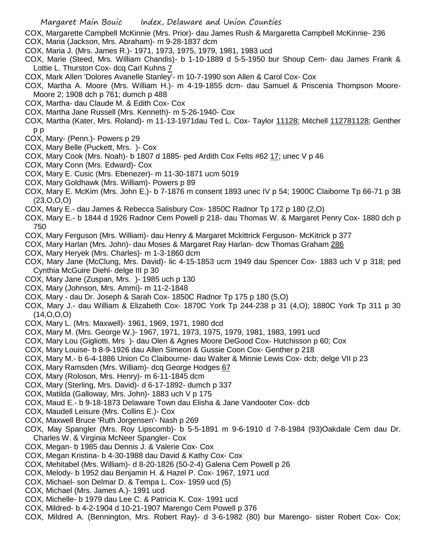- COX, Margarette Campbell McKinnie (Mrs. Prior)- dau James Rush & Margaretta Campbell McKinnie- 236 COX, Maria (Jackson, Mrs. Abraham)- m 9-28-1837 dcm
- COX, Maria J. (Mrs. James R.)- 1971, 1973, 1975, 1979, 1981, 1983 ucd
- COX, Marie (Steed, Mrs. William Chandis)- b 1-10-1889 d 5-5-1950 bur Shoup Cem- dau James Frank & Lottie L. Thurston Cox- dcq Carl Kuhns 7
- COX, Mark Allen 'Dolores Avanelle Stanley'- m 10-7-1990 son Allen & Carol Cox- Cox
- COX, Martha A. Moore (Mrs. William H.)- m 4-19-1855 dcm- dau Samuel & Priscenia Thompson Moore-Moore 2; 1908 dch p 761; dumch p 488
- COX, Martha- dau Claude M. & Edith Cox- Cox
- COX, Martha Jane Russell (Mrs. Kenneth)- m 5-26-1940- Cox
- COX, Martha (Kater, Mrs. Roland)- m 11-13-1971dau Ted L. Cox- Taylor 11128; Mitchell 112781128; Genther p p
- COX, Mary- (Penn.)- Powers p 29
- COX, Mary Belle (Puckett, Mrs. )- Cox
- COX, Mary Cook (Mrs. Noah)- b 1807 d 1885- ped Ardith Cox Felts #62 17; unec V p 46
- COX, Mary Conn (Mrs. Edward)- Cox
- COX, Mary E. Cusic (Mrs. Ebenezer)- m 11-30-1871 ucm 5019
- COX, Mary Goldhawk (Mrs. William)- Powers p 89
- COX, Mary E. McKim (Mrs. John E.)- b 7-1876 m consent 1893 unec IV p 54; 1900C Claiborne Tp 66-71 p 3B (23,O,O,O)
- COX, Mary E.- dau James & Rebecca Salisbury Cox- 1850C Radnor Tp 172 p 180 (2,O)
- COX, Mary E.- b 1844 d 1926 Radnor Cem Powell p 218- dau Thomas W. & Margaret Penry Cox- 1880 dch p 750
- COX, Mary Ferguson (Mrs. William)- dau Henry & Margaret Mckittrick Ferguson- McKitrick p 377
- COX, Mary Harlan (Mrs. John)- dau Moses & Margaret Ray Harlan- dcw Thomas Graham 286
- COX, Mary Heryek (Mrs. Charles)- m 1-3-1860 dcm
- COX, Mary Jane (McClung, Mrs. David)- lic 4-15-1853 ucm 1949 dau Spencer Cox- 1883 uch V p 318; ped Cynthia McGuire Diehl- delge III p 30
- COX, Mary Jane (Zuspan, Mrs. )- 1985 uch p 130
- COX, Mary (Johnson, Mrs. Ammi)- m 11-2-1848
- COX, Mary dau Dr. Joseph & Sarah Cox- 1850C Radnor Tp 175 p 180 (5,O)
- COX, Mary J.- dau William & Elizabeth Cox- 1870C York Tp 244-238 p 31 (4,O); 1880C York Tp 311 p 30  $(14, 0, 0, 0)$
- COX, Mary L. (Mrs. Maxwell)- 1961, 1969, 1971, 1980 dcd
- COX, Mary M. (Mrs. George W.)- 1967, 1971, 1973, 1975, 1979, 1981, 1983, 1991 ucd
- COX, Mary Lou (Gigliotti, Mrs )- dau Olen & Agnes Moore DeGood Cox- Hutchisson p 60; Cox
- COX, Mary Louise- b 8-9-1926 dau Allen Simeon & Gussie Coon Cox- Genther p 218
- COX, Mary M.- b 6-4-1886 Union Co Claibourne- dau Walter & Minnie Lewis Cox- dcb; delge VII p 23
- COX, Mary Ramsden (Mrs. William)- dcq George Hodges 67
- COX, Mary (Roloson, Mrs. Henry)- m 6-11-1845 dcm
- COX, Mary (Sterling, Mrs. David)- d 6-17-1892- dumch p 337
- COX, Matilda (Galloway, Mrs. John)- 1883 uch V p 175
- COX, Maud E.- b 9-18-1873 Delaware Town dau Elisha & Jane Vandooter Cox- dcb
- COX, Maudell Leisure (Mrs. Collins E.)- Cox
- COX, Maxwell Bruce 'Ruth Jorgensen'- Nash p 269
- COX, May Spangler (Mrs. Roy Lipscomb)- b 5-5-1891 m 9-6-1910 d 7-8-1984 (93)Oakdale Cem dau Dr. Charles W. & Virginia McNeer Spangler- Cox
- COX, Megan- b 1985 dau Dennis J. & Valerie Cox- Cox
- COX, Megan Kristina- b 4-30-1988 dau David & Kathy Cox- Cox
- COX, Mehitabel (Mrs. William)- d 8-20-1826 (50-2-4) Galena Cem Powell p 26
- COX, Melody- b 1952 dau Benjamin H. & Hazel P. Cox- 1967, 1971 ucd
- COX, Michael- son Delmar D. & Tempa L. Cox- 1959 ucd (5)
- COX, Michael (Mrs. James A.)- 1991 ucd
- COX, Michelle- b 1979 dau Lee C. & Patricia K. Cox- 1991 ucd
- COX, Mildred- b 4-2-1904 d 10-21-1907 Marengo Cem Powell p 376
- COX, Mildred A. (Bennington, Mrs. Robert Ray)- d 3-6-1982 (80) bur Marengo- sister Robert Cox- Cox;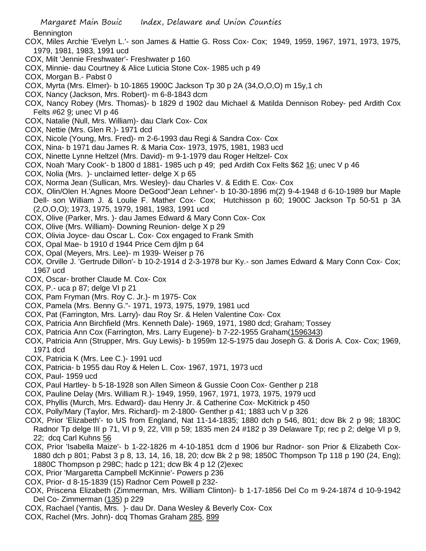**Bennington** 

- COX, Miles Archie 'Evelyn L.'- son James & Hattie G. Ross Cox- Cox; 1949, 1959, 1967, 1971, 1973, 1975, 1979, 1981, 1983, 1991 ucd
- COX, Milt 'Jennie Freshwater'- Freshwater p 160
- COX, Minnie- dau Courtney & Alice Luticia Stone Cox- 1985 uch p 49
- COX, Morgan B.- Pabst 0
- COX, Myrta (Mrs. Elmer)- b 10-1865 1900C Jackson Tp 30 p 2A (34,O,O,O) m 15y,1 ch
- COX, Nancy (Jackson, Mrs. Robert)- m 6-8-1843 dcm
- COX, Nancy Robey (Mrs. Thomas)- b 1829 d 1902 dau Michael & Matilda Dennison Robey- ped Ardith Cox Felts #62 9; unec VI p 46
- COX, Natalie (Null, Mrs. William)- dau Clark Cox- Cox
- COX, Nettie (Mrs. Glen R.)- 1971 dcd
- COX, Nicole (Young, Mrs. Fred)- m 2-6-1993 dau Regi & Sandra Cox- Cox
- COX, Nina- b 1971 dau James R. & Maria Cox- 1973, 1975, 1981, 1983 ucd
- COX, Ninette Lynne Heltzel (Mrs. David)- m 9-1-1979 dau Roger Heltzel- Cox
- COX, Noah 'Mary Cook'- b 1800 d 1881- 1985 uch p 49; ped Ardith Cox Felts \$62 16; unec V p 46
- COX, Nolia (Mrs. )- unclaimed letter- delge X p 65
- COX, Norma Jean (Sullican, Mrs. Wesley)- dau Charles V. & Edith E. Cox- Cox
- COX, Olin/Olen H.'Agnes Moore DeGood''Jean Lehner'- b 10-30-1896 m(2) 9-4-1948 d 6-10-1989 bur Maple Dell- son William J. & Loulie F. Mather Cox- Cox; Hutchisson p 60; 1900C Jackson Tp 50-51 p 3A (2,O,O,O); 1973, 1975, 1979, 1981, 1983, 1991 ucd
- COX, Olive (Parker, Mrs. )- dau James Edward & Mary Conn Cox- Cox
- COX, Olive (Mrs. William)- Downing Reunion- delge X p 29
- COX, Olivia Joyce- dau Oscar L. Cox- Cox engaged to Frank Smith
- COX, Opal Mae- b 1910 d 1944 Price Cem djlm p 64
- COX, Opal (Meyers, Mrs. Lee)- m 1939- Weiser p 76
- COX, Orville J. 'Gertrude Dillon'- b 10-2-1914 d 2-3-1978 bur Ky.- son James Edward & Mary Conn Cox- Cox; 1967 ucd
- COX, Oscar- brother Claude M. Cox- Cox
- COX, P.- uca p 87; delge VI p 21
- COX, Pam Fryman (Mrs. Roy C. Jr.)- m 1975- Cox
- COX, Pamela (Mrs. Benny G."- 1971, 1973, 1975, 1979, 1981 ucd
- COX, Pat (Farrington, Mrs. Larry)- dau Roy Sr. & Helen Valentine Cox- Cox
- COX, Patricia Ann Birchfield (Mrs. Kenneth Dale)- 1969, 1971, 1980 dcd; Graham; Tossey
- COX, Patricia Ann Cox (Farrington, Mrs. Larry Eugene)- b 7-22-1955 Graham(1596343)
- COX, Patricia Ann (Strupper, Mrs. Guy Lewis)- b 1959m 12-5-1975 dau Joseph G. & Doris A. Cox- Cox; 1969, 1971 dcd
- COX, Patricia K (Mrs. Lee C.)- 1991 ucd
- COX, Patricia- b 1955 dau Roy & Helen L. Cox- 1967, 1971, 1973 ucd
- COX, Paul- 1959 ucd
- COX, Paul Hartley- b 5-18-1928 son Allen Simeon & Gussie Coon Cox- Genther p 218
- COX, Pauline Delay (Mrs. William R.)- 1949, 1959, 1967, 1971, 1973, 1975, 1979 ucd
- COX, Phyllis (Murch, Mrs. Edward)- dau Henry Jr. & Catherine Cox- McKitrick p 450
- COX, Polly/Mary (Taylor, Mrs. Richard)- m 2-1800- Genther p 41; 1883 uch V p 326
- COX, Prior 'Elizabeth'- to US from England, Nat 11-14-1835; 1880 dch p 546, 801; dcw Bk 2 p 98; 1830C Radnor Tp delge III p 71, VI p 9, 22, VIII p 59; 1835 men 24 #182 p 39 Delaware Tp; rec p 2; delge VI p 9, 22; dcq Carl Kuhns 56
- COX, Prior 'Isabella Maize'- b 1-22-1826 m 4-10-1851 dcm d 1906 bur Radnor- son Prior & Elizabeth Cox-1880 dch p 801; Pabst 3 p 8, 13, 14, 16, 18, 20; dcw Bk 2 p 98; 1850C Thompson Tp 118 p 190 (24, Eng); 1880C Thompson p 298C; hadc p 121; dcw Bk 4 p 12 (2)exec
- COX, Prior 'Margaretta Campbell McKinnie'- Powers p 236
- COX, Prior- d 8-15-1839 (15) Radnor Cem Powell p 232-
- COX, Priscena Elizabeth (Zimmerman, Mrs. William Clinton)- b 1-17-1856 Del Co m 9-24-1874 d 10-9-1942 Del Co- Zimmerman (135) p 229
- COX, Rachael (Yantis, Mrs. )- dau Dr. Dana Wesley & Beverly Cox- Cox
- COX, Rachel (Mrs. John)- dcq Thomas Graham 285, 899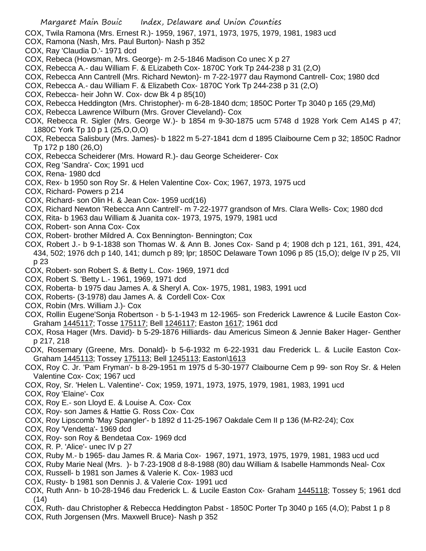COX, Twila Ramona (Mrs. Ernest R.)- 1959, 1967, 1971, 1973, 1975, 1979, 1981, 1983 ucd

- COX, Ramona (Nash, Mrs. Paul Burton)- Nash p 352
- COX, Ray 'Claudia D.'- 1971 dcd
- COX, Rebeca (Howsman, Mrs. George)- m 2-5-1846 Madison Co unec X p 27
- COX, Rebecca A.- dau William F. & ELizabeth Cox- 1870C York Tp 244-238 p 31 (2,O)
- COX, Rebecca Ann Cantrell (Mrs. Richard Newton)- m 7-22-1977 dau Raymond Cantrell- Cox; 1980 dcd
- COX, Rebecca A.- dau William F. & Elizabeth Cox- 1870C York Tp 244-238 p 31 (2,O)
- COX, Rebecca- heir John W. Cox- dcw Bk 4 p 85(10)
- COX, Rebecca Heddington (Mrs. Christopher)- m 6-28-1840 dcm; 1850C Porter Tp 3040 p 165 (29,Md)
- COX, Rebecca Lawrence Wilburn (Mrs. Grover Cleveland)- Cox
- COX, Rebecca R. Sigler (Mrs. George W.)- b 1854 m 9-30-1875 ucm 5748 d 1928 York Cem A14S p 47; 1880C York Tp 10 p 1 (25,O,O,O)
- COX, Rebecca Salisbury (Mrs. James)- b 1822 m 5-27-1841 dcm d 1895 Claibourne Cem p 32; 1850C Radnor Tp 172 p 180 (26,O)
- COX, Rebecca Scheiderer (Mrs. Howard R.)- dau George Scheiderer- Cox
- COX, Reg 'Sandra'- Cox; 1991 ucd
- COX, Rena- 1980 dcd
- COX, Rex- b 1950 son Roy Sr. & Helen Valentine Cox- Cox; 1967, 1973, 1975 ucd
- COX, Richard- Powers p 214
- COX, Richard- son Olin H. & Jean Cox- 1959 ucd(16)
- COX, Richard Newton 'Rebecca Ann Cantrell'- m 7-22-1977 grandson of Mrs. Clara Wells- Cox; 1980 dcd
- COX, Rita- b 1963 dau William & Juanita cox- 1973, 1975, 1979, 1981 ucd
- COX, Robert- son Anna Cox- Cox
- COX, Robert- brother Mildred A. Cox Bennington- Bennington; Cox
- COX, Robert J.- b 9-1-1838 son Thomas W. & Ann B. Jones Cox- Sand p 4; 1908 dch p 121, 161, 391, 424, 434, 502; 1976 dch p 140, 141; dumch p 89; lpr; 1850C Delaware Town 1096 p 85 (15,O); delge IV p 25, VII p 23
- COX, Robert- son Robert S. & Betty L. Cox- 1969, 1971 dcd
- COX, Robert S. 'Betty L.- 1961, 1969, 1971 dcd
- COX, Roberta- b 1975 dau James A. & Sheryl A. Cox- 1975, 1981, 1983, 1991 ucd
- COX, Roberts- (3-1978) dau James A. & Cordell Cox- Cox
- COX, Robin (Mrs. William J.)- Cox
- COX, Rollin Eugene'Sonja Robertson b 5-1-1943 m 12-1965- son Frederick Lawrence & Lucile Easton Cox-Graham 1445117; Tosse 175117; Bell 1246117; Easton 1617; 1961 dcd
- COX, Rosa Hager (Mrs. David)- b 5-29-1876 Hilliards- dau Americus Simeon & Jennie Baker Hager- Genther p 217, 218
- COX, Rosemary (Greene, Mrs. Donald)- b 5-6-1932 m 6-22-1931 dau Frederick L. & Lucile Easton Cox-Graham 1445113; Tossey 175113; Bell 1245113; Easton\1613
- COX, Roy C. Jr. 'Pam Fryman'- b 8-29-1951 m 1975 d 5-30-1977 Claibourne Cem p 99- son Roy Sr. & Helen Valentine Cox- Cox; 1967 ucd
- COX, Roy, Sr. 'Helen L. Valentine'- Cox; 1959, 1971, 1973, 1975, 1979, 1981, 1983, 1991 ucd
- COX, Roy 'Elaine'- Cox
- COX, Roy E.- son Lloyd E. & Louise A. Cox- Cox
- COX, Roy- son James & Hattie G. Ross Cox- Cox
- COX, Roy Lipscomb 'May Spangler'- b 1892 d 11-25-1967 Oakdale Cem II p 136 (M-R2-24); Cox
- COX, Roy 'Vendetta'- 1969 dcd
- COX, Roy- son Roy & Bendetaa Cox- 1969 dcd
- COX, R. P. 'Alice'- unec IV p 27
- COX, Ruby M.- b 1965- dau James R. & Maria Cox- 1967, 1971, 1973, 1975, 1979, 1981, 1983 ucd ucd
- COX, Ruby Marie Neal (Mrs. )- b 7-23-1908 d 8-8-1988 (80) dau William & Isabelle Hammonds Neal- Cox
- COX, Russell- b 1981 son James & Valerie K. Cox- 1983 ucd
- COX, Rusty- b 1981 son Dennis J. & Valerie Cox- 1991 ucd
- COX, Ruth Ann- b 10-28-1946 dau Frederick L. & Lucile Easton Cox- Graham 1445118; Tossey 5; 1961 dcd (14)
- COX, Ruth- dau Christopher & Rebecca Heddington Pabst 1850C Porter Tp 3040 p 165 (4,O); Pabst 1 p 8
- COX, Ruth Jorgensen (Mrs. Maxwell Bruce)- Nash p 352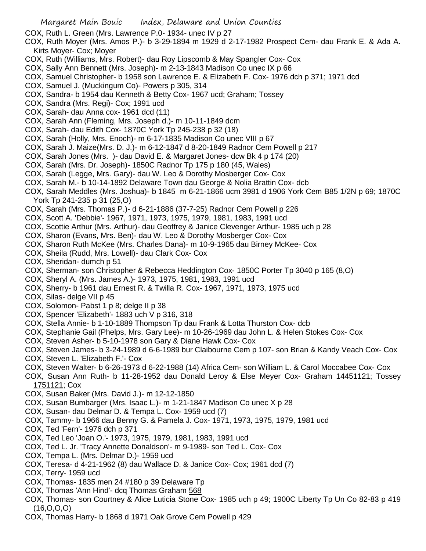- COX, Ruth L. Green (Mrs. Lawrence P.0- 1934- unec IV p 27
- COX, Ruth Moyer (Mrs. Amos P.)- b 3-29-1894 m 1929 d 2-17-1982 Prospect Cem- dau Frank E. & Ada A. Kirts Moyer- Cox; Moyer
- COX, Ruth (Williams, Mrs. Robert)- dau Roy Lipscomb & May Spangler Cox- Cox
- COX, Sally Ann Bennett (Mrs. Joseph)- m 2-13-1843 Madison Co unec IX p 66
- COX, Samuel Christopher- b 1958 son Lawrence E. & Elizabeth F. Cox- 1976 dch p 371; 1971 dcd
- COX, Samuel J. (Muckingum Co)- Powers p 305, 314
- COX, Sandra- b 1954 dau Kenneth & Betty Cox- 1967 ucd; Graham; Tossey
- COX, Sandra (Mrs. Regi)- Cox; 1991 ucd
- COX, Sarah- dau Anna cox- 1961 dcd (11)
- COX, Sarah Ann (Fleming, Mrs. Joseph d.)- m 10-11-1849 dcm
- COX, Sarah- dau Edith Cox- 1870C York Tp 245-238 p 32 (18)
- COX, Sarah (Holly, Mrs. Enoch)- m 6-17-1835 Madison Co unec VIII p 67
- COX, Sarah J. Maize(Mrs. D. J.)- m 6-12-1847 d 8-20-1849 Radnor Cem Powell p 217
- COX, Sarah Jones (Mrs. )- dau David E. & Margaret Jones- dcw Bk 4 p 174 (20)
- COX, Sarah (Mrs. Dr. Joseph)- 1850C Radnor Tp 175 p 180 (45, Wales)
- COX, Sarah (Legge, Mrs. Gary)- dau W. Leo & Dorothy Mosberger Cox- Cox
- COX, Sarah M.- b 10-14-1892 Delaware Town dau George & Nolia Brattin Cox- dcb
- COX, Sarah Meddles (Mrs. Joshua)- b 1845 m 6-21-1866 ucm 3981 d 1906 York Cem B85 1/2N p 69; 1870C York Tp 241-235 p 31 (25,O)
- COX, Sarah (Mrs. Thomas P.)- d 6-21-1886 (37-7-25) Radnor Cem Powell p 226
- COX, Scott A. 'Debbie'- 1967, 1971, 1973, 1975, 1979, 1981, 1983, 1991 ucd
- COX, Scottie Arthur (Mrs. Arthur)- dau Geoffrey & Janice Clevenger Arthur- 1985 uch p 28
- COX, Sharon (Evans, Mrs. Ben)- dau W. Leo & Dorothy Mosberger Cox- Cox
- COX, Sharon Ruth McKee (Mrs. Charles Dana)- m 10-9-1965 dau Birney McKee- Cox
- COX, Sheila (Rudd, Mrs. Lowell)- dau Clark Cox- Cox
- COX, Sheridan- dumch p 51
- COX, Sherman- son Christopher & Rebecca Heddington Cox- 1850C Porter Tp 3040 p 165 (8,O)
- COX, Sheryl A. (Mrs. James A.)- 1973, 1975, 1981, 1983, 1991 ucd
- COX, Sherry- b 1961 dau Ernest R. & Twilla R. Cox- 1967, 1971, 1973, 1975 ucd
- COX, Silas- delge VII p 45
- COX, Solomon- Pabst 1 p 8; delge II p 38
- COX, Spencer 'Elizabeth'- 1883 uch V p 316, 318
- COX, Stella Annie- b 1-10-1889 Thompson Tp dau Frank & Lotta Thurston Cox- dcb
- COX, Stephanie Gail (Phelps, Mrs. Gary Lee)- m 10-26-1969 dau John L. & Helen Stokes Cox- Cox
- COX, Steven Asher- b 5-10-1978 son Gary & Diane Hawk Cox- Cox
- COX, Steven James- b 3-24-1989 d 6-6-1989 bur Claibourne Cem p 107- son Brian & Kandy Veach Cox- Cox
- COX, Steven L. 'Elizabeth F.'- Cox
- COX, Steven Walter- b 6-26-1973 d 6-22-1988 (14) Africa Cem- son William L. & Carol Moccabee Cox- Cox
- COX, Susan Ann Ruth- b 11-28-1952 dau Donald Leroy & Else Meyer Cox- Graham 14451121; Tossey 1751121; Cox
- COX, Susan Baker (Mrs. David J.)- m 12-12-1850
- COX, Susan Bumbarger (Mrs. Isaac L.)- m 1-21-1847 Madison Co unec X p 28
- COX, Susan- dau Delmar D. & Tempa L. Cox- 1959 ucd (7)
- COX, Tammy- b 1966 dau Benny G. & Pamela J. Cox- 1971, 1973, 1975, 1979, 1981 ucd
- COX, Ted 'Fern'- 1976 dch p 371
- COX, Ted Leo 'Joan O.'- 1973, 1975, 1979, 1981, 1983, 1991 ucd
- COX, Ted L. Jr. 'Tracy Annette Donaldson'- m 9-1989- son Ted L. Cox- Cox
- COX, Tempa L. (Mrs. Delmar D.)- 1959 ucd
- COX, Teresa- d 4-21-1962 (8) dau Wallace D. & Janice Cox- Cox; 1961 dcd (7)
- COX, Terry- 1959 ucd
- COX, Thomas- 1835 men 24 #180 p 39 Delaware Tp
- COX, Thomas 'Ann Hind'- dcq Thomas Graham 568
- COX, Thomas- son Courtney & Alice Luticia Stone Cox- 1985 uch p 49; 1900C Liberty Tp Un Co 82-83 p 419 (16,O,O,O)
- COX, Thomas Harry- b 1868 d 1971 Oak Grove Cem Powell p 429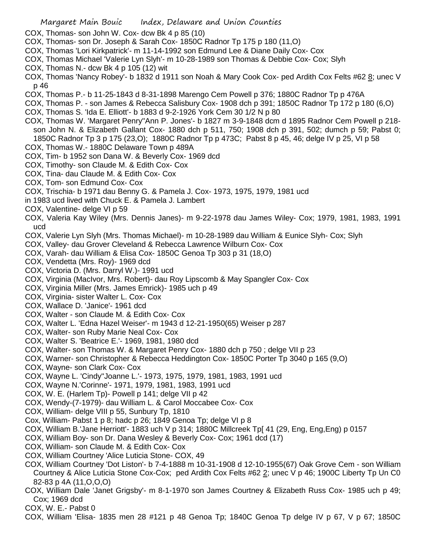- COX, Thomas- son John W. Cox- dcw Bk 4 p 85 (10)
- COX, Thomas- son Dr. Joseph & Sarah Cox- 1850C Radnor Tp 175 p 180 (11,O)
- COX, Thomas 'Lori Kirkpatrick'- m 11-14-1992 son Edmund Lee & Diane Daily Cox- Cox
- COX, Thomas Michael 'Valerie Lyn Slyh'- m 10-28-1989 son Thomas & Debbie Cox- Cox; Slyh
- COX, Thomas N.- dcw Bk 4 p 105 (12) wit
- COX, Thomas 'Nancy Robey'- b 1832 d 1911 son Noah & Mary Cook Cox- ped Ardith Cox Felts #62 8; unec V p 46
- COX, Thomas P.- b 11-25-1843 d 8-31-1898 Marengo Cem Powell p 376; 1880C Radnor Tp p 476A
- COX, Thomas P. son James & Rebecca Salisbury Cox- 1908 dch p 391; 1850C Radnor Tp 172 p 180 (6,O)
- COX, Thomas S. 'Ida E. Elliott'- b 1883 d 9-2-1926 York Cem 30 1/2 N p 80
- COX, Thomas W. 'Margaret Penry''Ann P. Jones'- b 1827 m 3-9-1848 dcm d 1895 Radnor Cem Powell p 218 son John N. & Elizabeth Gallant Cox- 1880 dch p 511, 750; 1908 dch p 391, 502; dumch p 59; Pabst 0; 1850C Radnor Tp 3 p 175 (23,O); 1880C Radnor Tp p 473C; Pabst 8 p 45, 46; delge IV p 25, VI p 58
- COX, Thomas W.- 1880C Delaware Town p 489A
- COX, Tim- b 1952 son Dana W. & Beverly Cox- 1969 dcd
- COX, Timothy- son Claude M. & Edith Cox- Cox
- COX, Tina- dau Claude M. & Edith Cox- Cox
- COX, Tom- son Edmund Cox- Cox
- COX, Trischia- b 1971 dau Benny G. & Pamela J. Cox- 1973, 1975, 1979, 1981 ucd
- in 1983 ucd lived with Chuck E. & Pamela J. Lambert
- COX, Valentine- delge VI p 59
- COX, Valeria Kay Wiley (Mrs. Dennis Janes)- m 9-22-1978 dau James Wiley- Cox; 1979, 1981, 1983, 1991 ucd
- COX, Valerie Lyn Slyh (Mrs. Thomas Michael)- m 10-28-1989 dau William & Eunice Slyh- Cox; Slyh
- COX, Valley- dau Grover Cleveland & Rebecca Lawrence Wilburn Cox- Cox
- COX, Varah- dau William & Elisa Cox- 1850C Genoa Tp 303 p 31 (18,O)
- COX, Vendetta (Mrs. Roy)- 1969 dcd
- COX, Victoria D. (Mrs. Darryl W.)- 1991 ucd
- COX, Virginia (MacIvor, Mrs. Robert)- dau Roy Lipscomb & May Spangler Cox- Cox
- COX, Virginia Miller (Mrs. James Emrick)- 1985 uch p 49
- COX, Virginia- sister Walter L. Cox- Cox
- COX, Wallace D. 'Janice'- 1961 dcd
- COX, Walter son Claude M. & Edith Cox- Cox
- COX, Walter L. 'Edna Hazel Weiser'- m 1943 d 12-21-1950(65) Weiser p 287
- COX, Walter- son Ruby Marie Neal Cox- Cox
- COX, Walter S. 'Beatrice E.'- 1969, 1981, 1980 dcd
- COX, Walter- son Thomas W. & Margaret Penry Cox- 1880 dch p 750 ; delge VII p 23
- COX, Warner- son Christopher & Rebecca Heddington Cox- 1850C Porter Tp 3040 p 165 (9,O)
- COX, Wayne- son Clark Cox- Cox
- COX, Wayne L. 'Cindy''Joanne L.'- 1973, 1975, 1979, 1981, 1983, 1991 ucd
- COX, Wayne N.'Corinne'- 1971, 1979, 1981, 1983, 1991 ucd
- COX, W. E. (Harlem Tp)- Powell p 141; delge VII p 42
- COX, Wendy-(7-1979)- dau William L. & Carol Moccabee Cox- Cox
- COX, William- delge VIII p 55, Sunbury Tp, 1810
- Cox, William- Pabst 1 p 8; hadc p 26; 1849 Genoa Tp; delge VI p 8
- COX, William B.'Jane Herriott'- 1883 uch V p 314; 1880C Millcreek Tp[ 41 (29, Eng, Eng,Eng) p 0157
- COX, William Boy- son Dr. Dana Wesley & Beverly Cox- Cox; 1961 dcd (17)
- COX, William- son Claude M. & Edith Cox- Cox
- COX, William Courtney 'Alice Luticia Stone- COX, 49
- COX, William Courtney 'Dot Liston'- b 7-4-1888 m 10-31-1908 d 12-10-1955(67) Oak Grove Cem son William Courtney & Alice Luticia Stone Cox-Cox; ped Ardith Cox Felts #62 2; unec V p 46; 1900C Liberty Tp Un C0 82-83 p 4A (11,O,O,O)
- COX, William Dale 'Janet Grigsby'- m 8-1-1970 son James Courtney & Elizabeth Russ Cox- 1985 uch p 49; Cox; 1969 dcd
- COX, W. E.- Pabst 0
- COX, William 'Elisa- 1835 men 28 #121 p 48 Genoa Tp; 1840C Genoa Tp delge IV p 67, V p 67; 1850C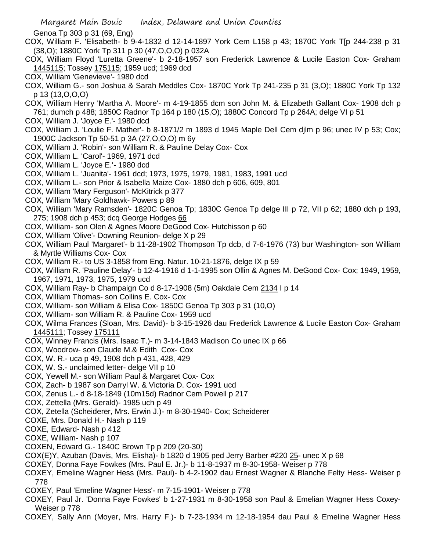Genoa Tp 303 p 31 (69, Eng)

- COX, William F. 'Elisabeth- b 9-4-1832 d 12-14-1897 York Cem L158 p 43; 1870C York T[p 244-238 p 31 (38,O); 1880C York Tp 311 p 30 (47,O,O,O) p 032A
- COX, William Floyd 'Luretta Greene'- b 2-18-1957 son Frederick Lawrence & Lucile Easton Cox- Graham 1445115; Tossey 175115; 1959 ucd; 1969 dcd
- COX, William 'Genevieve'- 1980 dcd
- COX, William G.- son Joshua & Sarah Meddles Cox- 1870C York Tp 241-235 p 31 (3,O); 1880C York Tp 132 p 13 (13,O,O,O)
- COX, William Henry 'Martha A. Moore'- m 4-19-1855 dcm son John M. & Elizabeth Gallant Cox- 1908 dch p 761; dumch p 488; 1850C Radnor Tp 164 p 180 (15,O); 1880C Concord Tp p 264A; delge VI p 51
- COX, William J. 'Joyce E.'- 1980 dcd
- COX, William J. 'Loulie F. Mather'- b 8-1871/2 m 1893 d 1945 Maple Dell Cem djlm p 96; unec IV p 53; Cox; 1900C Jackson Tp 50-51 p 3A (27,O,O,O) m 6y
- COX, William J. 'Robin'- son William R. & Pauline Delay Cox- Cox
- COX, William L. 'Carol'- 1969, 1971 dcd
- COX, William L. 'Joyce E.'- 1980 dcd
- COX, William L. 'Juanita'- 1961 dcd; 1973, 1975, 1979, 1981, 1983, 1991 ucd
- COX, William L.- son Prior & Isabella Maize Cox- 1880 dch p 606, 609, 801
- COX, William 'Mary Ferguson'- McKitrick p 377
- COX, William 'Mary Goldhawk- Powers p 89
- COX, William 'Mary Ramsden'- 1820C Genoa Tp; 1830C Genoa Tp delge III p 72, VII p 62; 1880 dch p 193, 275; 1908 dch p 453; dcq George Hodges 66
- COX, William- son Olen & Agnes Moore DeGood Cox- Hutchisson p 60
- COX, William 'Olive'- Downing Reunion- delge X p 29
- COX, William Paul 'Margaret'- b 11-28-1902 Thompson Tp dcb, d 7-6-1976 (73) bur Washington- son William & Myrtle Williams Cox- Cox
- COX, William R.- to US 3-1858 from Eng. Natur. 10-21-1876, delge IX p 59
- COX, William R. 'Pauline Delay'- b 12-4-1916 d 1-1-1995 son Ollin & Agnes M. DeGood Cox- Cox; 1949, 1959, 1967, 1971, 1973, 1975, 1979 ucd
- COX, William Ray- b Champaign Co d 8-17-1908 (5m) Oakdale Cem 2134 I p 14
- COX, William Thomas- son Collins E. Cox- Cox
- COX, William- son William & Elisa Cox- 1850C Genoa Tp 303 p 31 (10,O)
- COX, William- son William R. & Pauline Cox- 1959 ucd
- COX, Wilma Frances (Sloan, Mrs. David)- b 3-15-1926 dau Frederick Lawrence & Lucile Easton Cox- Graham 1445111; Tossey 175111
- COX, Winney Francis (Mrs. Isaac T.)- m 3-14-1843 Madison Co unec IX p 66
- COX, Woodrow- son Claude M.& Edith Cox- Cox
- COX, W. R.- uca p 49, 1908 dch p 431, 428, 429
- COX, W. S.- unclaimed letter- delge VII p 10
- COX, Yewell M.- son William Paul & Margaret Cox- Cox
- COX, Zach- b 1987 son Darryl W. & Victoria D. Cox- 1991 ucd
- COX, Zenus L.- d 8-18-1849 (10m15d) Radnor Cem Powell p 217
- COX, Zettella (Mrs. Gerald)- 1985 uch p 49
- COX, Zetella (Scheiderer, Mrs. Erwin J.)- m 8-30-1940- Cox; Scheiderer
- COXE, Mrs. Donald H.- Nash p 119
- COXE, Edward- Nash p 412
- COXE, William- Nash p 107
- COXEN, Edward G.- 1840C Brown Tp p 209 (20-30)
- COX(E)Y, Azuban (Davis, Mrs. Elisha)- b 1820 d 1905 ped Jerry Barber #220 25- unec X p 68
- COXEY, Donna Faye Fowkes (Mrs. Paul E. Jr.)- b 11-8-1937 m 8-30-1958- Weiser p 778
- COXEY, Emeline Wagner Hess (Mrs. Paul)- b 4-2-1902 dau Ernest Wagner & Blanche Felty Hess- Weiser p 778
- COXEY, Paul 'Emeline Wagner Hess'- m 7-15-1901- Weiser p 778
- COXEY, Paul Jr. 'Donna Faye Fowkes' b 1-27-1931 m 8-30-1958 son Paul & Emelian Wagner Hess Coxey-Weiser p 778
- COXEY, Sally Ann (Moyer, Mrs. Harry F.)- b 7-23-1934 m 12-18-1954 dau Paul & Emeline Wagner Hess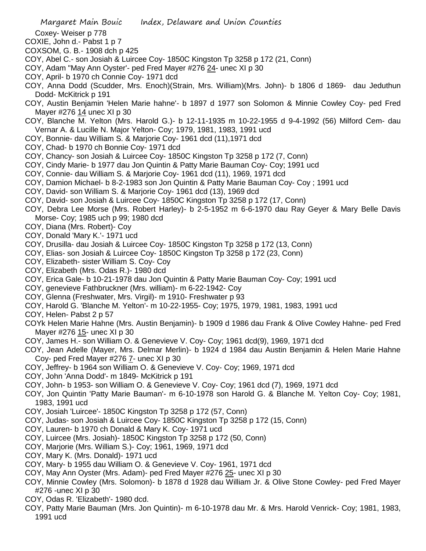Coxey- Weiser p 778

- COXIE, John d.- Pabst 1 p 7
- COXSOM, G. B.- 1908 dch p 425
- COY, Abel C.- son Josiah & Luircee Coy- 1850C Kingston Tp 3258 p 172 (21, Conn)
- COY, Adam "May Ann Oyster'- ped Fred Mayer #276 24- unec XI p 30
- COY, April- b 1970 ch Connie Coy- 1971 dcd
- COY, Anna Dodd (Scudder, Mrs. Enoch)(Strain, Mrs. William)(Mrs. John)- b 1806 d 1869- dau Jeduthun Dodd- McKitrick p 191
- COY, Austin Benjamin 'Helen Marie hahne'- b 1897 d 1977 son Solomon & Minnie Cowley Coy- ped Fred Mayer #276 14 unec XI p 30
- COY, Blanche M. Yelton (Mrs. Harold G.)- b 12-11-1935 m 10-22-1955 d 9-4-1992 (56) Milford Cem- dau Vernar A. & Lucille N. Major Yelton- Coy; 1979, 1981, 1983, 1991 ucd
- COY, Bonnie- dau William S. & Marjorie Coy- 1961 dcd (11),1971 dcd
- COY, Chad- b 1970 ch Bonnie Coy- 1971 dcd
- COY, Chancy- son Josiah & Luircee Coy- 1850C Kingston Tp 3258 p 172 (7, Conn)
- COY, Cindy Marie- b 1977 dau Jon Quintin & Patty Marie Bauman Coy- Coy; 1991 ucd
- COY, Connie- dau William S. & Marjorie Coy- 1961 dcd (11), 1969, 1971 dcd
- COY, Damion Michael- b 8-2-1983 son Jon Quintin & Patty Marie Bauman Coy- Coy ; 1991 ucd
- COY, David- son William S. & Marjorie Coy- 1961 dcd (13), 1969 dcd
- COY, David- son Josiah & Luircee Coy- 1850C Kingston Tp 3258 p 172 (17, Conn)
- COY, Debra Lee Morse (Mrs. Robert Harley)- b 2-5-1952 m 6-6-1970 dau Ray Geyer & Mary Belle Davis Morse- Coy; 1985 uch p 99; 1980 dcd
- COY, Diana (Mrs. Robert)- Coy
- COY, Donald 'Mary K.'- 1971 ucd
- COY, Drusilla- dau Josiah & Luircee Coy- 1850C Kingston Tp 3258 p 172 (13, Conn)
- COY, Elias- son Josiah & Luircee Coy- 1850C Kingston Tp 3258 p 172 (23, Conn)
- COY, Elizabeth- sister William S. Coy- Coy
- COY, Elizabeth (Mrs. Odas R.)- 1980 dcd
- COY, Erica Gale- b 10-21-1978 dau Jon Quintin & Patty Marie Bauman Coy- Coy; 1991 ucd
- COY, genevieve Fathbruckner (Mrs. william)- m 6-22-1942- Coy
- COY, Glenna (Freshwater, Mrs. Virgil)- m 1910- Freshwater p 93
- COY, Harold G. 'Blanche M. Yelton'- m 10-22-1955- Coy; 1975, 1979, 1981, 1983, 1991 ucd
- COY, Helen- Pabst 2 p 57
- COYk Helen Marie Hahne (Mrs. Austin Benjamin)- b 1909 d 1986 dau Frank & Olive Cowley Hahne- ped Fred Mayer #276 15- unec XI p 30
- COY, James H.- son William O. & Genevieve V. Coy- Coy; 1961 dcd(9), 1969, 1971 dcd
- COY, Jean Adelle (Mayer, Mrs. Delmar Merlin)- b 1924 d 1984 dau Austin Benjamin & Helen Marie Hahne Coy- ped Fred Mayer #276 7- unec XI p 30
- COY, Jeffrey- b 1964 son William O. & Genevieve V. Coy- Coy; 1969, 1971 dcd
- COY, John 'Anna Dodd'- m 1849- McKitrick p 191
- COY, John- b 1953- son William O. & Genevieve V. Coy- Coy; 1961 dcd (7), 1969, 1971 dcd
- COY, Jon Quintin 'Patty Marie Bauman'- m 6-10-1978 son Harold G. & Blanche M. Yelton Coy- Coy; 1981, 1983, 1991 ucd
- COY, Josiah 'Luircee'- 1850C Kingston Tp 3258 p 172 (57, Conn)
- COY, Judas- son Josiah & Luircee Coy- 1850C Kingston Tp 3258 p 172 (15, Conn)
- COY, Lauren- b 1970 ch Donald & Mary K. Coy- 1971 ucd
- COY, Luircee (Mrs. Josiah)- 1850C Kingston Tp 3258 p 172 (50, Conn)
- COY, Marjorie (Mrs. William S.)- Coy; 1961, 1969, 1971 dcd
- COY, Mary K. (Mrs. Donald)- 1971 ucd
- COY, Mary- b 1955 dau William O. & Genevieve V. Coy- 1961, 1971 dcd
- COY, May Ann Oyster (Mrs. Adam)- ped Fred Mayer #276 25- unec XI p 30
- COY, Minnie Cowley (Mrs. Solomon)- b 1878 d 1928 dau William Jr. & Olive Stone Cowley- ped Fred Mayer #276 -unec XI p 30
- COY, Odas R. 'Elizabeth'- 1980 dcd.
- COY, Patty Marie Bauman (Mrs. Jon Quintin)- m 6-10-1978 dau Mr. & Mrs. Harold Venrick- Coy; 1981, 1983, 1991 ucd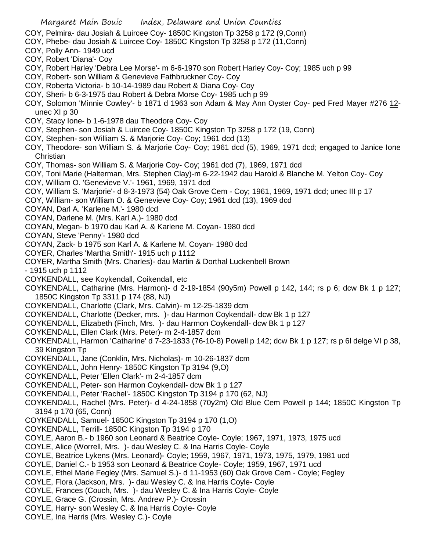- COY, Pelmira- dau Josiah & Luircee Coy- 1850C Kingston Tp 3258 p 172 (9,Conn)
- COY, Phebe- dau Josiah & Luircee Coy- 1850C Kingston Tp 3258 p 172 (11,Conn)
- COY, Polly Ann- 1949 ucd
- COY, Robert 'Diana'- Coy
- COY, Robert Harley 'Debra Lee Morse'- m 6-6-1970 son Robert Harley Coy- Coy; 1985 uch p 99
- COY, Robert- son William & Genevieve Fathbruckner Coy- Coy
- COY, Roberta Victoria- b 10-14-1989 dau Robert & Diana Coy- Coy
- COY, Sheri- b 6-3-1975 dau Robert & Debra Morse Coy- 1985 uch p 99
- COY, Solomon 'Minnie Cowley'- b 1871 d 1963 son Adam & May Ann Oyster Coy- ped Fred Mayer #276 12 unec XI p 30
- COY, Stacy Ione- b 1-6-1978 dau Theodore Coy- Coy
- COY, Stephen- son Josiah & Luircee Coy- 1850C Kingston Tp 3258 p 172 (19, Conn)
- COY, Stephen- son William S. & Marjorie Coy- Coy; 1961 dcd (13)
- COY, Theodore- son William S. & Marjorie Coy- Coy; 1961 dcd (5), 1969, 1971 dcd; engaged to Janice Ione **Christian**
- COY, Thomas- son William S. & Marjorie Coy- Coy; 1961 dcd (7), 1969, 1971 dcd
- COY, Toni Marie (Halterman, Mrs. Stephen Clay)-m 6-22-1942 dau Harold & Blanche M. Yelton Coy- Coy
- COY, William O. 'Genevieve V.'- 1961, 1969, 1971 dcd
- COY, William S. 'Marjorie'- d 8-3-1973 (54) Oak Grove Cem Coy; 1961, 1969, 1971 dcd; unec III p 17
- COY, William- son William O. & Genevieve Coy- Coy; 1961 dcd (13), 1969 dcd
- COYAN, Darl A. 'Karlene M.'- 1980 dcd
- COYAN, Darlene M. (Mrs. Karl A.)- 1980 dcd
- COYAN, Megan- b 1970 dau Karl A. & Karlene M. Coyan- 1980 dcd
- COYAN, Steve 'Penny'- 1980 dcd
- COYAN, Zack- b 1975 son Karl A. & Karlene M. Coyan- 1980 dcd
- COYER, Charles 'Martha Smith'- 1915 uch p 1112
- COYER, Martha Smith (Mrs. Charles)- dau Martin & Dorthal Luckenbell Brown
- 1915 uch p 1112
- COYKENDALL, see Koykendall, Coikendall, etc
- COYKENDALL, Catharine (Mrs. Harmon)- d 2-19-1854 (90y5m) Powell p 142, 144; rs p 6; dcw Bk 1 p 127; 1850C Kingston Tp 3311 p 174 (88, NJ)
- COYKENDALL, Charlotte (Clark, Mrs. Calvin)- m 12-25-1839 dcm
- COYKENDALL, Charlotte (Decker, mrs. )- dau Harmon Coykendall- dcw Bk 1 p 127
- COYKENDALL, Elizabeth (Finch, Mrs. )- dau Harmon Coykendall- dcw Bk 1 p 127
- COYKENDALL, Ellen Clark (Mrs. Peter)- m 2-4-1857 dcm
- COYKENDALL, Harmon 'Catharine' d 7-23-1833 (76-10-8) Powell p 142; dcw Bk 1 p 127; rs p 6l delge VI p 38, 39 Kingston Tp
- COYKENDALL, Jane (Conklin, Mrs. Nicholas)- m 10-26-1837 dcm
- COYKENDALL, John Henry- 1850C Kingston Tp 3194 (9,O)
- COYKENDALL, Peter 'Ellen Clark'- m 2-4-1857 dcm
- COYKENDALL, Peter- son Harmon Coykendall- dcw Bk 1 p 127
- COYKENDALL, Peter 'Rachel'- 1850C Kingston Tp 3194 p 170 (62, NJ)
- COYKENDALL, Rachel (Mrs. Peter)- d 4-24-1858 (70y2m) Old Blue Cem Powell p 144; 1850C Kingston Tp 3194 p 170 (65, Conn)
- COYKENDALL, Samuel- 1850C Kingston Tp 3194 p 170 (1,O)
- COYKENDALL, Terrill- 1850C Kingston Tp 3194 p 170
- COYLE, Aaron B.- b 1960 son Leonard & Beatrice Coyle- Coyle; 1967, 1971, 1973, 1975 ucd
- COYLE, Alice (Worrell, Mrs. )- dau Wesley C. & Ina Harris Coyle- Coyle
- COYLE, Beatrice Lykens (Mrs. Leonard)- Coyle; 1959, 1967, 1971, 1973, 1975, 1979, 1981 ucd
- COYLE, Daniel C.- b 1953 son Leonard & Beatrice Coyle- Coyle; 1959, 1967, 1971 ucd
- COYLE, Ethel Marie Fegley (Mrs. Samuel S.)- d 11-1953 (60) Oak Grove Cem Coyle; Fegley
- COYLE, Flora (Jackson, Mrs. )- dau Wesley C. & Ina Harris Coyle- Coyle
- COYLE, Frances (Couch, Mrs. )- dau Wesley C. & Ina Harris Coyle- Coyle
- COYLE, Grace G. (Crossin, Mrs. Andrew P.)- Crossin
- COYLE, Harry- son Wesley C. & Ina Harris Coyle- Coyle
- COYLE, Ina Harris (Mrs. Wesley C.)- Coyle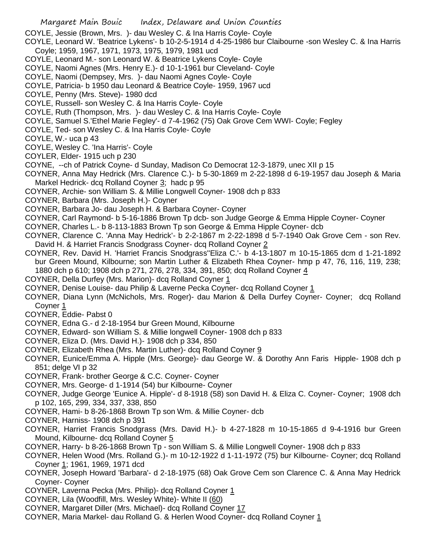- COYLE, Jessie (Brown, Mrs. )- dau Wesley C. & Ina Harris Coyle- Coyle
- COYLE, Leonard W. 'Beatrice Lykens'- b 10-2-5-1914 d 4-25-1986 bur Claibourne -son Wesley C. & Ina Harris Coyle; 1959, 1967, 1971, 1973, 1975, 1979, 1981 ucd
- COYLE, Leonard M.- son Leonard W. & Beatrice Lykens Coyle- Coyle
- COYLE, Naomi Agnes (Mrs. Henry E.)- d 10-1-1961 bur Cleveland- Coyle
- COYLE, Naomi (Dempsey, Mrs. )- dau Naomi Agnes Coyle- Coyle
- COYLE, Patricia- b 1950 dau Leonard & Beatrice Coyle- 1959, 1967 ucd
- COYLE, Penny (Mrs. Steve)- 1980 dcd
- COYLE, Russell- son Wesley C. & Ina Harris Coyle- Coyle
- COYLE, Ruth (Thompson, Mrs. )- dau Wesley C. & Ina Harris Coyle- Coyle
- COYLE, Samuel S.'Ethel Marie Fegley'- d 7-4-1962 (75) Oak Grove Cem WWI- Coyle; Fegley
- COYLE, Ted- son Wesley C. & Ina Harris Coyle- Coyle
- COYLE, W.- uca p 43
- COYLE, Wesley C. 'Ina Harris'- Coyle
- COYLER, Elder- 1915 uch p 230
- COYNE, --ch of Patrick Coyne- d Sunday, Madison Co Democrat 12-3-1879, unec XII p 15
- COYNER, Anna May Hedrick (Mrs. Clarence C.)- b 5-30-1869 m 2-22-1898 d 6-19-1957 dau Joseph & Maria Markel Hedrick- dcq Rolland Coyner  $3$ ; hadc p 95
- COYNER, Archie- son William S. & Millie Longwell Coyner- 1908 dch p 833
- COYNER, Barbara (Mrs. Joseph H.)- Coyner
- COYNER, Barbara Jo- dau Joseph H. & Barbara Coyner- Coyner
- COYNER, Carl Raymond- b 5-16-1886 Brown Tp dcb- son Judge George & Emma Hipple Coyner- Coyner
- COYNER, Charles L.- b 8-113-1883 Brown Tp son George & Emma Hipple Coyner- dcb
- COYNER, Clarence C. 'Anna May Hedrick'- b 2-2-1867 m 2-22-1898 d 5-7-1940 Oak Grove Cem son Rev. David H. & Harriet Francis Snodgrass Coyner- dcq Rolland Coyner 2
- COYNER, Rev. David H. 'Harriet Francis Snodgrass''Eliza C.'- b 4-13-1807 m 10-15-1865 dcm d 1-21-1892 bur Green Mound, Kilbourne; son Martin Luther & Elizabeth Rhea Coyner- hmp p 47, 76, 116, 119, 238; 1880 dch p 610; 1908 dch p 271, 276, 278, 334, 391, 850; dcq Rolland Coyner 4
- COYNER, Della Durfey (Mrs. Marion)- dcq Rolland Coyner 1
- COYNER, Denise Louise- dau Philip & Laverne Pecka Coyner- dcq Rolland Coyner 1
- COYNER, Diana Lynn (McNichols, Mrs. Roger)- dau Marion & Della Durfey Coyner- Coyner; dcq Rolland Coyner 1
- COYNER, Eddie- Pabst 0
- COYNER, Edna G.- d 2-18-1954 bur Green Mound, Kilbourne
- COYNER, Edward- son William S. & Millie longwell Coyner- 1908 dch p 833
- COYNER, Eliza D. (Mrs. David H.)- 1908 dch p 334, 850
- COYNER, Elizabeth Rhea (Mrs. Martin Luther)- dcq Rolland Coyner 9
- COYNER, Eunice/Emma A. Hipple (Mrs. George)- dau George W. & Dorothy Ann Faris Hipple- 1908 dch p 851; delge VI p 32
- COYNER, Frank- brother George & C.C. Coyner- Coyner
- COYNER, Mrs. George- d 1-1914 (54) bur Kilbourne- Coyner
- COYNER, Judge George 'Eunice A. Hipple'- d 8-1918 (58) son David H. & Eliza C. Coyner- Coyner; 1908 dch p 102, 165, 299, 334, 337, 338, 850
- COYNER, Hami- b 8-26-1868 Brown Tp son Wm. & Millie Coyner- dcb
- COYNER, Harniss- 1908 dch p 391
- COYNER, Harriet Francis Snodgrass (Mrs. David H.)- b 4-27-1828 m 10-15-1865 d 9-4-1916 bur Green Mound, Kilbourne- dcq Rolland Coyner 5
- COYNER, Harry- b 8-26-1868 Brown Tp son William S. & Millie Longwell Coyner- 1908 dch p 833
- COYNER, Helen Wood (Mrs. Rolland G.)- m 10-12-1922 d 1-11-1972 (75) bur Kilbourne- Coyner; dcq Rolland Coyner 1; 1961, 1969, 1971 dcd
- COYNER, Joseph Howard 'Barbara'- d 2-18-1975 (68) Oak Grove Cem son Clarence C. & Anna May Hedrick Coyner- Coyner
- COYNER, Laverna Pecka (Mrs. Philip)- dcq Rolland Coyner 1
- COYNER, Lila (Woodfill, Mrs. Wesley White)- White II (60)
- COYNER, Margaret Diller (Mrs. Michael)- dcq Rolland Coyner 17
- COYNER, Maria Markel- dau Rolland G. & Herlen Wood Coyner- dcq Rolland Coyner 1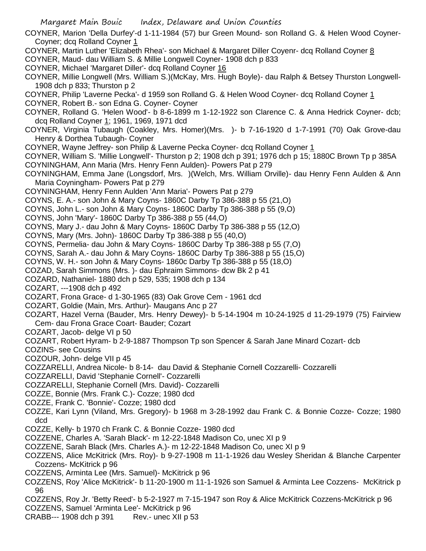COYNER, Marion 'Della Durfey'-d 1-11-1984 (57) bur Green Mound- son Rolland G. & Helen Wood Coyner-Coyner; dcq Rolland Coyner 1

- COYNER, Martin Luther 'Elizabeth Rhea'- son Michael & Margaret Diller Coyenr- dcq Rolland Coyner 8 COYNER, Maud- dau William S. & Millie Longwell Coyner- 1908 dch p 833
- COYNER, Michael 'Margaret Diller'- dcq Rolland Coyner 16
- COYNER, Millie Longwell (Mrs. William S.)(McKay, Mrs. Hugh Boyle)- dau Ralph & Betsey Thurston Longwell-1908 dch p 833; Thurston p 2
- COYNER, Philip 'Laverne Pecka'- d 1959 son Rolland G. & Helen Wood Coyner- dcq Rolland Coyner 1 COYNER, Robert B.- son Edna G. Coyner- Coyner
- COYNER, Rolland G. 'Helen Wood'- b 8-6-1899 m 1-12-1922 son Clarence C. & Anna Hedrick Coyner- dcb; dcq Rolland Coyner 1; 1961, 1969, 1971 dcd
- COYNER, Virginia Tubaugh (Coakley, Mrs. Homer)(Mrs. )- b 7-16-1920 d 1-7-1991 (70) Oak Grove-dau Henry & Dorthea Tubaugh- Coyner
- COYNER, Wayne Jeffrey- son Philip & Laverne Pecka Coyner- dcq Rolland Coyner 1
- COYNER, William S. 'Millie Longwell'- Thurston p 2; 1908 dch p 391; 1976 dch p 15; 1880C Brown Tp p 385A COYNINGHAM, Ann Maria (Mrs. Henry Fenn Aulden)- Powers Pat p 279
- COYNINGHAM, Emma Jane (Longsdorf, Mrs. )(Welch, Mrs. William Orville)- dau Henry Fenn Aulden & Ann Maria Coyningham- Powers Pat p 279
- COYNINGHAM, Henry Fenn Aulden 'Ann Maria'- Powers Pat p 279
- COYNS, E. A.- son John & Mary Coyns- 1860C Darby Tp 386-388 p 55 (21,O)
- COYNS, John L.- son John & Mary Coyns- 1860C Darby Tp 386-388 p 55 (9,O)
- COYNS, John 'Mary'- 1860C Darby Tp 386-388 p 55 (44,O)
- COYNS, Mary J.- dau John & Mary Coyns- 1860C Darby Tp 386-388 p 55 (12,O)
- COYNS, Mary (Mrs. John)- 1860C Darby Tp 386-388 p 55 (40,O)
- COYNS, Permelia- dau John & Mary Coyns- 1860C Darby Tp 386-388 p 55 (7,O)
- COYNS, Sarah A.- dau John & Mary Coyns- 1860C Darby Tp 386-388 p 55 (15,O)
- COYNS, W. H.- son John & Mary Coyns- 1860c Darby Tp 386-388 p 55 (18,O)
- COZAD, Sarah Simmons (Mrs. )- dau Ephraim Simmons- dcw Bk 2 p 41
- COZARD, Nathaniel- 1880 dch p 529, 535; 1908 dch p 134
- COZART, ---1908 dch p 492
- COZART, Frona Grace- d 1-30-1965 (83) Oak Grove Cem 1961 dcd
- COZART, Goldie (Main, Mrs. Arthur)- Maugans Anc p 27
- COZART, Hazel Verna (Bauder, Mrs. Henry Dewey)- b 5-14-1904 m 10-24-1925 d 11-29-1979 (75) Fairview Cem- dau Frona Grace Coart- Bauder; Cozart
- COZART, Jacob- delge VI p 50
- COZART, Robert Hyram- b 2-9-1887 Thompson Tp son Spencer & Sarah Jane Minard Cozart- dcb
- COZINS- see Cousins
- COZOUR, John- delge VII p 45
- COZZARELLI, Andrea Nicole- b 8-14- dau David & Stephanie Cornell Cozzarelli- Cozzarelli
- COZZARELLI, David 'Stephanie Cornell'- Cozzarelli
- COZZARELLI, Stephanie Cornell (Mrs. David)- Cozzarelli
- COZZE, Bonnie (Mrs. Frank C.)- Cozze; 1980 dcd
- COZZE, Frank C. 'Bonnie'- Cozze; 1980 dcd
- COZZE, Kari Lynn (Viland, Mrs. Gregory)- b 1968 m 3-28-1992 dau Frank C. & Bonnie Cozze- Cozze; 1980 dcd
- COZZE, Kelly- b 1970 ch Frank C. & Bonnie Cozze- 1980 dcd
- COZZENE, Charles A. 'Sarah Black'- m 12-22-1848 Madison Co, unec XI p 9
- COZZENE, Sarah Black (Mrs. Charles A.)- m 12-22-1848 Madison Co, unec XI p 9
- COZZENS, Alice McKitrick (Mrs. Roy)- b 9-27-1908 m 11-1-1926 dau Wesley Sheridan & Blanche Carpenter Cozzens- McKitrick p 96
- COZZENS, Arminta Lee (Mrs. Samuel)- McKitrick p 96
- COZZENS, Roy 'Alice McKitrick'- b 11-20-1900 m 11-1-1926 son Samuel & Arminta Lee Cozzens- McKitrick p 96
- COZZENS, Roy Jr. 'Betty Reed'- b 5-2-1927 m 7-15-1947 son Roy & Alice McKitrick Cozzens-McKitrick p 96
- COZZENS, Samuel 'Arminta Lee'- McKitrick p 96
- CRABB--- 1908 dch p 391 Rev.- unec XII p 53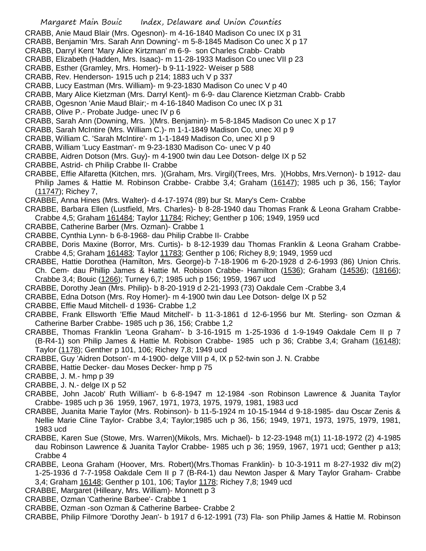- CRABB, Anie Maud Blair (Mrs. Ogesnon)- m 4-16-1840 Madison Co unec IX p 31
- CRABB, Benjamin 'Mrs. Sarah Ann Downing'- m 5-8-1845 Madison Co unec X p 17
- CRABB, Darryl Kent 'Mary Alice Kirtzman' m 6-9- son Charles Crabb- Crabb
- CRABB, Elizabeth (Hadden, Mrs. Isaac)- m 11-28-1933 Madison Co unec VII p 23
- CRABB, Esther (Gramley, Mrs. Homer)- b 9-11-1922- Weiser p 588
- CRABB, Rev. Henderson- 1915 uch p 214; 1883 uch V p 337
- CRABB, Lucy Eastman (Mrs. William)- m 9-23-1830 Madison Co unec V p 40
- CRABB, Mary Alice Kietzman (Mrs. Darryl Kent)- m 6-9- dau Clarence Kietzman Crabb- Crabb
- CRABB, Ogesnon 'Anie Maud Blair;- m 4-16-1840 Madison Co unec IX p 31
- CRABB, Olive P.- Probate Judge- unec IV p 6
- CRABB, Sarah Ann (Downing, Mrs. )(Mrs. Benjamin)- m 5-8-1845 Madison Co unec X p 17
- CRABB, Sarah McIntire (Mrs. William C.)- m 1-1-1849 Madison Co, unec XI p 9
- CRABB, William C. 'Sarah McIntire'- m 1-1-1849 Madison Co, unec XI p 9
- CRABB, William 'Lucy Eastman'- m 9-23-1830 Madison Co- unec V p 40
- CRABBE, Aidren Dotson (Mrs. Guy)- m 4-1900 twin dau Lee Dotson- delge IX p 52
- CRABBE, Astrid- ch Philip Crabbe II- Crabbe
- CRABBE, Effie Alfaretta (Kitchen, mrs. )(Graham, Mrs. Virgil)(Trees, Mrs. )(Hobbs, Mrs.Vernon)- b 1912- dau Philip James & Hattie M. Robinson Crabbe- Crabbe 3,4; Graham (16147); 1985 uch p 36, 156; Taylor (11747); Richey 7,
- CRABBE, Anna Hines (Mrs. Walter)- d 4-17-1974 (89) bur St. Mary's Cem- Crabbe
- CRABBE, Barbara Ellen (Lustfield, Mrs. Charles)- b 8-28-1940 dau Thomas Frank & Leona Graham Crabbe-Crabbe 4,5; Graham 161484; Taylor 11784; Richey; Genther p 106; 1949, 1959 ucd
- CRABBE, Catherine Barber (Mrs. Ozman)- Crabbe 1
- CRABBE, Cynthia Lynn- b 6-8-1968- dau Philip Crabbe II- Crabbe
- CRABBE, Doris Maxine (Borror, Mrs. Curtis)- b 8-12-1939 dau Thomas Franklin & Leona Graham Crabbe-Crabbe 4,5; Graham 161483; Taylor 11783; Genther p 106; Richey 8,9; 1949, 1959 ucd
- CRABBE, Hattie Dorothea (Hamilton, Mrs. George)-b 7-18-1906 m 6-20-1928 d 2-6-1993 (86) Union Chris. Ch. Cem- dau Phillip James & Hattie M. Robison Crabbe- Hamilton (1536); Graham (14536); (18166); Crabbe 3,4; Bouic (1266); Turney 6,7; 1985 uch p 156; 1959, 1967 ucd
- CRABBE, Dorothy Jean (Mrs. Philip)- b 8-20-1919 d 2-21-1993 (73) Oakdale Cem -Crabbe 3,4
- CRABBE, Edna Dotson (Mrs. Roy Homer)- m 4-1900 twin dau Lee Dotson- delge IX p 52
- CRABBE, Effie Maud Mitchell- d 1936- Crabbe 1,2
- CRABBE, Frank Ellsworth 'Effie Maud Mitchell'- b 11-3-1861 d 12-6-1956 bur Mt. Sterling- son Ozman & Catherine Barber Crabbe- 1985 uch p 36, 156; Crabbe 1,2
- CRABBE, Thomas Franklin 'Leona Graham'- b 3-16-1915 m 1-25-1936 d 1-9-1949 Oakdale Cem II p 7 (B-R4-1) son Philip James & Hattie M. Robison Crabbe- 1985 uch p 36; Crabbe 3,4; Graham (16148); Taylor (1178); Genther p 101, 106; Richey 7,8; 1949 ucd
- CRABBE, Guy 'Aidren Dotson'- m 4-1900- delge VIII p 4, IX p 52-twin son J. N. Crabbe
- CRABBE, Hattie Decker- dau Moses Decker- hmp p 75
- CRABBE, J. M.- hmp p 39
- CRABBE, J. N.- delge IX p 52
- CRABBE, John Jacob' Ruth William'- b 6-8-1947 m 12-1984 -son Robinson Lawrence & Juanita Taylor Crabbe- 1985 uch p 36 1959, 1967, 1971, 1973, 1975, 1979, 1981, 1983 ucd
- CRABBE, Juanita Marie Taylor (Mrs. Robinson)- b 11-5-1924 m 10-15-1944 d 9-18-1985- dau Oscar Zenis & Nellie Marie Cline Taylor- Crabbe 3,4; Taylor;1985 uch p 36, 156; 1949, 1971, 1973, 1975, 1979, 1981, 1983 ucd
- CRABBE, Karen Sue (Stowe, Mrs. Warren)(Mikols, Mrs. Michael)- b 12-23-1948 m(1) 11-18-1972 (2) 4-1985 dau Robinson Lawrence & Juanita Taylor Crabbe- 1985 uch p 36; 1959, 1967, 1971 ucd; Genther p a13; Crabbe 4
- CRABBE, Leona Graham (Hoover, Mrs. Robert)(Mrs.Thomas Franklin)- b 10-3-1911 m 8-27-1932 div m(2) 1-25-1936 d 7-7-1958 Oakdale Cem II p 7 (B-R4-1) dau Newton Jasper & Mary Taylor Graham- Crabbe 3,4; Graham 16148; Genther p 101, 106; Taylor 1178; Richey 7,8; 1949 ucd
- CRABBE, Margaret (Hilleary, Mrs. William)- Monnett p 3
- CRABBE, Ozman 'Catherine Barbee'- Crabbe 1
- CRABBE, Ozman -son Ozman & Catherine Barbee- Crabbe 2
- CRABBE, Philip Filmore 'Dorothy Jean'- b 1917 d 6-12-1991 (73) Fla- son Philip James & Hattie M. Robinson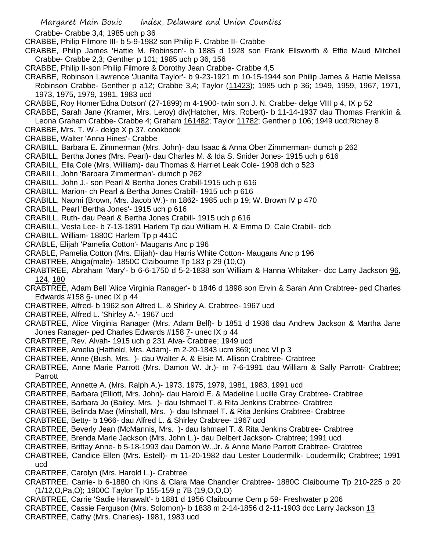Crabbe- Crabbe 3,4; 1985 uch p 36

- CRABBE, Philip Filmore III- b 5-9-1982 son Philip F. Crabbe II- Crabbe
- CRABBE, Philip James 'Hattie M. Robinson'- b 1885 d 1928 son Frank Ellsworth & Effie Maud Mitchell Crabbe- Crabbe 2,3; Genther p 101; 1985 uch p 36, 156
- CRABBE, Philip II-son Philip Filmore & Dorothy Jean Crabbe- Crabbe 4,5
- CRABBE, Robinson Lawrence 'Juanita Taylor'- b 9-23-1921 m 10-15-1944 son Philip James & Hattie Melissa Robinson Crabbe- Genther p a12; Crabbe 3,4; Taylor (11423); 1985 uch p 36; 1949, 1959, 1967, 1971, 1973, 1975, 1979, 1981, 1983 ucd
- CRABBE, Roy Homer'Edna Dotson' (27-1899) m 4-1900- twin son J. N. Crabbe- delge VIII p 4, IX p 52
- CRABBE, Sarah Jane (Kramer, Mrs. Leroy) div(Hatcher, Mrs. Robert)- b 11-14-1937 dau Thomas Franklin & Leona Graham Crabbe- Crabbe 4; Graham 161482; Taylor 11782; Genther p 106; 1949 ucd;Richey 8
- CRABBE, Mrs. T. W.- delge X p 37, cookbook
- CRABBE, Walter 'Anna Hines'- Crabbe
- CRABILL, Barbara E. Zimmerman (Mrs. John)- dau Isaac & Anna Ober Zimmerman- dumch p 262
- CRABILL, Bertha Jones (Mrs. Pearl)- dau Charles M. & Ida S. Snider Jones- 1915 uch p 616
- CRABILL, Ella Cole (Mrs. William)- dau Thomas & Harriet Leak Cole- 1908 dch p 523
- CRABILL, John 'Barbara Zimmerman'- dumch p 262
- CRABILL, John J.- son Pearl & Bertha Jones Crabill-1915 uch p 616
- CRABILL, Marion- ch Pearl & Bertha Jones Crabill- 1915 uch p 616
- CRABILL, Naomi (Brown, Mrs. Jacob W.)- m 1862- 1985 uch p 19; W. Brown IV p 470
- CRABILL, Pearl 'Bertha Jones'- 1915 uch p 616
- CRABILL, Ruth- dau Pearl & Bertha Jones Crabill- 1915 uch p 616
- CRABILL, Vesta Lee- b 7-13-1891 Harlem Tp dau William H. & Emma D. Cale Crabill- dcb
- CRABILL, William- 1880C Harlem Tp p 441C
- CRABLE, Elijah 'Pamelia Cotton'- Maugans Anc p 196
- CRABLE, Pamelia Cotton (Mrs. Elijah)- dau Harris White Cotton- Maugans Anc p 196
- CRABTREE, Abiga(male)- 1850C Claibourne Tp 183 p 29 (10,O)
- CRABTREE, Abraham 'Mary'- b 6-6-1750 d 5-2-1838 son William & Hanna Whitaker- dcc Larry Jackson 96, 124, 180
- CRABTREE, Adam Bell 'Alice Virginia Ranager'- b 1846 d 1898 son Ervin & Sarah Ann Crabtree- ped Charles Edwards #158 6- unec IX p 44
- CRABTREE, Alfred- b 1962 son Alfred L. & Shirley A. Crabtree- 1967 ucd
- CRABTREE, Alfred L. 'Shirley A.'- 1967 ucd
- CRABTREE, Alice Virginia Ranager (Mrs. Adam Bell)- b 1851 d 1936 dau Andrew Jackson & Martha Jane Jones Ranager- ped Charles Edwards #158 7- unec IX p 44
- CRABTREE, Rev. Alvah- 1915 uch p 231 Alva- Crabtree; 1949 ucd
- CRABTREE, Amelia (Hatfield, Mrs. Adam)- m 2-20-1843 ucm 869; unec VI p 3
- CRABTREE, Anne (Bush, Mrs. )- dau Walter A. & Elsie M. Allison Crabtree- Crabtree
- CRABTREE, Anne Marie Parrott (Mrs. Damon W. Jr.)- m 7-6-1991 dau William & Sally Parrott- Crabtree; Parrott
- CRABTREE, Annette A. (Mrs. Ralph A.)- 1973, 1975, 1979, 1981, 1983, 1991 ucd
- CRABTREE, Barbara (Elliott, Mrs. John)- dau Harold E. & Madeline Lucille Gray Crabtree- Crabtree
- CRABTREE, Barbara Jo (Bailey, Mrs. )- dau Ishmael T. & Rita Jenkins Crabtree- Crabtree
- CRABTREE, Belinda Mae (Minshall, Mrs. )- dau Ishmael T. & Rita Jenkins Crabtree- Crabtree
- CRABTREE, Betty- b 1966- dau Alfred L. & Shirley Crabtree- 1967 ucd
- CRABTREE, Beverly Jean (McMannis, Mrs. )- dau Ishmael T. & Rita Jenkins Crabtree- Crabtree
- CRABTREE, Brenda Marie Jackson (Mrs. John L.)- dau Delbert Jackson- Crabtree; 1991 ucd
- CRABTREE, Brittay Anne- b 5-18-1993 dau Damon W.,Jr. & Anne Marie Parrott Crabtree- Crabtree
- CRABTREE, Candice Ellen (Mrs. Estell)- m 11-20-1982 dau Lester Loudermilk- Loudermilk; Crabtree; 1991 ucd
- CRABTREE, Carolyn (Mrs. Harold L.)- Crabtree
- CRABTREE. Carrie- b 6-1880 ch Kins & Clara Mae Chandler Crabtree- 1880C Claibourne Tp 210-225 p 20 (1/12,O,Pa,O); 1900C Taylor Tp 155-159 p 7B (19,O,O,O)
- CRABTREE, Carrie 'Sadie Hanawalt'- b 1881 d 1956 Claibourne Cem p 59- Freshwater p 206
- CRABTREE, Cassie Ferguson (Mrs. Solomon)- b 1838 m 2-14-1856 d 2-11-1903 dcc Larry Jackson 13
- CRABTREE, Cathy (Mrs. Charles)- 1981, 1983 ucd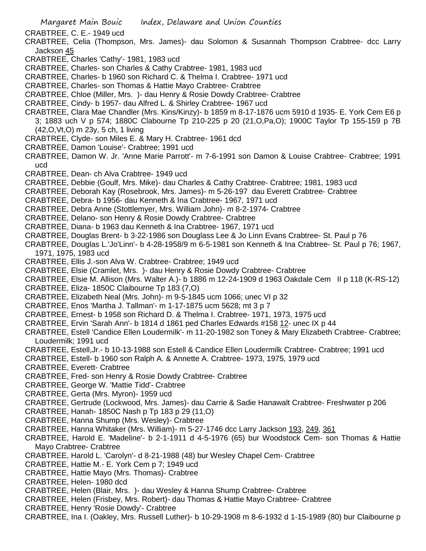CRABTREE, C. E.- 1949 ucd

- CRABTREE, Celia (Thompson, Mrs. James)- dau Solomon & Susannah Thompson Crabtree- dcc Larry Jackson 45
- CRABTREE, Charles 'Cathy'- 1981, 1983 ucd
- CRABTREE, Charles- son Charles & Cathy Crabtree- 1981, 1983 ucd
- CRABTREE, Charles- b 1960 son Richard C. & Thelma I. Crabtree- 1971 ucd
- CRABTREE, Charles- son Thomas & Hattie Mayo Crabtree- Crabtree
- CRABTREE, Chloe (Miller, Mrs. )- dau Henry & Rosie Dowdy Crabtree- Crabtree
- CRABTREE, Cindy- b 1957- dau Alfred L. & Shirley Crabtree- 1967 ucd
- CRABTREE, Clara Mae Chandler (Mrs. Kins/Kinzy)- b 1859 m 8-17-1876 ucm 5910 d 1935- E. York Cem E6 p 3; 1883 uch V p 574; 1880C Clabourne Tp 210-225 p 20 (21,O,Pa,O); 1900C Taylor Tp 155-159 p 7B (42,O,Vt,O) m 23y, 5 ch, 1 living
- CRABTREE, Clyde- son Miles E. & Mary H. Crabtree- 1961 dcd
- CRABTREE, Damon 'Louise'- Crabtree; 1991 ucd
- CRABTREE, Damon W. Jr. 'Anne Marie Parrott'- m 7-6-1991 son Damon & Louise Crabtree- Crabtree; 1991 ucd
- CRABTREE, Dean- ch Alva Crabtree- 1949 ucd
- CRABTREE, Debbie (Goulf, Mrs. Mike)- dau Charles & Cathy Crabtree- Crabtree; 1981, 1983 ucd
- CRABTREE, Deborah Kay (Rosebrook, Mrs. James)- m 5-26-197 dau Everett Crabtree- Crabtree
- CRABTREE, Debra- b 1956- dau Kenneth & Ina Crabtree- 1967, 1971 ucd
- CRABTREE, Debra Anne (Stottlemyer, Mrs. William John)- m 8-2-1974- Crabtree
- CRABTREE, Delano- son Henry & Rosie Dowdy Crabtree- Crabtree
- CRABTREE, Diana- b 1963 dau Kenneth & Ina Crabtree- 1967, 1971 ucd
- CRABTREE, Douglas Brent- b 3-22-1986 son Douglass Lee & Jo Linn Evans Crabtree- St. Paul p 76
- CRABTREE, Douglas L.'Jo'Linn'- b 4-28-1958/9 m 6-5-1981 son Kenneth & Ina Crabtree- St. Paul p 76; 1967, 1971, 1975, 1983 ucd
- CRABTREE, Ellis J.-son Alva W. Crabtree- Crabtree; 1949 ucd
- CRABTREE, Elsie (Cramlet, Mrs. )- dau Henry & Rosie Dowdy Crabtree- Crabtree
- CRABTREE, Elsie M. Allison (Mrs. Walter A.)- b 1886 m 12-24-1909 d 1963 Oakdale Cem II p 118 (K-RS-12)
- CRABTREE, Eliza- 1850C Claibourne Tp 183 (7,O)
- CRABTREE, Elizabeth Neal (Mrs. John)- m 9-5-1845 ucm 1066; unec VI p 32
- CRABTREE, Enos 'Martha J. Tallman'- m 1-17-1875 ucm 5628; mt 3 p 7
- CRABTREE, Ernest- b 1958 son Richard D. & Thelma I. Crabtree- 1971, 1973, 1975 ucd
- CRABTREE, Ervin 'Sarah Ann'- b 1814 d 1861 ped Charles Edwards #158 12- unec IX p 44
- CRABTREE, Estell 'Candice Ellen Loudermilk'- m 11-20-1982 son Toney & Mary Elizabeth Crabtree- Crabtree; Loudermilk; 1991 ucd
- CRABTREE, Estell,Jr.- b 10-13-1988 son Estell & Candice Ellen Loudermilk Crabtree- Crabtree; 1991 ucd
- CRABTREE, Estell- b 1960 son Ralph A. & Annette A. Crabtree- 1973, 1975, 1979 ucd
- CRABTREE, Everett- Crabtree
- CRABTREE, Fred- son Henry & Rosie Dowdy Crabtree- Crabtree
- CRABTREE, George W. 'Mattie Tidd'- Crabtree
- CRABTREE, Gerta (Mrs. Myron)- 1959 ucd
- CRABTREE, Gertrude (Lockwood, Mrs. James)- dau Carrie & Sadie Hanawalt Crabtree- Freshwater p 206
- CRABTREE, Hanah- 1850C Nash p Tp 183 p 29 (11,O)
- CRABTREE, Hanna Shump (Mrs. Wesley)- Crabtree
- CRABTREE, Hanna Whitaker (Mrs. William)- m 5-27-1746 dcc Larry Jackson 193, 249, 361
- CRABTREE, Harold E. 'Madeline'- b 2-1-1911 d 4-5-1976 (65) bur Woodstock Cem- son Thomas & Hattie Mayo Crabtree- Crabtree
- CRABTREE, Harold L. 'Carolyn'- d 8-21-1988 (48) bur Wesley Chapel Cem- Crabtree
- CRABTREE, Hattie M.- E. York Cem p 7; 1949 ucd
- CRABTREE, Hattie Mayo (Mrs. Thomas)- Crabtree
- CRABTREE, Helen- 1980 dcd
- CRABTREE, Helen (Blair, Mrs. )- dau Wesley & Hanna Shump Crabtree- Crabtree
- CRABTREE, Helen (Frisbey, Mrs. Robert)- dau Thomas & Hattie Mayo Crabtree- Crabtree
- CRABTREE, Henry 'Rosie Dowdy'- Crabtree
- CRABTREE, Ina I. (Oakley, Mrs. Russell Luther)- b 10-29-1908 m 8-6-1932 d 1-15-1989 (80) bur Claibourne p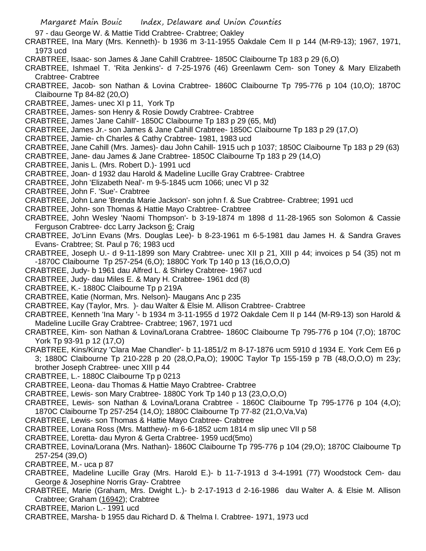97 - dau George W. & Mattie Tidd Crabtree- Crabtree; Oakley

CRABTREE, Ina Mary (Mrs. Kenneth)- b 1936 m 3-11-1955 Oakdale Cem II p 144 (M-R9-13); 1967, 1971, 1973 ucd

- CRABTREE, Isaac- son James & Jane Cahill Crabtree- 1850C Claibourne Tp 183 p 29 (6,O)
- CRABTREE, Ishmael T. 'Rita Jenkins'- d 7-25-1976 (46) Greenlawm Cem- son Toney & Mary Elizabeth Crabtree- Crabtree
- CRABTREE, Jacob- son Nathan & Lovina Crabtree- 1860C Claibourne Tp 795-776 p 104 (10,O); 1870C Claibourne Tp 84-82 (20,O)
- CRABTREE, James- unec XI p 11, York Tp
- CRABTREE, James- son Henry & Rosie Dowdy Crabtree- Crabtree
- CRABTREE, James 'Jane Cahill'- 1850C Claibourne Tp 183 p 29 (65, Md)
- CRABTREE, James Jr.- son James & Jane Cahill Crabtree- 1850C Claibourne Tp 183 p 29 (17,O)
- CRABTREE, Jamie- ch Charles & Cathy Crabtree- 1981, 1983 ucd
- CRABTREE, Jane Cahill (Mrs. James)- dau John Cahill- 1915 uch p 1037; 1850C Claibourne Tp 183 p 29 (63)
- CRABTREE, Jane- dau James & Jane Crabtree- 1850C Claibourne Tp 183 p 29 (14,O)
- CRABTREE, Janis L. (Mrs. Robert D.)- 1991 ucd
- CRABTREE, Joan- d 1932 dau Harold & Madeline Lucille Gray Crabtree- Crabtree
- CRABTREE, John 'Elizabeth Neal'- m 9-5-1845 ucm 1066; unec VI p 32
- CRABTREE, John F. 'Sue'- Crabtree
- CRABTREE, John Lane 'Brenda Marie Jackson'- son john f. & Sue Crabtree- Crabtree; 1991 ucd
- CRABTREE, John- son Thomas & Hattie Mayo Crabtree- Crabtree
- CRABTREE, John Wesley 'Naomi Thompson'- b 3-19-1874 m 1898 d 11-28-1965 son Solomon & Cassie Ferguson Crabtree- dcc Larry Jackson 6; Craig
- CRABTREE, Jo'Linn Evans (Mrs. Douglas Lee)- b 8-23-1961 m 6-5-1981 dau James H. & Sandra Graves Evans- Crabtree; St. Paul p 76; 1983 ucd
- CRABTREE, Joseph U.- d 9-11-1899 son Mary Crabtree- unec XII p 21, XIII p 44; invoices p 54 (35) not m -1870C Claibourne Tp 257-254 (6,O); 1880C York Tp 140 p 13 (16,O,O,O)
- CRABTREE, Judy- b 1961 dau Alfred L. & Shirley Crabtree- 1967 ucd
- CRABTREE, Judy- dau Miles E. & Mary H. Crabtree- 1961 dcd (8)
- CRABTREE, K.- 1880C Claibourne Tp p 219A
- CRABTREE, Katie (Norman, Mrs. Nelson)- Maugans Anc p 235
- CRABTREE, Kay (Taylor, Mrs. )- dau Walter & Elsie M. Allison Crabtree- Crabtree
- CRABTREE, Kenneth 'Ina Mary '- b 1934 m 3-11-1955 d 1972 Oakdale Cem II p 144 (M-R9-13) son Harold & Madeline Lucille Gray Crabtree- Crabtree; 1967, 1971 ucd
- CRABTREE, Kim- son Nathan & Lovina/Lorana Crabtree- 1860C Claibourne Tp 795-776 p 104 (7,O); 1870C York Tp 93-91 p 12 (17,O)
- CRABTREE, Kins/Kinzy 'Clara Mae Chandler'- b 11-1851/2 m 8-17-1876 ucm 5910 d 1934 E. York Cem E6 p 3; 1880C Claibourne Tp 210-228 p 20 (28,O,Pa,O); 1900C Taylor Tp 155-159 p 7B (48,O,O,O) m 23y; brother Joseph Crabtree- unec XIII p 44
- CRABTREE, L.- 1880C Claibourne Tp p 0213
- CRABTREE, Leona- dau Thomas & Hattie Mayo Crabtree- Crabtree
- CRABTREE, Lewis- son Mary Crabtree- 1880C York Tp 140 p 13 (23,O,O,O)
- CRABTREE, Lewis- son Nathan & Lovina/Lorana Crabtree 1860C Claibourne Tp 795-1776 p 104 (4,O); 1870C Claibourne Tp 257-254 (14,O); 1880C Claibourne Tp 77-82 (21,O,Va,Va)
- CRABTREE, Lewis- son Thomas & Hattie Mayo Crabtree- Crabtree
- CRABTREE, Lorana Ross (Mrs. Matthew)- m 6-6-1852 ucm 1814 m slip unec VII p 58
- CRABTREE, Loretta- dau Myron & Gerta Crabtree- 1959 ucd(5mo)
- CRABTREE, Lovina/Lorana (Mrs. Nathan)- 1860C Claibourne Tp 795-776 p 104 (29,O); 1870C Claibourne Tp 257-254 (39,O)
- CRABTREE, M.- uca p 87
- CRABTREE, Madeline Lucille Gray (Mrs. Harold E.)- b 11-7-1913 d 3-4-1991 (77) Woodstock Cem- dau George & Josephine Norris Gray- Crabtree
- CRABTREE, Marie (Graham, Mrs. Dwight L.)- b 2-17-1913 d 2-16-1986 dau Walter A. & Elsie M. Allison Crabtree; Graham (16942); Crabtree
- CRABTREE, Marion L.- 1991 ucd
- CRABTREE, Marsha- b 1955 dau Richard D. & Thelma I. Crabtree- 1971, 1973 ucd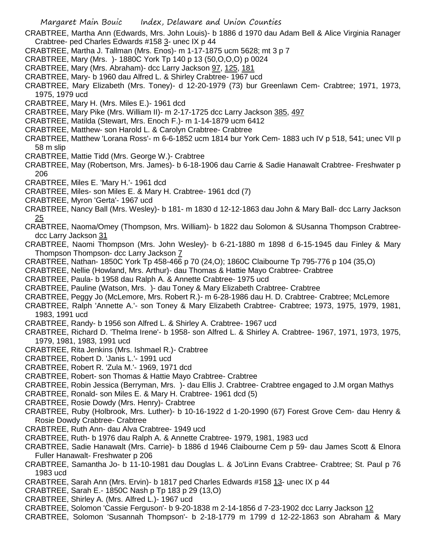- CRABTREE, Martha Ann (Edwards, Mrs. John Louis)- b 1886 d 1970 dau Adam Bell & Alice Virginia Ranager Crabtree- ped Charles Edwards #158 3- unec IX p 44
- CRABTREE, Martha J. Tallman (Mrs. Enos)- m 1-17-1875 ucm 5628; mt 3 p 7
- CRABTREE, Mary (Mrs. )- 1880C York Tp 140 p 13 (50,O,O,O) p 0024
- CRABTREE, Mary (Mrs. Abraham)- dcc Larry Jackson 97, 125, 181
- CRABTREE, Mary- b 1960 dau Alfred L. & Shirley Crabtree- 1967 ucd
- CRABTREE, Mary Elizabeth (Mrs. Toney)- d 12-20-1979 (73) bur Greenlawn Cem- Crabtree; 1971, 1973, 1975, 1979 ucd
- CRABTREE, Mary H. (Mrs. Miles E.)- 1961 dcd
- CRABTREE, Mary Pike (Mrs. William II)- m 2-17-1725 dcc Larry Jackson 385, 497
- CRABTREE, Matilda (Stewart, Mrs. Enoch F.)- m 1-14-1879 ucm 6412
- CRABTREE, Matthew- son Harold L. & Carolyn Crabtree- Crabtree
- CRABTREE, Matthew 'Lorana Ross'- m 6-6-1852 ucm 1814 bur York Cem- 1883 uch IV p 518, 541; unec VII p 58 m slip
- CRABTREE, Mattie Tidd (Mrs. George W.)- Crabtree
- CRABTREE, May (Robertson, Mrs. James)- b 6-18-1906 dau Carrie & Sadie Hanawalt Crabtree- Freshwater p 206
- CRABTREE, Miles E. 'Mary H.'- 1961 dcd
- CRABTREE, Miles- son Miles E. & Mary H. Crabtree- 1961 dcd (7)
- CRABTREE, Myron 'Gerta'- 1967 ucd
- CRABTREE, Nancy Ball (Mrs. Wesley)- b 181- m 1830 d 12-12-1863 dau John & Mary Ball- dcc Larry Jackson 25
- CRABTREE, Naoma/Omey (Thompson, Mrs. William)- b 1822 dau Solomon & SUsanna Thompson Crabtreedcc Larry Jackson 31
- CRABTREE, Naomi Thompson (Mrs. John Wesley)- b 6-21-1880 m 1898 d 6-15-1945 dau Finley & Mary Thompson Thompson- dcc Larry Jackson 7
- CRABTREE, Nathan- 1850C York Tp 458-466 p 70 (24,O); 1860C Claibourne Tp 795-776 p 104 (35,O)
- CRABTREE, Nellie (Howland, Mrs. Arthur)- dau Thomas & Hattie Mayo Crabtree- Crabtree
- CRABTREE, Paula- b 1958 dau Ralph A. & Annette Crabtree- 1975 ucd
- CRABTREE, Pauline (Watson, Mrs. )- dau Toney & Mary Elizabeth Crabtree- Crabtree
- CRABTREE, Peggy Jo (McLemore, Mrs. Robert R.)- m 6-28-1986 dau H. D. Crabtree- Crabtree; McLemore
- CRABTREE, Ralph 'Annette A.'- son Toney & Mary Elizabeth Crabtree- Crabtree; 1973, 1975, 1979, 1981, 1983, 1991 ucd
- CRABTREE, Randy- b 1956 son Alfred L. & Shirley A. Crabtree- 1967 ucd
- CRABTREE, Richard D. 'Thelma Irene'- b 1958- son Alfred L. & Shirley A. Crabtree- 1967, 1971, 1973, 1975, 1979, 1981, 1983, 1991 ucd
- CRABTREE, Rita Jenkins (Mrs. Ishmael R.)- Crabtree
- CRABTREE, Robert D. 'Janis L.'- 1991 ucd
- CRABTREE, Robert R. 'Zula M.'- 1969, 1971 dcd
- CRABTREE, Robert- son Thomas & Hattie Mayo Crabtree- Crabtree
- CRABTREE, Robin Jessica (Berryman, Mrs. )- dau Ellis J. Crabtree- Crabtree engaged to J.M organ Mathys
- CRABTREE, Ronald- son Miles E. & Mary H. Crabtree- 1961 dcd (5)
- CRABTREE, Rosie Dowdy (Mrs. Henry)- Crabtree
- CRABTREE, Ruby (Holbrook, Mrs. Luther)- b 10-16-1922 d 1-20-1990 (67) Forest Grove Cem- dau Henry & Rosie Dowdy Crabtree- Crabtree
- CRABTREE, Ruth Ann- dau Alva Crabtree- 1949 ucd
- CRABTREE, Ruth- b 1976 dau Ralph A. & Annette Crabtree- 1979, 1981, 1983 ucd
- CRABTREE, Sadie Hanawalt (Mrs. Carrie)- b 1886 d 1946 Claibourne Cem p 59- dau James Scott & Elnora Fuller Hanawalt- Freshwater p 206
- CRABTREE, Samantha Jo- b 11-10-1981 dau Douglas L. & Jo'Linn Evans Crabtree- Crabtree; St. Paul p 76 1983 ucd
- CRABTREE, Sarah Ann (Mrs. Ervin)- b 1817 ped Charles Edwards #158 13- unec IX p 44
- CRABTREE, Sarah E.- 1850C Nash p Tp 183 p 29 (13,O)
- CRABTREE, Shirley A. (Mrs. Alfred L.)- 1967 ucd
- CRABTREE, Solomon 'Cassie Ferguson'- b 9-20-1838 m 2-14-1856 d 7-23-1902 dcc Larry Jackson 12
- CRABTREE, Solomon 'Susannah Thompson'- b 2-18-1779 m 1799 d 12-22-1863 son Abraham & Mary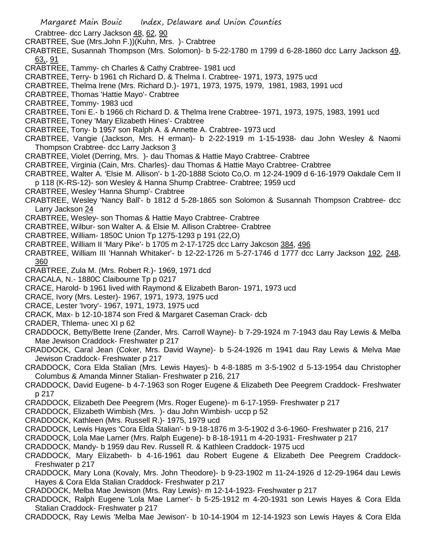- Crabtree- dcc Larry Jackson 48, 62, 90
- CRABTREE, Sue (Mrs.John F.))(Kuhn, Mrs. )- Crabtree
- CRABTREE, Susannah Thompson (Mrs. Solomon)- b 5-22-1780 m 1799 d 6-28-1860 dcc Larry Jackson 49, 63,, 91
- CRABTREE, Tammy- ch Charles & Cathy Crabtree- 1981 ucd
- CRABTREE, Terry- b 1961 ch Richard D. & Thelma I. Crabtree- 1971, 1973, 1975 ucd
- CRABTREE, Thelma Irene (Mrs. Richard D.)- 1971, 1973, 1975, 1979, 1981, 1983, 1991 ucd
- CRABTREE, Thomas 'Hattie Mayo'- Crabtree
- CRABTREE, Tommy- 1983 ucd
- CRABTREE, Toni E.- b 1966 ch Richard D. & Thelma Irene Crabtree- 1971, 1973, 1975, 1983, 1991 ucd
- CRABTREE, Toney 'Mary Elizabeth Hines'- Crabtree
- CRABTREE, Tony- b 1957 son Ralph A. & Annette A. Crabtree- 1973 ucd
- CRABTREE, Vangie (Jackson, Mrs. H erman)- b 2-22-1919 m 1-15-1938- dau John Wesley & Naomi Thompson Crabtree- dcc Larry Jackson 3
- CRABTREE, Violet (Derring, Mrs. )- dau Thomas & Hattie Mayo Crabtree- Crabtree
- CRABTREE, Virginia (Cain, Mrs. Charles)- dau Thomas & Hattie Mayo Crabtree- Crabtree
- CRABTREE, Walter A. 'Elsie M. Allison'- b 1-20-1888 Scioto Co,O. m 12-24-1909 d 6-16-1979 Oakdale Cem II p 118 (K-RS-12)- son Wesley & Hanna Shump Crabtree- Crabtree; 1959 ucd
- CRABTREE, Wesley 'Hanna Shump'- Crabtree
- CRABTREE, Wesley 'Nancy Ball'- b 1812 d 5-28-1865 son Solomon & Susannah Thompson Crabtree- dcc Larry Jackson 24
- CRABTREE, Wesley- son Thomas & Hattie Mayo Crabtree- Crabtree
- CRABTREE, Wilbur- son Walter A. & Elsie M. Allison Crabtree- Crabtree
- CRABTREE, William- 1850C Union Tp 1275-1293 p 191 (22,O)
- CRABTREE, William II 'Mary Pike'- b 1705 m 2-17-1725 dcc Larry Jakcson 384, 496
- CRABTREE, William III 'Hannah Whitaker'- b 12-22-1726 m 5-27-1746 d 1777 dcc Larry Jackson 192, 248, 360
- CRABTREE, Zula M. (Mrs. Robert R.)- 1969, 1971 dcd
- CRACALA, N.- 1880C Claibourne Tp p 0217
- CRACE, Harold- b 1961 lived with Raymond & Elizabeth Baron- 1971, 1973 ucd
- CRACE, Ivory (Mrs. Lester)- 1967, 1971, 1973, 1975 ucd
- CRACE, Lester 'Ivory'- 1967, 1971, 1973, 1975 ucd
- CRACK, Max- b 12-10-1874 son Fred & Margaret Caseman Crack- dcb
- CRADER, Thlema- unec XI p 62
- CRADDOCK, Betty/Bette Irene (Zander, Mrs. Carroll Wayne)- b 7-29-1924 m 7-1943 dau Ray Lewis & Melba Mae Jewison Craddock- Freshwater p 217
- CRADDOCK, Caral Jean (Coker, Mrs. David Wayne)- b 5-24-1926 m 1941 dau Ray Lewis & Melva Mae Jewison Craddock- Freshwater p 217
- CRADDOCK, Cora Elda Stalian (Mrs. Lewis Hayes)- b 4-8-1885 m 3-5-1902 d 5-13-1954 dau Christopher Columbus & Amanda Minner Stalian- Freshwater p 216, 217
- CRADDOCK, David Eugene- b 4-7-1963 son Roger Eugene & Elizabeth Dee Peegrem Craddock- Freshwater p 217
- CRADDOCK, Elizabeth Dee Peegrem (Mrs. Roger Eugene)- m 6-17-1959- Freshwater p 217
- CRADDOCK, Elizabeth Wimbish (Mrs. )- dau John Wimbish- uccp p 52
- CRADDOCK, Kathleen (Mrs. Russell R.)- 1975, 1979 ucd
- CRADDOCK, Lewis Hayes 'Cora Elda Stalian'- b 9-18-1876 m 3-5-1902 d 3-6-1960- Freshwater p 216, 217
- CRADDOCK, Lola Mae Larner (Mrs. Ralph Eugene)- b 8-18-1911 m 4-20-1931- Freshwater p 217
- CRADDOCK, Mandy- b 1959 dau Rev. Russell R. & Kathleen Craddock- 1975 ucd
- CRADDOCK, Mary Elizabeth- b 4-16-1961 dau Robert Eugene & Elizabeth Dee Peegrem Craddock-Freshwater p 217
- CRADDOCK, Mary Lona (Kovaly, Mrs. John Theodore)- b 9-23-1902 m 11-24-1926 d 12-29-1964 dau Lewis Hayes & Cora Elda Stalian Craddock- Freshwater p 217
- CRADDOCK, Melba Mae Jewison (Mrs. Ray Lewis)- m 12-14-1923- Freshwater p 217
- CRADDOCK, Ralph Eugene 'Lola Mae Larner'- b 5-25-1912 m 4-20-1931 son Lewis Hayes & Cora Elda Stalian Craddock- Freshwater p 217
- CRADDOCK, Ray Lewis 'Melba Mae Jewison'- b 10-14-1904 m 12-14-1923 son Lewis Hayes & Cora Elda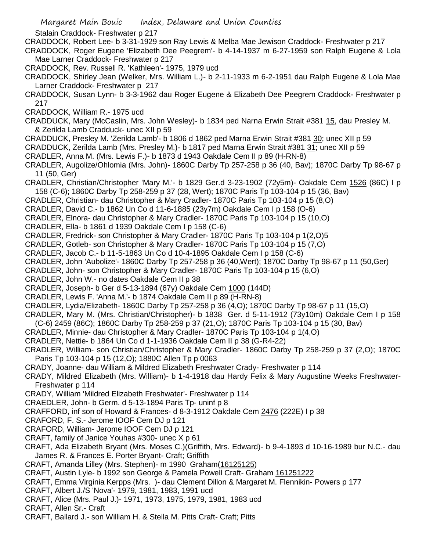Stalain Craddock- Freshwater p 217

CRADDOCK, Robert Lee- b 3-31-1929 son Ray Lewis & Melba Mae Jewison Craddock- Freshwater p 217

CRADDOCK, Roger Eugene 'Elizabeth Dee Peegrem'- b 4-14-1937 m 6-27-1959 son Ralph Eugene & Lola Mae Larner Craddock- Freshwater p 217

CRADDOCK, Rev. Russell R. 'Kathleen'- 1975, 1979 ucd

CRADDOCK, Shirley Jean (Welker, Mrs. William L.)- b 2-11-1933 m 6-2-1951 dau Ralph Eugene & Lola Mae Larner Craddock- Freshwater p 217

CRADDOCK, Susan Lynn- b 3-3-1962 dau Roger Eugene & Elizabeth Dee Peegrem Craddock- Freshwater p 217

CRADDOCK, William R.- 1975 ucd

CRADDUCK, Mary (McCaslin, Mrs. John Wesley)- b 1834 ped Narna Erwin Strait #381 15, dau Presley M. & Zerilda Lamb Cradduck- unec XII p 59

- CRADDUCK, Presley M. 'Zerilda Lamb'- b 1806 d 1862 ped Marna Erwin Strait #381 30; unec XII p 59
- CRADDUCK, Zerilda Lamb (Mrs. Presley M.)- b 1817 ped Marna Erwin Strait #381 31; unec XII p 59
- CRADLER, Anna M. (Mrs. Lewis F.)- b 1873 d 1943 Oakdale Cem II p 89 (H-RN-8)

CRADLER, Augolize/Ohlomia (Mrs. John)- 1860C Darby Tp 257-258 p 36 (40, Bav); 1870C Darby Tp 98-67 p 11 (50, Ger)

- CRADLER, Christian/Christopher 'Mary M.'- b 1829 Ger.d 3-23-1902 (72y5m)- Oakdale Cem 1526 (86C) I p 158 (C-6); 1860C Darby Tp 258-259 p 37 (28, Wert); 1870C Paris Tp 103-104 p 15 (36, Bav)
- CRADLER, Christian- dau Christopher & Mary Cradler- 1870C Paris Tp 103-104 p 15 (8,O)
- CRADLER, David C.- b 1862 Un Co d 11-6-1885 (23y7m) Oakdale Cem I p 158 (O-6)
- CRADLER, Elnora- dau Christopher & Mary Cradler- 1870C Paris Tp 103-104 p 15 (10,O)
- CRADLER, Ella- b 1861 d 1939 Oakdale Cem I p 158 (C-6)
- CRADLER, Fredrick- son Christopher & Mary Cradler- 1870C Paris Tp 103-104 p 1(2,O)5
- CRADLER, Gotleb- son Christopher & Mary Cradler- 1870C Paris Tp 103-104 p 15 (7,O)
- CRADLER, Jacob C.- b 11-5-1863 Un Co d 10-4-1895 Oakdale Cem I p 158 (C-6)
- CRADLER, John 'Aubolize'- 1860C Darby Tp 257-258 p 36 (40,Wert); 1870C Darby Tp 98-67 p 11 (50,Ger)
- CRADLER, John- son Christopher & Mary Cradler- 1870C Paris Tp 103-104 p 15 (6,O)
- CRADLER, John W.- no dates Oakdale Cem II p 38
- CRADLER, Joseph- b Ger d 5-13-1894 (67y) Oakdale Cem 1000 (144D)
- CRADLER, Lewis F. 'Anna M.'- b 1874 Oakdale Cem II p 89 (H-RN-8)
- CRADLER, Lydia/Elizabeth- 1860C Darby Tp 257-258 p 36 (4,O); 1870C Darby Tp 98-67 p 11 (15,O)
- CRADLER, Mary M. (Mrs. Christian/Christopher)- b 1838 Ger. d 5-11-1912 (73y10m) Oakdale Cem I p 158 (C-6) 2459 (86C); 1860C Darby Tp 258-259 p 37 (21,O); 1870C Paris Tp 103-104 p 15 (30, Bav)
- CRADLER, Minnie- dau Christopher & Mary Cradler- 1870C Paris Tp 103-104 p 1(4,O)
- CRADLER, Nettie- b 1864 Un Co d 1-1-1936 Oakdale Cem II p 38 (G-R4-22)
- CRADLER, William- son Christian/Christopher & Mary Cradler- 1860C Darby Tp 258-259 p 37 (2,O); 1870C Paris Tp 103-104 p 15 (12,O); 1880C Allen Tp p 0063
- CRADY, Joanne- dau William & Mildred Elizabeth Freshwater Crady- Freshwater p 114
- CRADY, Mildred Elizabeth (Mrs. William)- b 1-4-1918 dau Hardy Felix & Mary Augustine Weeks Freshwater-Freshwater p 114
- CRADY, William 'Mildred Elizabeth Freshwater'- Freshwater p 114
- CRAEDLER, John- b Germ. d 5-13-1894 Paris Tp- uninf p 8
- CRAFFORD, inf son of Howard & Frances- d 8-3-1912 Oakdale Cem 2476 (222E) I p 38
- CRAFORD, F. S.- Jerome IOOF Cem DJ p 121
- CRAFORD, William- Jerome IOOF Cem DJ p 121
- CRAFT, family of Janice Youhas #300- unec X p 61
- CRAFT, Ada Elizabeth Bryant (Mrs. Moses C.)(Griffith, Mrs. Edward)- b 9-4-1893 d 10-16-1989 bur N.C.- dau James R. & Frances E. Porter Bryant- Craft; Griffith
- CRAFT, Amanda Lilley (Mrs. Stephen)- m 1990 Graham(16125125)
- CRAFT, Austin Lyle- b 1992 son George & Pamela Powell Craft- Graham 161251222
- CRAFT, Emma Virginia Kerpps (Mrs. )- dau Clement Dillon & Margaret M. Flennikin- Powers p 177
- CRAFT, Albert J./S 'Nova'- 1979, 1981, 1983, 1991 ucd
- CRAFT, Alice (Mrs. Paul J.)- 1971, 1973, 1975, 1979, 1981, 1983 ucd
- CRAFT, Allen Sr.- Craft
- CRAFT, Ballard J.- son William H. & Stella M. Pitts Craft- Craft; Pitts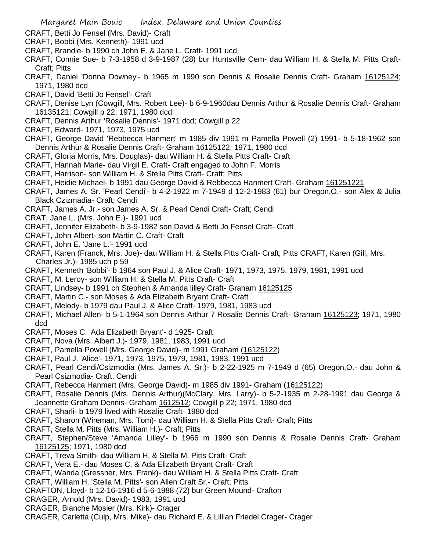- CRAFT, Betti Jo Fensel (Mrs. David)- Craft
- CRAFT, Bobbi (Mrs. Kenneth)- 1991 ucd
- CRAFT, Brandie- b 1990 ch John E. & Jane L. Craft- 1991 ucd
- CRAFT, Connie Sue- b 7-3-1958 d 3-9-1987 (28) bur Huntsville Cem- dau William H. & Stella M. Pitts Craft-Craft; Pitts
- CRAFT, Daniel 'Donna Downey'- b 1965 m 1990 son Dennis & Rosalie Dennis Craft- Graham 16125124; 1971, 1980 dcd
- CRAFT, David 'Betti Jo Fensel'- Craft
- CRAFT, Denise Lyn (Cowgill, Mrs. Robert Lee)- b 6-9-1960dau Dennis Arthur & Rosalie Dennis Craft- Graham 16135121; Cowgill p 22; 1971, 1980 dcd
- CRAFT, Dennis Arthur 'Rosalie Dennis'- 1971 dcd; Cowgill p 22
- CRAFT, Edward- 1971, 1973, 1975 ucd
- CRAFT, George David 'Rebbecca Hanmert' m 1985 div 1991 m Pamella Powell (2) 1991- b 5-18-1962 son Dennis Arthur & Rosalie Dennis Craft- Graham 16125122; 1971, 1980 dcd
- CRAFT, Gloria Morris, Mrs. Douglas)- dau William H. & Stella Pitts Craft- Craft
- CRAFT, Hannah Marie- dau Virgil E. Craft- Craft engaged to John F. Morris
- CRAFT, Harrison- son William H. & Stella Pitts Craft- Craft; Pitts
- CRAFT, Heidie Michael- b 1991 dau George David & Rebbecca Hanmert Craft- Graham 161251221
- CRAFT, James A. Sr. 'Pearl Cendi'- b 4-2-1922 m 7-1949 d 12-2-1983 (61) bur Oregon,O.- son Alex & Julia Black Czizmadia- Craft; Cendi
- CRAFT, James A. Jr.- son James A. Sr. & Pearl Cendi Craft- Craft; Cendi
- CRAT, Jane L. (Mrs. John E.)- 1991 ucd
- CRAFT, Jennifer Elizabeth- b 3-9-1982 son David & Betti Jo Fensel Craft- Craft
- CRAFT, John Albert- son Martin C. Craft- Craft
- CRAFT, John E. 'Jane L.'- 1991 ucd
- CRAFT, Karen (Franck, Mrs. Joe)- dau William H. & Stella Pitts Craft- Craft; Pitts CRAFT, Karen (Gill, Mrs. Charles Jr.)- 1985 uch p 59
- CRAFT, Kenneth 'Bobbi'- b 1964 son Paul J. & Alice Craft- 1971, 1973, 1975, 1979, 1981, 1991 ucd
- CRAFT, M. Leroy- son William H. & Stella M. Pitts Craft- Craft
- CRAFT, Lindsey- b 1991 ch Stephen & Amanda lilley Craft- Graham 16125125
- CRAFT, Martin C.- son Moses & Ada Elizabeth Bryant Craft- Craft
- CRAFT, Melody- b 1979 dau Paul J. & Alice Craft- 1979, 1981, 1983 ucd
- CRAFT, Michael Allen- b 5-1-1964 son Dennis Arthur 7 Rosalie Dennis Craft- Graham 16125123; 1971, 1980 dcd
- CRAFT, Moses C. 'Ada Elizabeth Bryant'- d 1925- Craft
- CRAFT, Nova (Mrs. Albert J.)- 1979, 1981, 1983, 1991 ucd
- CRAFT, Pamella Powell (Mrs. George David)- m 1991 Graham (16125122)
- CRAFT, Paul J. 'Alice'- 1971, 1973, 1975, 1979, 1981, 1983, 1991 ucd
- CRAFT, Pearl Cendi/Csizmodia (Mrs. James A. Sr.)- b 2-22-1925 m 7-1949 d (65) Oregon,O.- dau John & Pearl Csizmodia- Craft; Cendi
- CRAFT, Rebecca Hanmert (Mrs. George David)- m 1985 div 1991- Graham (16125122)
- CRAFT, Rosalie Dennis (Mrs. Dennis Arthur)(McClary, Mrs. Larry)- b 5-2-1935 m 2-28-1991 dau George & Jeannette Graham Dennis- Graham 1612512; Cowgill p 22; 1971, 1980 dcd
- CRAFT, Sharli- b 1979 lived with Rosalie Craft- 1980 dcd
- CRAFT, Sharon (Wireman, Mrs. Tom)- dau William H. & Stella Pitts Craft- Craft; Pitts
- CRAFT, Stella M. Pitts (Mrs. William H.)- Craft; Pitts
- CRAFT, Stephen/Steve 'Amanda Lilley'- b 1966 m 1990 son Dennis & Rosalie Dennis Craft- Graham 16125125; 1971, 1980 dcd
- CRAFT, Treva Smith- dau William H. & Stella M. Pitts Craft- Craft
- CRAFT, Vera E.- dau Moses C. & Ada Elizabeth Bryant Craft- Craft
- CRAFT, Wanda (Gressner, Mrs. Frank)- dau William H. & Stella Pitts Craft- Craft
- CRAFT, William H. 'Stella M. Pitts'- son Allen Craft Sr.- Craft; Pitts
- CRAFTON, Lloyd- b 12-16-1916 d 5-6-1988 (72) bur Green Mound- Crafton
- CRAGER, Arnold (Mrs. David)- 1983, 1991 ucd
- CRAGER, Blanche Mosier (Mrs. Kirk)- Crager
- CRAGER, Carletta (Culp, Mrs. Mike)- dau Richard E. & Lillian Friedel Crager- Crager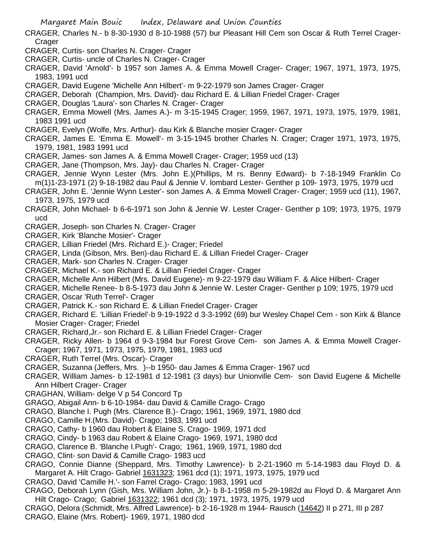- CRAGER, Charles N.- b 8-30-1930 d 8-10-1988 (57) bur Pleasant Hill Cem son Oscar & Ruth Terrel Crager-Crager
- CRAGER, Curtis- son Charles N. Crager- Crager
- CRAGER, Curtis- uncle of Charles N. Crager- Crager
- CRAGER, David 'Arnold'- b 1957 son James A. & Emma Mowell Crager- Crager; 1967, 1971, 1973, 1975, 1983, 1991 ucd
- CRAGER, David Eugene 'Michelle Ann Hilbert'- m 9-22-1979 son James Crager- Crager
- CRAGER, Deborah (Champion, Mrs. David)- dau Richard E. & Lillian Friedel Crager- Crager
- CRAGER, Douglas 'Laura'- son Charles N. Crager- Crager
- CRAGER, Emma Mowell (Mrs. James A.)- m 3-15-1945 Crager; 1959, 1967, 1971, 1973, 1975, 1979, 1981, 1983 1991 ucd
- CRAGER, Evelyn (Wolfe, Mrs. Arthur)- dau Kirk & Blanche mosier Crager- Crager
- CRAGER, James E. 'Emma E. Mowell'- m 3-15-1945 brother Charles N. Crager; Crager 1971, 1973, 1975, 1979, 1981, 1983 1991 ucd
- CRAGER, James- son James A. & Emma Mowell Crager- Crager; 1959 ucd (13)
- CRAGER, Jane (Thompson, Mrs. Jay)- dau Charles N. Crager- Crager
- CRAGER, Jennie Wynn Lester (Mrs. John E.)(Phillips, M rs. Benny Edward)- b 7-18-1949 Franklin Co m(1)1-23-1971 (2) 9-18-1982 dau Paul & Jennie V. lombard Lester- Genther p 109- 1973, 1975, 1979 ucd
- CRAGER, John E. 'Jennie Wynn Lester'- son James A. & Emma Mowell Crager- Crager; 1959 ucd (11), 1967, 1973, 1975, 1979 ucd
- CRAGER, John Michael- b 6-6-1971 son John & Jennie W. Lester Crager- Genther p 109; 1973, 1975, 1979 ucd
- CRAGER, Joseph- son Charles N. Crager- Crager
- CRAGER, Kirk 'Blanche Mosier'- Crager
- CRAGER, Lillian Friedel (Mrs. Richard E.)- Crager; Friedel
- CRAGER, Linda (Gibson, Mrs. Ben)-dau Richard E. & Lillian Friedel Crager- Crager
- CRAGER, Mark- son Charles N. Crager- Crager
- CRAGER, Michael K.- son Richard E. & Lillian Friedel Crager- Crager
- CRAGER, Michelle Ann Hilbert (Mrs. David Eugene)- m 9-22-1979 dau William F. & Alice Hilbert- Crager
- CRAGER, Michelle Renee- b 8-5-1973 dau John & Jennie W. Lester Crager- Genther p 109; 1975, 1979 ucd CRAGER, Oscar 'Ruth Terrel'- Crager
- CRAGER, Patrick K.- son Richard E. & Lillian Friedel Crager- Crager
- CRAGER, Richard E. 'Lillian Friedel'-b 9-19-1922 d 3-3-1992 (69) bur Wesley Chapel Cem son Kirk & Blance Mosier Crager- Crager; Friedel
- CRAGER, Richard,Jr.- son Richard E. & Lillian Friedel Crager- Crager
- CRAGER, Ricky Allen- b 1964 d 9-3-1984 bur Forest Grove Cem- son James A. & Emma Mowell Crager-Crager; 1967, 1971, 1973, 1975, 1979, 1981, 1983 ucd
- CRAGER, Ruth Terrel (Mrs. Oscar)- Crager
- CRAGER, Suzanna (Jeffers, Mrs. )--b 1950- dau James & Emma Crager- 1967 ucd
- CRAGER, William James- b 12-1981 d 12-1981 (3 days) bur Unionville Cem- son David Eugene & Michelle Ann Hilbert Crager- Crager
- CRAGHAN, William- delge V p 54 Concord Tp
- GRAGO, Abigail Ann- b 6-10-1984- dau David & Camille Crago- Crago
- CRAGO, Blanche I. Pugh (Mrs. Clarence B.)- Crago; 1961, 1969, 1971, 1980 dcd
- CRAGO, Camille H.(Mrs. David)- Crago; 1983, 1991 ucd
- CRAGO, Cathy- b 1960 dau Robert & Elaine S. Crago- 1969, 1971 dcd
- CRAGO, Cindy- b 1963 dau Robert & Elaine Crago- 1969, 1971, 1980 dcd
- CRAGO, Clarence B. 'Blanche I.Pugh'- Crago; 1961, 1969, 1971, 1980 dcd
- CRAGO, Clint- son David & Camille Crago- 1983 ucd
- CRAGO, Connie Dianne (Sheppard, Mrs. Timothy Lawrence)- b 2-21-1960 m 5-14-1983 dau Floyd D. & Margaret A. Hilt Crago- Gabriel 1631323; 1961 dcd (1); 1971, 1973, 1975, 1979 ucd
- CRAGO, David 'Camille H.'- son Farrel Crago- Crago; 1983, 1991 ucd
- CRAGO, Deborah Lynn (Gish, Mrs. William John, Jr.)- b 8-1-1958 m 5-29-1982d au Floyd D. & Margaret Ann Hilt Crago- Crago; Gabriel 1631322; 1961 dcd (3); 1971, 1973, 1975, 1979 ucd
- CRAGO, Delora (Schmidt, Mrs. Alfred Lawrence)- b 2-16-1928 m 1944- Rausch (14642) II p 271, III p 287 CRAGO, Elaine (Mrs. Robert)- 1969, 1971, 1980 dcd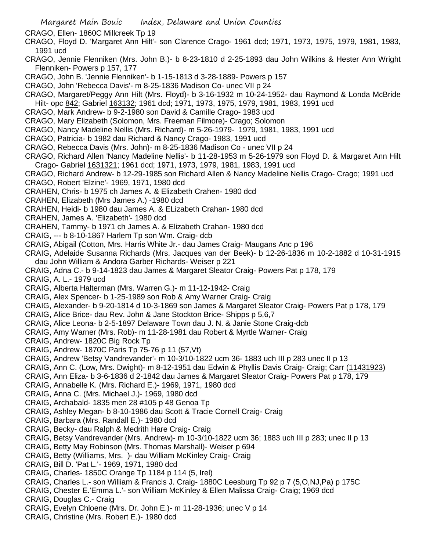- Margaret Main Bouic Index, Delaware and Union Counties
- CRAGO, Ellen- 1860C Millcreek Tp 19
- CRAGO, Floyd D. 'Margaret Ann Hilt'- son Clarence Crago- 1961 dcd; 1971, 1973, 1975, 1979, 1981, 1983, 1991 ucd
- CRAGO, Jennie Flenniken (Mrs. John B.)- b 8-23-1810 d 2-25-1893 dau John Wilkins & Hester Ann Wright Flenniken- Powers p 157, 177
- CRAGO, John B. 'Jennie Flenniken'- b 1-15-1813 d 3-28-1889- Powers p 157
- CRAGO, John 'Rebecca Davis'- m 8-25-1836 Madison Co- unec VII p 24
- CRAGO, Margaret/Peggy Ann Hilt (Mrs. Floyd)- b 3-16-1932 m 10-24-1952- dau Raymond & Londa McBride Hilt- opc 842; Gabriel 163132; 1961 dcd; 1971, 1973, 1975, 1979, 1981, 1983, 1991 ucd
- CRAGO, Mark Andrew- b 9-2-1980 son David & Camille Crago- 1983 ucd
- CRAGO, Mary Elizabeth (Solomon, Mrs. Freeman Filmore)- Crago; Solomon
- CRAGO, Nancy Madeline Nellis (Mrs. Richard)- m 5-26-1979- 1979, 1981, 1983, 1991 ucd
- CRAGO, Patricia- b 1982 dau Richard & Nancy Crago- 1983, 1991 ucd
- CRAGO, Rebecca Davis (Mrs. John)- m 8-25-1836 Madison Co unec VII p 24
- CRAGO, Richard Allen 'Nancy Madeline Nellis'- b 11-28-1953 m 5-26-1979 son Floyd D. & Margaret Ann Hilt Crago- Gabriel 1631321; 1961 dcd; 1971, 1973, 1979, 1981, 1983, 1991 ucd
- CRAGO, Richard Andrew- b 12-29-1985 son Richard Allen & Nancy Madeline Nellis Crago- Crago; 1991 ucd
- CRAGO, Robert 'Elzine'- 1969, 1971, 1980 dcd
- CRAHEN, Chris- b 1975 ch James A. & Elizabeth Crahen- 1980 dcd
- CRAHEN, Elizabeth (Mrs James A.) -1980 dcd
- CRAHEN, Heidi- b 1980 dau James A. & ELizabeth Crahan- 1980 dcd
- CRAHEN, James A. 'Elizabeth'- 1980 dcd
- CRAHEN, Tammy- b 1971 ch James A. & Elizabeth Crahan- 1980 dcd
- CRAIG, --- b 8-10-1867 Harlem Tp son Wm. Craig- dcb
- CRAIG, Abigail (Cotton, Mrs. Harris White Jr.- dau James Craig- Maugans Anc p 196
- CRAIG, Adelaide Susanna Richards (Mrs. Jacques van der Beek)- b 12-26-1836 m 10-2-1882 d 10-31-1915 dau John William & Andora Garber Richards- Weiser p 221
- CRAIG, Adna C.- b 9-14-1823 dau James & Margaret Sleator Craig- Powers Pat p 178, 179
- CRAIG, A. L.- 1979 ucd
- CRAIG, Alberta Halterman (Mrs. Warren G.)- m 11-12-1942- Craig
- CRAIG, Alex Spencer- b 1-25-1989 son Rob & Amy Warner Craig- Craig
- CRAIG, Alexander- b 9-20-1814 d 10-3-1869 son James & Margaret Sleator Craig- Powers Pat p 178, 179
- CRAIG, Alice Brice- dau Rev. John & Jane Stockton Brice- Shipps p 5,6,7
- CRAIG, Alice Leona- b 2-5-1897 Delaware Town dau J. N. & Janie Stone Craig-dcb
- CRAIG, Amy Warner (Mrs. Rob)- m 11-28-1981 dau Robert & Myrtle Warner- Craig
- CRAIG, Andrew- 1820C Big Rock Tp
- CRAIG, Andrew- 1870C Paris Tp 75-76 p 11 (57,Vt)
- CRAIG, Andrew 'Betsy Vandrevander'- m 10-3/10-1822 ucm 36- 1883 uch III p 283 unec II p 13
- CRAIG, Ann C. (Low, Mrs. Dwight)- m 8-12-1951 dau Edwin & Phyllis Davis Craig- Craig; Carr (11431923)
- CRAIG, Ann Eliza- b 3-6-1836 d 2-1842 dau James & Margaret Sleator Craig- Powers Pat p 178, 179
- CRAIG, Annabelle K. (Mrs. Richard E.)- 1969, 1971, 1980 dcd
- CRAIG, Anna C. (Mrs. Michael J.)- 1969, 1980 dcd
- CRAIG, Archabald- 1835 men 28 #105 p 48 Genoa Tp
- CRAIG, Ashley Megan- b 8-10-1986 dau Scott & Tracie Cornell Craig- Craig
- CRAIG, Barbara (Mrs. Randall E.)- 1980 dcd
- CRAIG, Becky- dau Ralph & Medrith Hare Craig- Craig
- CRAIG, Betsy Vandrevander (Mrs. Andrew)- m 10-3/10-1822 ucm 36; 1883 uch III p 283; unec II p 13
- CRAIG, Betty May Robinson (Mrs. Thomas Marshall)- Weiser p 694
- CRAIG, Betty (Williams, Mrs. )- dau William McKinley Craig- Craig
- CRAIG, Bill D. 'Pat L.'- 1969, 1971, 1980 dcd
- CRAIG, Charles- 1850C Orange Tp 1184 p 114 (5, Irel)
- CRAIG, Charles L.- son William & Francis J. Craig- 1880C Leesburg Tp 92 p 7 (5,O,NJ,Pa) p 175C
- CRAIG, Chester E.'Emma L.'- son William McKinley & Ellen Malissa Craig- Craig; 1969 dcd
- CRAIG, Douglas C.- Craig
- CRAIG, Evelyn Chloene (Mrs. Dr. John E.)- m 11-28-1936; unec V p 14
- CRAIG, Christine (Mrs. Robert E.)- 1980 dcd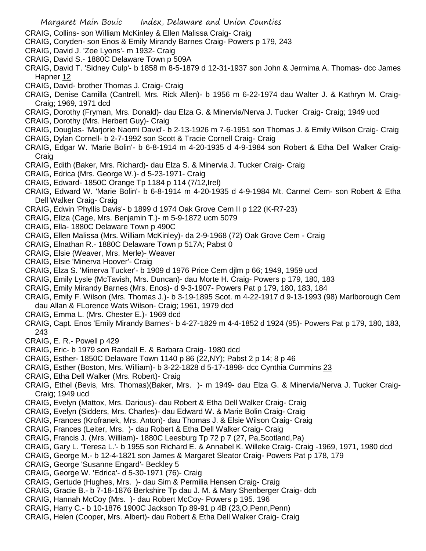- CRAIG, Collins- son William McKinley & Ellen Malissa Craig- Craig
- CRAIG, Coryden- son Enos & Emily Mirandy Barnes Craig- Powers p 179, 243
- CRAIG, David J. 'Zoe Lyons'- m 1932- Craig
- CRAIG, David S.- 1880C Delaware Town p 509A
- CRAIG, David T. 'Sidney Culp'- b 1858 m 8-5-1879 d 12-31-1937 son John & Jermima A. Thomas- dcc James Hapner 12
- CRAIG, David- brother Thomas J. Craig- Craig
- CRAIG, Denise Camilla (Cantrell, Mrs. Rick Allen)- b 1956 m 6-22-1974 dau Walter J. & Kathryn M. Craig-Craig; 1969, 1971 dcd
- CRAIG, Dorothy (Fryman, Mrs. Donald)- dau Elza G. & Minervia/Nerva J. Tucker Craig- Craig; 1949 ucd
- CRAIG, Dorothy (Mrs. Herbert Guy)- Craig
- CRAIG, Douglas- 'Marjorie Naomi David'- b 2-13-1926 m 7-6-1951 son Thomas J. & Emily Wilson Craig- Craig
- CRAIG, Dylan Cornell- b 2-7-1992 son Scott & Tracie Cornell Craig- Craig
- CRAIG, Edgar W. 'Marie Bolin'- b 6-8-1914 m 4-20-1935 d 4-9-1984 son Robert & Etha Dell Walker Craig-Craig
- CRAIG, Edith (Baker, Mrs. Richard)- dau Elza S. & Minervia J. Tucker Craig- Craig
- CRAIG, Edrica (Mrs. George W.)- d 5-23-1971- Craig
- CRAIG, Edward- 1850C Orange Tp 1184 p 114 (7/12,Irel)
- CRAIG, Edward W. 'Marie Bolin'- b 6-8-1914 m 4-20-1935 d 4-9-1984 Mt. Carmel Cem- son Robert & Etha Dell Walker Craig- Craig
- CRAIG, Edwin 'Phyllis Davis'- b 1899 d 1974 Oak Grove Cem II p 122 (K-R7-23)
- CRAIG, Eliza (Cage, Mrs. Benjamin T.)- m 5-9-1872 ucm 5079
- CRAIG, Ella- 1880C Delaware Town p 490C
- CRAIG, Ellen Malissa (Mrs. William McKinley)- da 2-9-1968 (72) Oak Grove Cem Craig
- CRAIG, Elnathan R.- 1880C Delaware Town p 517A; Pabst 0
- CRAIG, Elsie (Weaver, Mrs. Merle)- Weaver
- CRAIG, Elsie 'Minerva Hoover'- Craig
- CRAIG, Elza S. 'Minerva Tucker'- b 1909 d 1976 Price Cem djlm p 66; 1949, 1959 ucd
- CRAIG, Emily Lysle (McTavish, Mrs. Duncan)- dau Morte H. Craig- Powers p 179, 180, 183
- CRAIG, Emily Mirandy Barnes (Mrs. Enos)- d 9-3-1907- Powers Pat p 179, 180, 183, 184
- CRAIG, Emily F. Wilson (Mrs. Thomas J.)- b 3-19-1895 Scot. m 4-22-1917 d 9-13-1993 (98) Marlborough Cem dau Allan & FLorence Wats Wilson- Craig; 1961, 1979 dcd
- CRAIG, Emma L. (Mrs. Chester E.)- 1969 dcd
- CRAIG, Capt. Enos 'Emily Mirandy Barnes'- b 4-27-1829 m 4-4-1852 d 1924 (95)- Powers Pat p 179, 180, 183, 243
- CRAIG, E. R.- Powell p 429
- CRAIG, Eric- b 1979 son Randall E. & Barbara Craig- 1980 dcd
- CRAIG, Esther- 1850C Delaware Town 1140 p 86 (22,NY); Pabst 2 p 14; 8 p 46
- CRAIG, Esther (Boston, Mrs. William)- b 3-22-1828 d 5-17-1898- dcc Cynthia Cummins 23
- CRAIG, Etha Dell Walker (Mrs. Robert)- Craig
- CRAIG, Ethel (Bevis, Mrs. Thomas)(Baker, Mrs. )- m 1949- dau Elza G. & Minervia/Nerva J. Tucker Craig-Craig; 1949 ucd
- CRAIG, Evelyn (Mattox, Mrs. Darious)- dau Robert & Etha Dell Walker Craig- Craig
- CRAIG, Evelyn (Sidders, Mrs. Charles)- dau Edward W. & Marie Bolin Craig- Craig
- CRAIG, Frances (Krofranek, Mrs. Anton)- dau Thomas J. & Elsie Wilson Craig- Craig
- CRAIG, Frances (Leiter, Mrs. )- dau Robert & Etha Dell Walker Craig- Craig
- CRAIG, Francis J. (Mrs. William)- 1880C Leesburg Tp 72 p 7 (27, Pa,Scotland,Pa)
- CRAIG, Gary L. 'Teresa L.'- b 1955 son Richard E. & Annabel K. Willeke Craig- Craig -1969, 1971, 1980 dcd
- CRAIG, George M.- b 12-4-1821 son James & Margaret Sleator Craig- Powers Pat p 178, 179
- CRAIG, George 'Susanne Engard'- Beckley 5
- CRAIG, George W. 'Edrica'- d 5-30-1971 (76)- Craig
- CRAIG, Gertude (Hughes, Mrs. )- dau Sim & Permilia Hensen Craig- Craig
- CRAIG, Gracie B.- b 7-18-1876 Berkshire Tp dau J. M. & Mary Shenberger Craig- dcb
- CRAIG, Hannah McCoy (Mrs. )- dau Robert McCoy- Powers p 195. 196
- CRAIG, Harry C.- b 10-1876 1900C Jackson Tp 89-91 p 4B (23,O,Penn,Penn)
- CRAIG, Helen (Cooper, Mrs. Albert)- dau Robert & Etha Dell Walker Craig- Craig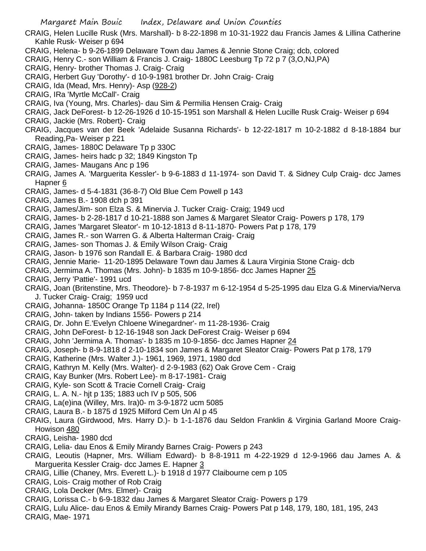CRAIG, Helen Lucille Rusk (Mrs. Marshall)- b 8-22-1898 m 10-31-1922 dau Francis James & Lillina Catherine Kahle Rusk- Weiser p 694

- CRAIG, Helena- b 9-26-1899 Delaware Town dau James & Jennie Stone Craig; dcb, colored
- CRAIG, Henry C.- son William & Francis J. Craig- 1880C Leesburg Tp 72 p 7 (3,O,NJ,PA)
- CRAIG, Henry- brother Thomas J. Craig- Craig
- CRAIG, Herbert Guy 'Dorothy'- d 10-9-1981 brother Dr. John Craig- Craig
- CRAIG, Ida (Mead, Mrs. Henry)- Asp (928-2)
- CRAIG, IRa 'Myrtle McCall'- Craig
- CRAIG, Iva (Young, Mrs. Charles)- dau Sim & Permilia Hensen Craig- Craig
- CRAIG, Jack DeForest- b 12-26-1926 d 10-15-1951 son Marshall & Helen Lucille Rusk Craig- Weiser p 694
- CRAIG, Jackie (Mrs. Robert)- Craig
- CRAIG, Jacques van der Beek 'Adelaide Susanna Richards'- b 12-22-1817 m 10-2-1882 d 8-18-1884 bur Reading,Pa- Weiser p 221
- CRAIG, James- 1880C Delaware Tp p 330C
- CRAIG, James- heirs hadc p 32; 1849 Kingston Tp
- CRAIG, James- Maugans Anc p 196
- CRAIG, James A. 'Marguerita Kessler'- b 9-6-1883 d 11-1974- son David T. & Sidney Culp Craig- dcc James Hapner 6
- CRAIG, James- d 5-4-1831 (36-8-7) Old Blue Cem Powell p 143
- CRAIG, James B.- 1908 dch p 391
- CRAIG, James/Jim- son Elza S. & Minervia J. Tucker Craig- Craig; 1949 ucd
- CRAIG, James- b 2-28-1817 d 10-21-1888 son James & Margaret Sleator Craig- Powers p 178, 179
- CRAIG, James 'Margaret Sleator'- m 10-12-1813 d 8-11-1870- Powers Pat p 178, 179
- CRAIG, James R.- son Warren G. & Alberta Halterman Craig- Craig
- CRAIG, James- son Thomas J. & Emily Wilson Craig- Craig
- CRAIG, Jason- b 1976 son Randall E. & Barbara Craig- 1980 dcd
- CRAIG, Jennie Marie- 11-20-1895 Delaware Town dau James & Laura Virginia Stone Craig- dcb
- CRAIG, Jermima A. Thomas (Mrs. John)- b 1835 m 10-9-1856- dcc James Hapner 25
- CRAIG, Jerry 'Pattie'- 1991 ucd
- CRAIG, Joan (Britenstine, Mrs. Theodore)- b 7-8-1937 m 6-12-1954 d 5-25-1995 dau Elza G.& Minervia/Nerva J. Tucker Craig- Craig; 1959 ucd
- CRAIG, Johanna- 1850C Orange Tp 1184 p 114 (22, Irel)
- CRAIG, John- taken by Indians 1556- Powers p 214
- CRAIG, Dr. John E.'Evelyn Chloene Winegardner'- m 11-28-1936- Craig
- CRAIG, John DeForest- b 12-16-1948 son Jack DeForest Craig- Weiser p 694
- CRAIG, John 'Jermima A. Thomas'- b 1835 m 10-9-1856- dcc James Hapner 24
- CRAIG, Joseph- b 8-9-1818 d 2-10-1834 son James & Margaret Sleator Craig- Powers Pat p 178, 179
- CRAIG, Katherine (Mrs. Walter J.)- 1961, 1969, 1971, 1980 dcd
- CRAIG, Kathryn M. Kelly (Mrs. Walter)- d 2-9-1983 (62) Oak Grove Cem Craig
- CRAIG, Kay Bunker (Mrs. Robert Lee)- m 8-17-1981- Craig
- CRAIG, Kyle- son Scott & Tracie Cornell Craig- Craig
- CRAIG, L. A. N.- hjt p 135; 1883 uch IV p 505, 506
- CRAIG, La(e)ina (Willey, Mrs. Ira)0- m 3-9-1872 ucm 5085
- CRAIG, Laura B.- b 1875 d 1925 Milford Cem Un Al p 45
- CRAIG, Laura (Girdwood, Mrs. Harry D.)- b 1-1-1876 dau Seldon Franklin & Virginia Garland Moore Craig-Howison 480
- CRAIG, Leisha- 1980 dcd
- CRAIG, Lelia- dau Enos & Emily Mirandy Barnes Craig- Powers p 243
- CRAIG, Leoutis (Hapner, Mrs. William Edward)- b 8-8-1911 m 4-22-1929 d 12-9-1966 dau James A. & Marguerita Kessler Craig- dcc James E. Hapner 3
- CRAIG, Lillie (Chaney, Mrs. Everett L.)- b 1918 d 1977 Claibourne cem p 105
- CRAIG, Lois- Craig mother of Rob Craig
- CRAIG, Lola Decker (Mrs. Elmer)- Craig
- CRAIG, Lorissa C.- b 6-9-1832 dau James & Margaret Sleator Craig- Powers p 179
- CRAIG, Lulu Alice- dau Enos & Emily Mirandy Barnes Craig- Powers Pat p 148, 179, 180, 181, 195, 243
- CRAIG, Mae- 1971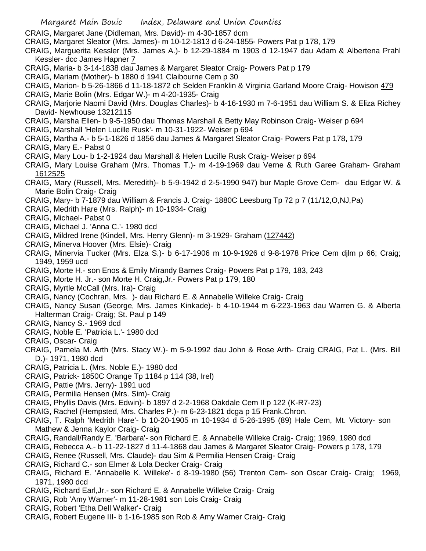- CRAIG, Margaret Jane (Didleman, Mrs. David)- m 4-30-1857 dcm
- CRAIG, Margaret Sleator (Mrs. James)- m 10-12-1813 d 6-24-1855- Powers Pat p 178, 179
- CRAIG, Marguerita Kessler (Mrs. James A.)- b 12-29-1884 m 1903 d 12-1947 dau Adam & Albertena Prahl Kessler- dcc James Hapner 7
- CRAIG, Maria- b 3-14-1838 dau James & Margaret Sleator Craig- Powers Pat p 179
- CRAIG, Mariam (Mother)- b 1880 d 1941 Claibourne Cem p 30
- CRAIG, Marion- b 5-26-1866 d 11-18-1872 ch Selden Franklin & Virginia Garland Moore Craig- Howison 479
- CRAIG, Marie Bolin (Mrs. Edgar W.)- m 4-20-1935- Craig
- CRAIG, Marjorie Naomi David (Mrs. Douglas Charles)- b 4-16-1930 m 7-6-1951 dau William S. & Eliza Richey David- Newhouse 13212115
- CRAIG, Marsha Ellen- b 9-5-1950 dau Thomas Marshall & Betty May Robinson Craig- Weiser p 694
- CRAIG, Marshall 'Helen Lucille Rusk'- m 10-31-1922- Weiser p 694
- CRAIG, Martha A.- b 5-1-1826 d 1856 dau James & Margaret Sleator Craig- Powers Pat p 178, 179
- CRAIG, Mary E.- Pabst 0
- CRAIG, Mary Lou- b 1-2-1924 dau Marshall & Helen Lucille Rusk Craig- Weiser p 694
- CRAIG, Mary Louise Graham (Mrs. Thomas T.)- m 4-19-1969 dau Verne & Ruth Garee Graham- Graham 1612525
- CRAIG, Mary (Russell, Mrs. Meredith)- b 5-9-1942 d 2-5-1990 947) bur Maple Grove Cem- dau Edgar W. & Marie Bolin Craig- Craig
- CRAIG, Mary- b 7-1879 dau William & Francis J. Craig- 1880C Leesburg Tp 72 p 7 (11/12,O,NJ,Pa)
- CRAIG, Medrith Hare (Mrs. Ralph)- m 10-1934- Craig
- CRAIG, Michael- Pabst 0
- CRAIG, Michael J. 'Anna C.'- 1980 dcd
- CRAIG, Mildred Irene (Kindell, Mrs. Henry Glenn)- m 3-1929- Graham (127442)
- CRAIG, Minerva Hoover (Mrs. Elsie)- Craig
- CRAIG, Minervia Tucker (Mrs. Elza S.)- b 6-17-1906 m 10-9-1926 d 9-8-1978 Price Cem djlm p 66; Craig; 1949, 1959 ucd
- CRAIG, Morte H.- son Enos & Emily Mirandy Barnes Craig- Powers Pat p 179, 183, 243
- CRAIG, Morte H. Jr.- son Morte H. Craig,Jr.- Powers Pat p 179, 180
- CRAIG, Myrtle McCall (Mrs. Ira)- Craig
- CRAIG, Nancy (Cochran, Mrs. )- dau Richard E. & Annabelle Willeke Craig- Craig
- CRAIG, Nancy Susan (George, Mrs. James Kinkade)- b 4-10-1944 m 6-223-1963 dau Warren G. & Alberta Halterman Craig- Craig; St. Paul p 149
- CRAIG, Nancy S.- 1969 dcd
- CRAIG, Noble E. 'Patricia L.'- 1980 dcd
- CRAIG, Oscar- Craig
- CRAIG, Pamela M. Arth (Mrs. Stacy W.)- m 5-9-1992 dau John & Rose Arth- Craig CRAIG, Pat L. (Mrs. Bill D.)- 1971, 1980 dcd
- CRAIG, Patricia L. (Mrs. Noble E.)- 1980 dcd
- CRAIG, Patrick- 1850C Orange Tp 1184 p 114 (38, Irel)
- CRAIG, Pattie (Mrs. Jerry)- 1991 ucd
- CRAIG, Permilia Hensen (Mrs. Sim)- Craig
- CRAIG, Phyllis Davis (Mrs. Edwin)- b 1897 d 2-2-1968 Oakdale Cem II p 122 (K-R7-23)
- CRAIG, Rachel (Hempsted, Mrs. Charles P.)- m 6-23-1821 dcga p 15 Frank.Chron.
- CRAIG, T. Ralph 'Medrith Hare'- b 10-20-1905 m 10-1934 d 5-26-1995 (89) Hale Cem, Mt. Victory- son Mathew & Jenna Kaylor Craig- Craig
- CRAIG, Randall/Randy E. 'Barbara'- son Richard E. & Annabelle Willeke Craig- Craig; 1969, 1980 dcd
- CRAIG, Rebecca A.- b 11-22-1827 d 11-4-1868 dau James & Margaret Sleator Craig- Powers p 178, 179
- CRAIG, Renee (Russell, Mrs. Claude)- dau Sim & Permilia Hensen Craig- Craig
- CRAIG, Richard C.- son Elmer & Lola Decker Craig- Craig
- CRAIG, Richard E. 'Annabelle K. Willeke'- d 8-19-1980 (56) Trenton Cem- son Oscar Craig- Craig; 1969, 1971, 1980 dcd
- CRAIG, Richard Earl,Jr.- son Richard E. & Annabelle Willeke Craig- Craig
- CRAIG, Rob 'Amy Warner'- m 11-28-1981 son Lois Craig- Craig
- CRAIG, Robert 'Etha Dell Walker'- Craig
- CRAIG, Robert Eugene III- b 1-16-1985 son Rob & Amy Warner Craig- Craig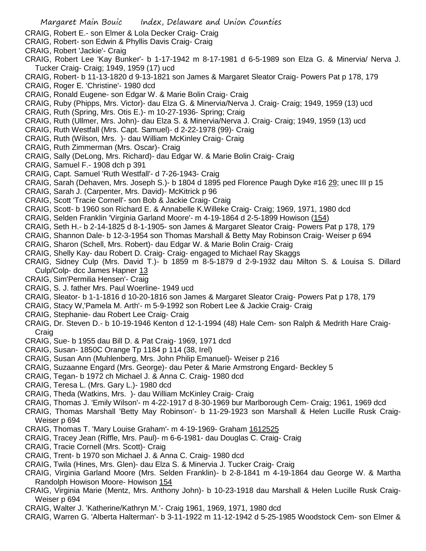- CRAIG, Robert 'Jackie'- Craig
- CRAIG, Robert Lee 'Kay Bunker'- b 1-17-1942 m 8-17-1981 d 6-5-1989 son Elza G. & Minervia/ Nerva J. Tucker Craig- Craig; 1949, 1959 (17) ucd
- CRAIG, Robert- b 11-13-1820 d 9-13-1821 son James & Margaret Sleator Craig- Powers Pat p 178, 179
- CRAIG, Roger E. 'Christine'- 1980 dcd
- CRAIG, Ronald Eugene- son Edgar W. & Marie Bolin Craig- Craig
- CRAIG, Ruby (Phipps, Mrs. Victor)- dau Elza G. & Minervia/Nerva J. Craig- Craig; 1949, 1959 (13) ucd
- CRAIG, Ruth (Spring, Mrs. Otis E.)- m 10-27-1936- Spring; Craig
- CRAIG, Ruth (Ullmer, Mrs. John)- dau Elza S. & Minervia/Nerva J. Craig- Craig; 1949, 1959 (13) ucd
- CRAIG, Ruth Westfall (Mrs. Capt. Samuel)- d 2-22-1978 (99)- Craig
- CRAIG, Ruth (Wilson, Mrs. )- dau William McKinley Craig- Craig
- CRAIG, Ruth Zimmerman (Mrs. Oscar)- Craig
- CRAIG, Sally (DeLong, Mrs. Richard)- dau Edgar W. & Marie Bolin Craig- Craig
- CRAIG, Samuel F.- 1908 dch p 391
- CRAIG, Capt. Samuel 'Ruth Westfall'- d 7-26-1943- Craig
- CRAIG, Sarah (Dehaven, Mrs. Joseph S.)- b 1804 d 1895 ped Florence Paugh Dyke #16 29; unec III p 15
- CRAIG, Sarah J. (Carpenter, Mrs. David)- McKitrick p 96
- CRAIG, Scott 'Tracie Cornell'- son Bob & Jackie Craig- Craig
- CRAIG, Scott- b 1960 son Richard E. & Annabelle K.Willeke Craig- Craig; 1969, 1971, 1980 dcd
- CRAIG, Selden Franklin 'Virginia Garland Moore'- m 4-19-1864 d 2-5-1899 Howison (154)
- CRAIG, Seth H.- b 2-14-1825 d 8-1-1905- son James & Margaret Sleator Craig- Powers Pat p 178, 179
- CRAIG, Shannon Dale- b 12-3-1954 son Thomas Marshall & Betty May Robinson Craig- Weiser p 694
- CRAIG, Sharon (Schell, Mrs. Robert)- dau Edgar W. & Marie Bolin Craig- Craig
- CRAIG, Shelly Kay- dau Robert D. Craig- Craig- engaged to Michael Ray Skaggs
- CRAIG, Sidney Culp (Mrs. David T.)- b 1859 m 8-5-1879 d 2-9-1932 dau Milton S. & Louisa S. Dillard Culp/Colp- dcc James Hapner 13
- CRAIG, Sim'Permilia Hensen'- Craig
- CRAIG, S. J. father Mrs. Paul Woerline- 1949 ucd
- CRAIG, Sleator- b 1-1-1816 d 10-20-1816 son James & Margaret Sleator Craig- Powers Pat p 178, 179
- CRAIG, Stacy W,'Pamela M. Arth'- m 5-9-1992 son Robert Lee & Jackie Craig- Craig
- CRAIG, Stephanie- dau Robert Lee Craig- Craig
- CRAIG, Dr. Steven D.- b 10-19-1946 Kenton d 12-1-1994 (48) Hale Cem- son Ralph & Medrith Hare Craig-**Craig**
- CRAIG, Sue- b 1955 dau Bill D. & Pat Craig- 1969, 1971 dcd
- CRAIG, Susan- 1850C Orange Tp 1184 p 114 (38, Irel)
- CRAIG, Susan Ann (Muhlenberg, Mrs. John Philip Emanuel)- Weiser p 216
- CRAIG, Suzaanne Engard (Mrs. George)- dau Peter & Marie Armstrong Engard- Beckley 5
- CRAIG, Tegan- b 1972 ch Michael J. & Anna C. Craig- 1980 dcd
- CRAIG, Teresa L. (Mrs. Gary L.)- 1980 dcd
- CRAIG, Theda (Watkins, Mrs. )- dau William McKinley Craig- Craig
- CRAIG, Thomas J. 'Emily Wilson'- m 4-22-1917 d 8-30-1969 bur Marlborough Cem- Craig; 1961, 1969 dcd
- CRAIG, Thomas Marshall 'Betty May Robinson'- b 11-29-1923 son Marshall & Helen Lucille Rusk Craig-Weiser p 694
- CRAIG, Thomas T. 'Mary Louise Graham'- m 4-19-1969- Graham 1612525
- CRAIG, Tracey Jean (Riffle, Mrs. Paul)- m 6-6-1981- dau Douglas C. Craig- Craig
- CRAIG, Tracie Cornell (Mrs. Scott)- Craig
- CRAIG, Trent- b 1970 son Michael J. & Anna C. Craig- 1980 dcd
- CRAIG, Twila (Hines, Mrs. Glen)- dau Elza S. & Minervia J. Tucker Craig- Craig
- CRAIG, Virginia Garland Moore (Mrs. Selden Franklin)- b 2-8-1841 m 4-19-1864 dau George W. & Martha Randolph Howison Moore- Howison 154
- CRAIG, Virginia Marie (Mentz, Mrs. Anthony John)- b 10-23-1918 dau Marshall & Helen Lucille Rusk Craig-Weiser p 694
- CRAIG, Walter J. 'Katherine/Kathryn M.'- Craig 1961, 1969, 1971, 1980 dcd
- CRAIG, Warren G. 'Alberta Halterman'- b 3-11-1922 m 11-12-1942 d 5-25-1985 Woodstock Cem- son Elmer &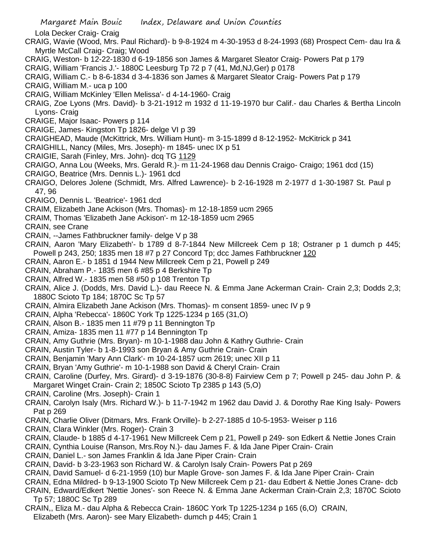CRAIG, William 'Francis J.'- 1880C Leesburg Tp 72 p 7 (41, Md,NJ,Ger) p 0178

- CRAIG, William C.- b 8-6-1834 d 3-4-1836 son James & Margaret Sleator Craig- Powers Pat p 179
- CRAIG, William M.- uca p 100
- CRAIG, William McKinley 'Ellen Melissa'- d 4-14-1960- Craig
- CRAIG, Zoe Lyons (Mrs. David)- b 3-21-1912 m 1932 d 11-19-1970 bur Calif.- dau Charles & Bertha Lincoln Lyons- Craig
- CRAIGE, Major Isaac- Powers p 114
- CRAIGE, James- Kingston Tp 1826- delge VI p 39
- CRAIGHEAD, Maude (McKittrick, Mrs. William Hunt)- m 3-15-1899 d 8-12-1952- McKitrick p 341
- CRAIGHILL, Nancy (Miles, Mrs. Joseph)- m 1845- unec IX p 51
- CRAIGIE, Sarah (Finley, Mrs. John)- dcq TG 1129
- CRAIGO, Anna Lou (Weeks, Mrs. Gerald R.)- m 11-24-1968 dau Dennis Craigo- Craigo; 1961 dcd (15)
- CRAIGO, Beatrice (Mrs. Dennis L.)- 1961 dcd
- CRAIGO, Delores Jolene (Schmidt, Mrs. Alfred Lawrence)- b 2-16-1928 m 2-1977 d 1-30-1987 St. Paul p 47, 96
- CRAIGO, Dennis L. 'Beatrice'- 1961 dcd
- CRAIM, Elizabeth Jane Ackison (Mrs. Thomas)- m 12-18-1859 ucm 2965
- CRAIM, Thomas 'Elizabeth Jane Ackison'- m 12-18-1859 ucm 2965
- CRAIN, see Crane
- CRAIN, --James Fathbruckner family- delge V p 38
- CRAIN, Aaron 'Mary Elizabeth'- b 1789 d 8-7-1844 New Millcreek Cem p 18; Ostraner p 1 dumch p 445; Powell p 243, 250; 1835 men 18 #7 p 27 Concord Tp; dcc James Fathbruckner 120
- CRAIN, Aaron E.- b 1851 d 1944 New Millcreek Cem p 21, Powell p 249
- CRAIN, Abraham P.- 1835 men 6 #85 p 4 Berkshire Tp
- CRAIN, Alfred W.- 1835 men 58 #50 p 108 Trenton Tp
- CRAIN, Alice J. (Dodds, Mrs. David L.)- dau Reece N. & Emma Jane Ackerman Crain- Crain 2,3; Dodds 2,3; 1880C Scioto Tp 184; 1870C Sc Tp 57
- CRAIN, Almira Elizabeth Jane Ackison (Mrs. Thomas)- m consent 1859- unec IV p 9
- CRAIN, Alpha 'Rebecca'- 1860C York Tp 1225-1234 p 165 (31,O)
- CRAIN, Alson B.- 1835 men 11 #79 p 11 Bennington Tp
- CRAIN, Amiza- 1835 men 11 #77 p 14 Bennington Tp
- CRAIN, Amy Guthrie (Mrs. Bryan)- m 10-1-1988 dau John & Kathry Guthrie- Crain
- CRAIN, Austin Tyler- b 1-8-1993 son Bryan & Amy Guthrie Crain- Crain
- CRAIN, Benjamin 'Mary Ann Clark'- m 10-24-1857 ucm 2619; unec XII p 11
- CRAIN, Bryan 'Amy Guthrie'- m 10-1-1988 son David & Cheryl Crain- Crain
- CRAIN, Caroline (Durfey, Mrs. Girard)- d 3-19-1876 (30-8-8) Fairview Cem p 7; Powell p 245- dau John P. & Margaret Winget Crain- Crain 2; 1850C Scioto Tp 2385 p 143 (5,O)
- CRAIN, Caroline (Mrs. Joseph)- Crain 1
- CRAIN, Carolyn Isaly (Mrs. Richard W.)- b 11-7-1942 m 1962 dau David J. & Dorothy Rae King Isaly- Powers Pat p 269
- CRAIN, Charlie Oliver (Ditmars, Mrs. Frank Orville)- b 2-27-1885 d 10-5-1953- Weiser p 116
- CRAIN, Clara Winkler (Mrs. Roger)- Crain 3
- CRAIN, Claude- b 1885 d 4-17-1961 New Millcreek Cem p 21, Powell p 249- son Edkert & Nettie Jones Crain
- CRAIN, Cynthia Louise (Ranson, Mrs.Roy N.)- dau James F. & Ida Jane Piper Crain- Crain
- CRAIN, Daniel L.- son James Franklin & Ida Jane Piper Crain- Crain
- CRAIN, David- b 3-23-1963 son Richard W. & Carolyn Isaly Crain- Powers Pat p 269
- CRAIN, David Samuel- d 6-21-1959 (10) bur Maple Grove- son James F. & Ida Jane Piper Crain- Crain
- CRAIN, Edna Mildred- b 9-13-1900 Scioto Tp New Millcreek Cem p 21- dau Edbert & Nettie Jones Crane- dcb
- CRAIN, Edward/Edkert 'Nettie Jones'- son Reece N. & Emma Jane Ackerman Crain-Crain 2,3; 1870C Scioto Tp 57; 1880C Sc Tp 289
- CRAIN,, Eliza M.- dau Alpha & Rebecca Crain- 1860C York Tp 1225-1234 p 165 (6,O) CRAIN, Elizabeth (Mrs. Aaron)- see Mary Elizabeth- dumch p 445; Crain 1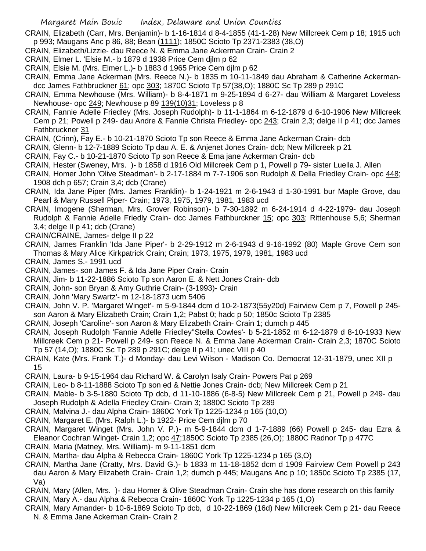- CRAIN, Elizabeth (Carr, Mrs. Benjamin)- b 1-16-1814 d 8-4-1855 (41-1-28) New Millcreek Cem p 18; 1915 uch p 993; Maugans Anc p 86, 88; Bean (1111); 1850C Scioto Tp 2371-2383 (38,O)
- CRAIN, Elizabeth/Lizzie- dau Reece N. & Emma Jane Ackerman Crain- Crain 2
- CRAIN, Elmer L. 'Elsie M.- b 1879 d 1938 Price Cem djlm p 62
- CRAIN, Elsie M. (Mrs. Elmer L.)- b 1883 d 1965 Price Cem djlm p 62
- CRAIN, Emma Jane Ackerman (Mrs. Reece N.)- b 1835 m 10-11-1849 dau Abraham & Catherine Ackermandcc James Fathbruckner 61; opc 303; 1870C Scioto Tp 57(38,O); 1880C Sc Tp 289 p 291C
- CRAIN, Emma Newhouse (Mrs. William)- b 8-4-1871 m 9-25-1894 d 6-27- dau William & Margaret Loveless Newhouse- opc 249; Newhouse p 89 139(10)31; Loveless p 8
- CRAIN, Fannie Adelle Friedley (Mrs. Joseph Rudolph)- b 11-1-1864 m 6-12-1879 d 6-10-1906 New Millcreek Cem p 21; Powell p 249- dau Andre & Fannie Christa Friedley- opc 243; Crain 2,3; delge II p 41; dcc James Fathbruckner 31
- CRAIN, (Crinn), Fay E.- b 10-21-1870 Scioto Tp son Reece & Emma Jane Ackerman Crain- dcb
- CRAIN, Glenn- b 12-7-1889 Scioto Tp dau A. E. & Anjenet Jones Crain- dcb; New Millcreek p 21
- CRAIN, Fay C.- b 10-21-1870 Scioto Tp son Reece & Ema jane Ackerman Crain- dcb
- CRAIN, Hester (Sweney, Mrs. )- b 1858 d 1916 Old Millcreek Cem p 1, Powell p 79- sister Luella J. Allen
- CRAIN, Homer John 'Olive Steadman'- b 2-17-1884 m 7-7-1906 son Rudolph & Della Friedley Crain- opc 448; 1908 dch p 657; Crain 3,4; dcb (Crane)
- CRAIN, Ida Jane Piper (Mrs. James Franklin)- b 1-24-1921 m 2-6-1943 d 1-30-1991 bur Maple Grove, dau Pearl & Mary Russell Piper- Crain; 1973, 1975, 1979, 1981, 1983 ucd
- CRAIN, Imogene (Sherman, Mrs. Grover Robinson)- b 7-30-1892 m 6-24-1914 d 4-22-1979- dau Joseph Rudolph & Fannie Adelle Friedly Crain- dcc James Fathburckner 15; opc 303; Rittenhouse 5,6; Sherman 3,4; delge II p 41; dcb (Crane)
- CRAIN/CRAINE, James- delge II p 22
- CRAIN, James Franklin 'Ida Jane Piper'- b 2-29-1912 m 2-6-1943 d 9-16-1992 (80) Maple Grove Cem son Thomas & Mary Alice Kirkpatrick Crain; Crain; 1973, 1975, 1979, 1981, 1983 ucd
- CRAIN, James S.- 1991 ucd
- CRAIN, James- son James F. & Ida Jane Piper Crain- Crain
- CRAIN, Jim- b 11-22-1886 Scioto Tp son Aaron E. & Nett Jones Crain- dcb
- CRAIN, John- son Bryan & Amy Guthrie Crain- (3-1993)- Crain
- CRAIN, John 'Mary Swartz'- m 12-18-1873 ucm 5406
- CRAIN, John V. P. 'Margaret Winget'- m 5-9-1844 dcm d 10-2-1873(55y20d) Fairview Cem p 7, Powell p 245 son Aaron & Mary Elizabeth Crain; Crain 1,2; Pabst 0; hadc p 50; 1850c Scioto Tp 2385
- CRAIN, Joseph 'Caroline'- son Aaron & Mary Elizabeth Crain- Crain 1; dumch p 445
- CRAIN, Joseph Rudolph 'Fannie Adelle Friedley''Stella Cowles'- b 5-21-1852 m 6-12-1879 d 8-10-1933 New Millcreek Cem p 21- Powell p 249- son Reece N. & Emma Jane Ackerman Crain- Crain 2,3; 1870C Scioto Tp 57 (14,O); 1880C Sc Tp 289 p 291C; delge II p 41; unec VIII p 40
- CRAIN, Kate (Mrs. Frank T.)- d Monday- dau Levi Wilson Madison Co. Democrat 12-31-1879, unec XII p 15
- CRAIN, Laura- b 9-15-1964 dau Richard W. & Carolyn Isaly Crain- Powers Pat p 269
- CRAIN, Leo- b 8-11-1888 Scioto Tp son ed & Nettie Jones Crain- dcb; New Millcreek Cem p 21
- CRAIN, Mable- b 3-5-1880 Scioto Tp dcb, d 11-10-1886 (6-8-5) New Millcreek Cem p 21, Powell p 249- dau Joseph Rudolph & Adella Friedley Crain- Crain 3; 1880C Scioto Tp 289
- CRAIN, Malvina J.- dau Alpha Crain- 1860C York Tp 1225-1234 p 165 (10,O)
- CRAIN, Margaret E. (Mrs. Ralph L.)- b 1922- Price Cem djlm p 70
- CRAIN, Margaret Winget (Mrs. John V. P.)- m 5-9-1844 dcm d 1-7-1889 (66) Powell p 245- dau Ezra & Eleanor Cochran Winget- Crain 1,2; opc  $47/1850C$  Scioto Tp 2385 (26,O); 1880C Radnor Tp p 477C CRAIN, Maria (Matney, Mrs. William)- m 9-11-1851 dcm
- CRAIN, Martha- dau Alpha & Rebecca Crain- 1860C York Tp 1225-1234 p 165 (3,O)
- CRAIN, Martha Jane (Cratty, Mrs. David G.)- b 1833 m 11-18-1852 dcm d 1909 Fairview Cem Powell p 243 dau Aaron & Mary Elizabeth Crain- Crain 1,2; dumch p 445; Maugans Anc p 10; 1850c Scioto Tp 2385 (17, Va)
- CRAIN, Mary (Allen, Mrs. )- dau Homer & Olive Steadman Crain- Crain she has done research on this family CRAIN, Mary A.- dau Alpha & Rebecca Crain- 1860C York Tp 1225-1234 p 165 (1,O)
- CRAIN, Mary Amander- b 10-6-1869 Scioto Tp dcb, d 10-22-1869 (16d) New Millcreek Cem p 21- dau Reece N. & Emma Jane Ackerman Crain- Crain 2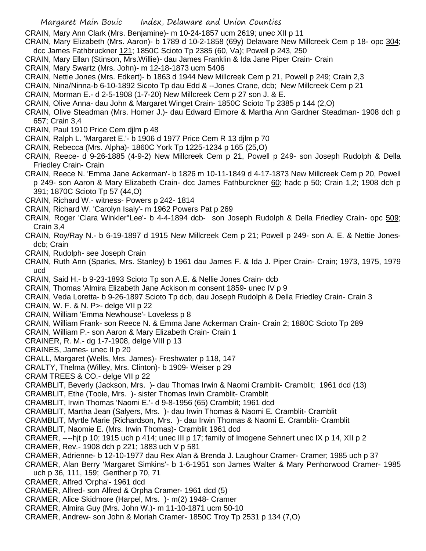CRAIN, Mary Ann Clark (Mrs. Benjamine)- m 10-24-1857 ucm 2619; unec XII p 11

CRAIN, Mary Elizabeth (Mrs. Aaron)- b 1789 d 10-2-1858 (69y) Delaware New Millcreek Cem p 18- opc 304; dcc James Fathbruckner 121; 1850C Scioto Tp 2385 (60, Va); Powell p 243, 250

- CRAIN, Mary Ellan (Stinson, Mrs.Willie)- dau James Franklin & Ida Jane Piper Crain- Crain
- CRAIN, Mary Swartz (Mrs. John)- m 12-18-1873 ucm 5406
- CRAIN, Nettie Jones (Mrs. Edkert)- b 1863 d 1944 New Millcreek Cem p 21, Powell p 249; Crain 2,3
- CRAIN, Nina/Ninna-b 6-10-1892 Sicoto Tp dau Edd & --Jones Crane, dcb; New Millcreek Cem p 21
- CRAIN, Morman E.- d 2-5-1908 (1-7-20) New Millcreek Cem p 27 son J. & E.
- CRAIN, Olive Anna- dau John & Margaret Winget Crain- 1850C Scioto Tp 2385 p 144 (2,O)
- CRAIN, Olive Steadman (Mrs. Homer J.)- dau Edward Elmore & Martha Ann Gardner Steadman- 1908 dch p 657; Crain 3,4
- CRAIN, Paul 1910 Price Cem djlm p 48
- CRAIN, Ralph L. 'Margaret E.'- b 1906 d 1977 Price Cem R 13 djlm p 70
- CRAIN, Rebecca (Mrs. Alpha)- 1860C York Tp 1225-1234 p 165 (25,O)
- CRAIN, Reece- d 9-26-1885 (4-9-2) New Millcreek Cem p 21, Powell p 249- son Joseph Rudolph & Della Friedley Crain- Crain
- CRAIN, Reece N. 'Emma Jane Ackerman'- b 1826 m 10-11-1849 d 4-17-1873 New Millcreek Cem p 20, Powell p 249- son Aaron & Mary Elizabeth Crain- dcc James Fathburckner 60; hadc p 50; Crain 1,2; 1908 dch p 391; 1870C Scioto Tp 57 (44,O)
- CRAIN, Richard W.- witness- Powers p 242- 1814
- CRAIN, Richard W. 'Carolyn Isaly'- m 1962 Powers Pat p 269
- CRAIN, Roger 'Clara Winkler''Lee'- b 4-4-1894 dcb- son Joseph Rudolph & Della Friedley Crain- opc 509; Crain 3,4
- CRAIN, Roy/Ray N.- b 6-19-1897 d 1915 New Millcreek Cem p 21; Powell p 249- son A. E. & Nettie Jonesdcb; Crain
- CRAIN, Rudolph- see Joseph Crain
- CRAIN, Ruth Ann (Sparks, Mrs. Stanley) b 1961 dau James F. & Ida J. Piper Crain- Crain; 1973, 1975, 1979 ucd
- CRAIN, Said H.- b 9-23-1893 Scioto Tp son A.E. & Nellie Jones Crain- dcb
- CRAIN, Thomas 'Almira Elizabeth Jane Ackison m consent 1859- unec IV p 9
- CRAIN, Veda Loretta- b 9-26-1897 Scioto Tp dcb, dau Joseph Rudolph & Della Friedley Crain- Crain 3
- CRAIN, W. F. & N. P>- delge VII p 22
- CRAIN, William 'Emma Newhouse'- Loveless p 8
- CRAIN, William Frank- son Reece N. & Emma Jane Ackerman Crain- Crain 2; 1880C Scioto Tp 289
- CRAIN, William P.- son Aaron & Mary Elizabeth Crain- Crain 1
- CRAINER, R. M.- dg 1-7-1908, delge VIII p 13
- CRAINES, James- unec II p 20
- CRALL, Margaret (Wells, Mrs. James)- Freshwater p 118, 147
- CRALTY, Thelma (Willey, Mrs. Clinton)- b 1909- Weiser p 29
- CRAM TREES & CO.- delge VII p 22
- CRAMBLIT, Beverly (Jackson, Mrs. )- dau Thomas Irwin & Naomi Cramblit- Cramblit; 1961 dcd (13)
- CRAMBLIT, Ethe (Toole, Mrs. )- sister Thomas Irwin Cramblit- Cramblit
- CRAMBLIT, Irwin Thomas 'Naomi E.'- d 9-8-1956 (65) Cramblit; 1961 dcd
- CRAMBLIT, Martha Jean (Salyers, Mrs. )- dau Irwin Thomas & Naomi E. Cramblit- Cramblit
- CRAMBLIT, Myrtle Marie (Richardson, Mrs. )- dau Irwin Thomas & Naomi E. Cramblit- Cramblit
- CRAMBLIT, Naomie E. (Mrs. Irwin Thomas)- Cramblit 1961 dcd
- CRAMER, ----hjt p 10; 1915 uch p 414; unec III p 17; family of Imogene Sehnert unec IX p 14, XII p 2
- CRAMER, Rev.- 1908 dch p 221; 1883 uch V p 581
- CRAMER, Adrienne- b 12-10-1977 dau Rex Alan & Brenda J. Laughour Cramer- Cramer; 1985 uch p 37
- CRAMER, Alan Berry 'Margaret Simkins'- b 1-6-1951 son James Walter & Mary Penhorwood Cramer- 1985 uch p 36, 111, 159; Genther p 70, 71
- CRAMER, Alfred 'Orpha'- 1961 dcd
- CRAMER, Alfred- son Alfred & Orpha Cramer- 1961 dcd (5)
- CRAMER, Alice Skidmore (Harpel, Mrs. )- m(2) 1948- Cramer
- CRAMER, Almira Guy (Mrs. John W.)- m 11-10-1871 ucm 50-10
- CRAMER, Andrew- son John & Moriah Cramer- 1850C Troy Tp 2531 p 134 (7,O)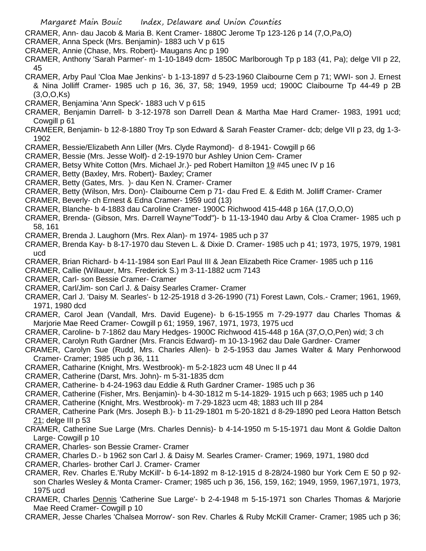CRAMER, Ann- dau Jacob & Maria B. Kent Cramer- 1880C Jerome Tp 123-126 p 14 (7,O,Pa,O)

- CRAMER, Anna Speck (Mrs. Benjamin)- 1883 uch V p 615
- CRAMER, Annie (Chase, Mrs. Robert)- Maugans Anc p 190
- CRAMER, Anthony 'Sarah Parmer'- m 1-10-1849 dcm- 1850C Marlborough Tp p 183 (41, Pa); delge VII p 22, 45
- CRAMER, Arby Paul 'Cloa Mae Jenkins'- b 1-13-1897 d 5-23-1960 Claibourne Cem p 71; WWI- son J. Ernest & Nina Jolliff Cramer- 1985 uch p 16, 36, 37, 58; 1949, 1959 ucd; 1900C Claibourne Tp 44-49 p 2B (3,O,O,Ks)
- CRAMER, Benjamina 'Ann Speck'- 1883 uch V p 615
- CRAMER, Benjamin Darrell- b 3-12-1978 son Darrell Dean & Martha Mae Hard Cramer- 1983, 1991 ucd; Cowgill p 61
- CRAMEER, Benjamin- b 12-8-1880 Troy Tp son Edward & Sarah Feaster Cramer- dcb; delge VII p 23, dg 1-3- 1902
- CRAMER, Bessie/Elizabeth Ann Liller (Mrs. Clyde Raymond)- d 8-1941- Cowgill p 66
- CRAMER, Bessie (Mrs. Jesse Wolf)- d 2-19-1970 bur Ashley Union Cem- Cramer
- CRAMER, Betsy White Cotton (Mrs. Michael Jr.)- ped Robert Hamilton 19 #45 unec IV p 16
- CRAMER, Betty (Baxley, Mrs. Robert)- Baxley; Cramer
- CRAMER, Betty (Gates, Mrs. )- dau Ken N. Cramer- Cramer
- CRAMER, Betty (Wilson, Mrs. Don)- Claibourne Cem p 71- dau Fred E. & Edith M. Jolliff Cramer- Cramer
- CRAMER, Beverly- ch Ernest & Edna Cramer- 1959 ucd (13)
- CRAMER, Blanche- b 4-1883 dau Caroline Cramer- 1900C Richwood 415-448 p 16A (17,O,O,O)
- CRAMER, Brenda- (Gibson, Mrs. Darrell Wayne"Todd")- b 11-13-1940 dau Arby & Cloa Cramer- 1985 uch p 58, 161
- CRAMER, Brenda J. Laughorn (Mrs. Rex Alan)- m 1974- 1985 uch p 37
- CRAMER, Brenda Kay- b 8-17-1970 dau Steven L. & Dixie D. Cramer- 1985 uch p 41; 1973, 1975, 1979, 1981 ucd
- CRAMER, Brian Richard- b 4-11-1984 son Earl Paul III & Jean Elizabeth Rice Cramer- 1985 uch p 116
- CRAMER, Callie (Willauer, Mrs. Frederick S.) m 3-11-1882 ucm 7143
- CRAMER, Carl- son Bessie Cramer- Cramer
- CRAMER, Carl/Jim- son Carl J. & Daisy Searles Cramer- Cramer
- CRAMER, Carl J. 'Daisy M. Searles'- b 12-25-1918 d 3-26-1990 (71) Forest Lawn, Cols.- Cramer; 1961, 1969, 1971, 1980 dcd
- CRAMER, Carol Jean (Vandall, Mrs. David Eugene)- b 6-15-1955 m 7-29-1977 dau Charles Thomas & Marjorie Mae Reed Cramer- Cowgill p 61; 1959, 1967, 1971, 1973, 1975 ucd
- CRAMER, Caroline- b 7-1862 dau Mary Hedges- 1900C Richwood 415-448 p 16A (37,O,O,Pen) wid; 3 ch
- CRAMER, Carolyn Ruth Gardner (Mrs. Francis Edward)- m 10-13-1962 dau Dale Gardner- Cramer
- CRAMER, Carolyn Sue (Rudd, Mrs. Charles Allen)- b 2-5-1953 dau James Walter & Mary Penhorwood Cramer- Cramer; 1985 uch p 36, 111
- CRAMER, Catharine (Knight, Mrs. Westbrook)- m 5-2-1823 ucm 48 Unec II p 44
- CRAMER, Catherine (Darst, Mrs. John)- m 5-31-1835 dcm
- CRAMER, Catherine- b 4-24-1963 dau Eddie & Ruth Gardner Cramer- 1985 uch p 36
- CRAMER, Catherine (Fisher, Mrs. Benjamin)- b 4-30-1812 m 5-14-1829- 1915 uch p 663; 1985 uch p 140
- CRAMER, Catherine (Knight, Mrs. Westbrook)- m 7-29-1823 ucm 48; 1883 uch III p 284
- CRAMER, Catherine Park (Mrs. Joseph B.)- b 11-29-1801 m 5-20-1821 d 8-29-1890 ped Leora Hatton Betsch 21; delge III p 53
- CRAMER, Catherine Sue Large (Mrs. Charles Dennis)- b 4-14-1950 m 5-15-1971 dau Mont & Goldie Dalton Large- Cowgill p 10
- CRAMER, Charles- son Bessie Cramer- Cramer
- CRAMER, Charles D.- b 1962 son Carl J. & Daisy M. Searles Cramer- Cramer; 1969, 1971, 1980 dcd
- CRAMER, Charles- brother Carl J. Cramer- Cramer
- CRAMER, Rev. Charles E.'Ruby McKill'- b 6-14-1892 m 8-12-1915 d 8-28/24-1980 bur York Cem E 50 p 92 son Charles Wesley & Monta Cramer- Cramer; 1985 uch p 36, 156, 159, 162; 1949, 1959, 1967,1971, 1973, 1975 ucd
- CRAMER, Charles Dennis 'Catherine Sue Large'- b 2-4-1948 m 5-15-1971 son Charles Thomas & Marjorie Mae Reed Cramer- Cowgill p 10
- CRAMER, Jesse Charles 'Chalsea Morrow'- son Rev. Charles & Ruby McKill Cramer- Cramer; 1985 uch p 36;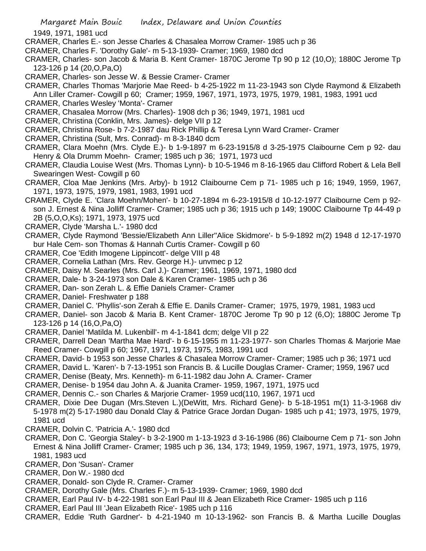1949, 1971, 1981 ucd

- CRAMER, Charles E.- son Jesse Charles & Chasalea Morrow Cramer- 1985 uch p 36
- CRAMER, Charles F. 'Dorothy Gale'- m 5-13-1939- Cramer; 1969, 1980 dcd
- CRAMER, Charles- son Jacob & Maria B. Kent Cramer- 1870C Jerome Tp 90 p 12 (10,O); 1880C Jerome Tp 123-126 p 14 (20,O,Pa,O)
- CRAMER, Charles- son Jesse W. & Bessie Cramer- Cramer
- CRAMER, Charles Thomas 'Marjorie Mae Reed- b 4-25-1922 m 11-23-1943 son Clyde Raymond & Elizabeth Ann Liller Cramer- Cowgill p 60; Cramer; 1959, 1967, 1971, 1973, 1975, 1979, 1981, 1983, 1991 ucd
- CRAMER, Charles Wesley 'Monta'- Cramer
- CRAMER, Chasalea Morrow (Mrs. Charles)- 1908 dch p 36; 1949, 1971, 1981 ucd
- CRAMER, Christina (Conklin, Mrs. James)- delge VII p 12
- CRAMER, Christina Rose- b 7-2-1987 dau Rick Phillip & Teresa Lynn Ward Cramer- Cramer
- CRAMER, Christina (Sult, Mrs. Conrad)- m 8-3-1840 dcm
- CRAMER, Clara Moehn (Mrs. Clyde E.)- b 1-9-1897 m 6-23-1915/8 d 3-25-1975 Claibourne Cem p 92- dau Henry & Ola Drumm Moehn- Cramer; 1985 uch p 36; 1971, 1973 ucd
- CRAMER, Claudia Louise West (Mrs. Thomas Lynn)- b 10-5-1946 m 8-16-1965 dau Clifford Robert & Lela Bell Swearingen West- Cowgill p 60
- CRAMER, Cloa Mae Jenkins (Mrs. Arby)- b 1912 Claibourne Cem p 71- 1985 uch p 16; 1949, 1959, 1967, 1971, 1973, 1975, 1979, 1981, 1983, 1991 ucd
- CRAMER, Clyde E. 'Clara Moehn/Mohen'- b 10-27-1894 m 6-23-1915/8 d 10-12-1977 Claibourne Cem p 92 son J. Ernest & Nina Jolliff Cramer- Cramer; 1985 uch p 36; 1915 uch p 149; 1900C Claibourne Tp 44-49 p 2B (5,O,O,Ks); 1971, 1973, 1975 ucd
- CRAMER, Clyde 'Marsha L.'- 1980 dcd
- CRAMER, Clyde Raymond 'Bessie/Elizabeth Ann Liller''Alice Skidmore'- b 5-9-1892 m(2) 1948 d 12-17-1970 bur Hale Cem- son Thomas & Hannah Curtis Cramer- Cowgill p 60
- CRAMER, Coe 'Edith Imogene Lippincott'- delge VIII p 48
- CRAMER, Cornelia Lathan (Mrs. Rev. George H.)- unvmec p 12
- CRAMER, Daisy M. Searles (Mrs. Carl J.)- Cramer; 1961, 1969, 1971, 1980 dcd
- CRAMER, Dale- b 3-24-1973 son Dale & Karen Cramer- 1985 uch p 36
- CRAMER, Dan- son Zerah L. & Effie Daniels Cramer- Cramer
- CRAMER, Daniel- Freshwater p 188
- CRAMER, Daniel C. 'Phyllis'-son Zerah & Effie E. Danils Cramer- Cramer; 1975, 1979, 1981, 1983 ucd
- CRAMER, Daniel- son Jacob & Maria B. Kent Cramer- 1870C Jerome Tp 90 p 12 (6,O); 1880C Jerome Tp 123-126 p 14 (16,O,Pa,O)
- CRAMER, Daniel 'Matilda M. Lukenbill'- m 4-1-1841 dcm; delge VII p 22
- CRAMER, Darrell Dean 'Martha Mae Hard'- b 6-15-1955 m 11-23-1977- son Charles Thomas & Marjorie Mae Reed Cramer- Cowgill p 60; 1967, 1971, 1973, 1975, 1983, 1991 ucd
- CRAMER, David- b 1953 son Jesse Charles & Chasalea Morrow Cramer- Cramer; 1985 uch p 36; 1971 ucd
- CRAMER, David L. 'Karen'- b 7-13-1951 son Francis B. & Lucille Douglas Cramer- Cramer; 1959, 1967 ucd
- CRAMER, Denise (Beaty, Mrs. Kenneth)- m 6-11-1982 dau John A. Cramer- Cramer
- CRAMER, Denise- b 1954 dau John A. & Juanita Cramer- 1959, 1967, 1971, 1975 ucd
- CRAMER, Dennis C.- son Charles & Marjorie Cramer- 1959 ucd(110, 1967, 1971 ucd
- CRAMER, Dixie Dee Dugan (Mrs.Steven L.)(DeWitt, Mrs. Richard Gene)- b 5-18-1951 m(1) 11-3-1968 div 5-1978 m(2) 5-17-1980 dau Donald Clay & Patrice Grace Jordan Dugan- 1985 uch p 41; 1973, 1975, 1979, 1981 ucd
- CRAMER, Dolvin C. 'Patricia A.'- 1980 dcd
- CRAMER, Don C. 'Georgia Staley'- b 3-2-1900 m 1-13-1923 d 3-16-1986 (86) Claibourne Cem p 71- son John Ernest & Nina Jolliff Cramer- Cramer; 1985 uch p 36, 134, 173; 1949, 1959, 1967, 1971, 1973, 1975, 1979, 1981, 1983 ucd
- CRAMER, Don 'Susan'- Cramer
- CRAMER, Don W.- 1980 dcd
- CRAMER, Donald- son Clyde R. Cramer- Cramer
- CRAMER, Dorothy Gale (Mrs. Charles F.)- m 5-13-1939- Cramer; 1969, 1980 dcd
- CRAMER, Earl Paul IV- b 4-22-1981 son Earl Paul III & Jean Elizabeth Rice Cramer- 1985 uch p 116
- CRAMER, Earl Paul III 'Jean Elizabeth Rice'- 1985 uch p 116
- CRAMER, Eddie 'Ruth Gardner'- b 4-21-1940 m 10-13-1962- son Francis B. & Martha Lucille Douglas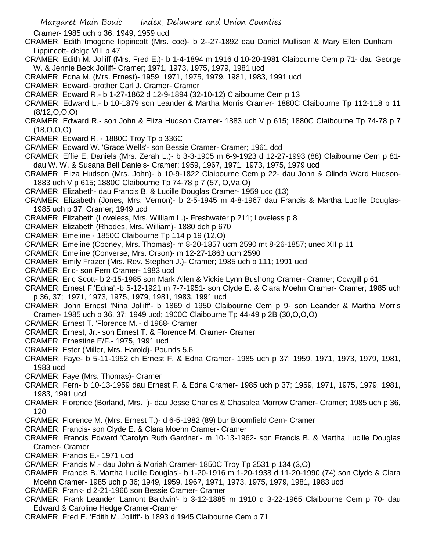Cramer- 1985 uch p 36; 1949, 1959 ucd

- CRAMER, Edith Imogene lippincott (Mrs. coe)- b 2--27-1892 dau Daniel Mullison & Mary Ellen Dunham Lippincott- delge VIII p 47
- CRAMER, Edith M. Jolliff (Mrs. Fred E.)- b 1-4-1894 m 1916 d 10-20-1981 Claibourne Cem p 71- dau George W. & Jennie Beck Jolliff- Cramer; 1971, 1973, 1975, 1979, 1981 ucd
- CRAMER, Edna M. (Mrs. Ernest)- 1959, 1971, 1975, 1979, 1981, 1983, 1991 ucd
- CRAMER, Edward- brother Carl J. Cramer- Cramer
- CRAMER, Edward R.- b 1-27-1862 d 12-9-1894 (32-10-12) Claibourne Cem p 13
- CRAMER, Edward L.- b 10-1879 son Leander & Martha Morris Cramer- 1880C Claibourne Tp 112-118 p 11 (8/12,O,O,O)
- CRAMER, Edward R.- son John & Eliza Hudson Cramer- 1883 uch V p 615; 1880C Claibourne Tp 74-78 p 7 (18,O,O,O)
- CRAMER, Edward R. 1880C Troy Tp p 336C
- CRAMER, Edward W. 'Grace Wells'- son Bessie Cramer- Cramer; 1961 dcd
- CRAMER, Effie E. Daniels (Mrs. Zerah L.)- b 3-3-1905 m 6-9-1923 d 12-27-1993 (88) Claibourne Cem p 81 dau W. W. & Susana Bell Daniels- Cramer; 1959, 1967, 1971, 1973, 1975, 1979 ucd
- CRAMER, Eliza Hudson (Mrs. John)- b 10-9-1822 Claibourne Cem p 22- dau John & Olinda Ward Hudson-1883 uch V p 615; 1880C Claibourne Tp 74-78 p 7 (57, O,Va,O)
- CRAMER, Elizabeth- dau Francis B. & Lucille Douglas Cramer- 1959 ucd (13)
- CRAMER, Elizabeth (Jones, Mrs. Vernon)- b 2-5-1945 m 4-8-1967 dau Francis & Martha Lucille Douglas-1985 uch p 37; Cramer; 1949 ucd
- CRAMER, Elizabeth (Loveless, Mrs. William L.)- Freshwater p 211; Loveless p 8
- CRAMER, Elizabeth (Rhodes, Mrs. William)- 1880 dch p 670
- CRAMER, Emeline 1850C Claibourne Tp 114 p 19 (12,O)
- CRAMER, Emeline (Cooney, Mrs. Thomas)- m 8-20-1857 ucm 2590 mt 8-26-1857; unec XII p 11
- CRAMER, Emeline (Converse, Mrs. Orson)- m 12-27-1863 ucm 2590
- CRAMER, Emily Frazer (Mrs. Rev. Stephen J.)- Cramer; 1985 uch p 111; 1991 ucd
- CRAMER, Eric- son Fern Cramer- 1983 ucd
- CRAMER, Eric Scott- b 2-15-1985 son Mark Allen & Vickie Lynn Bushong Cramer- Cramer; Cowgill p 61
- CRAMER, Ernest F.'Edna'.-b 5-12-1921 m 7-7-1951- son Clyde E. & Clara Moehn Cramer- Cramer; 1985 uch p 36, 37; 1971, 1973, 1975, 1979, 1981, 1983, 1991 ucd
- CRAMER, John Ernest 'Nina Jolliff'- b 1869 d 1950 Claibourne Cem p 9- son Leander & Martha Morris Cramer- 1985 uch p 36, 37; 1949 ucd; 1900C Claibourne Tp 44-49 p 2B (30,O,O,O)
- CRAMER, Ernest T. 'Florence M.'- d 1968- Cramer
- CRAMER, Ernest, Jr.- son Ernest T. & Florence M. Cramer- Cramer
- CRAMER, Ernestine E/F.- 1975, 1991 ucd
- CRAMER, Ester (Miller, Mrs. Harold)- Pounds 5,6
- CRAMER, Faye- b 5-11-1952 ch Ernest F. & Edna Cramer- 1985 uch p 37; 1959, 1971, 1973, 1979, 1981, 1983 ucd
- CRAMER, Faye (Mrs. Thomas)- Cramer
- CRAMER, Fern- b 10-13-1959 dau Ernest F. & Edna Cramer- 1985 uch p 37; 1959, 1971, 1975, 1979, 1981, 1983, 1991 ucd
- CRAMER, Florence (Borland, Mrs. )- dau Jesse Charles & Chasalea Morrow Cramer- Cramer; 1985 uch p 36, 120
- CRAMER, Florence M. (Mrs. Ernest T.)- d 6-5-1982 (89) bur Bloomfield Cem- Cramer
- CRAMER, Francis- son Clyde E. & Clara Moehn Cramer- Cramer
- CRAMER, Francis Edward 'Carolyn Ruth Gardner'- m 10-13-1962- son Francis B. & Martha Lucille Douglas Cramer- Cramer
- CRAMER, Francis E.- 1971 ucd
- CRAMER, Francis M.- dau John & Moriah Cramer- 1850C Troy Tp 2531 p 134 (3,O)
- CRAMER, Francis B.'Martha Lucille Douglas'- b 1-20-1916 m 1-20-1938 d 11-20-1990 (74) son Clyde & Clara Moehn Cramer- 1985 uch p 36; 1949, 1959, 1967, 1971, 1973, 1975, 1979, 1981, 1983 ucd
- CRAMER, Frank- d 2-21-1966 son Bessie Cramer- Cramer
- CRAMER, Frank Leander 'Lamont Baldwin'- b 3-12-1885 m 1910 d 3-22-1965 Claibourne Cem p 70- dau Edward & Caroline Hedge Cramer-Cramer
- CRAMER, Fred E. 'Edith M. Jolliff'- b 1893 d 1945 Claibourne Cem p 71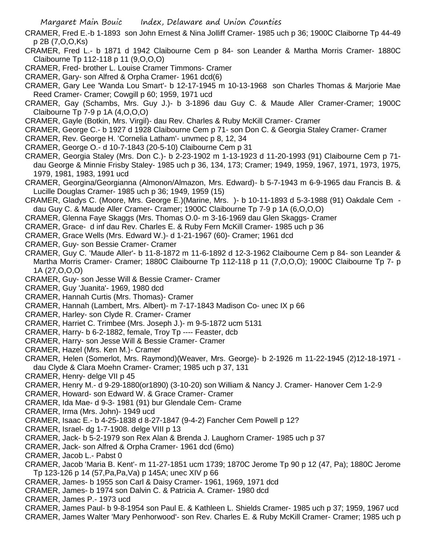- CRAMER, Fred E.-b 1-1893 son John Ernest & Nina Jolliff Cramer- 1985 uch p 36; 1900C Claiborne Tp 44-49 p 2B (7,O,O,Ks)
- CRAMER, Fred L.- b 1871 d 1942 Claibourne Cem p 84- son Leander & Martha Morris Cramer- 1880C Claibourne Tp 112-118 p 11 (9,O,O,O)
- CRAMER, Fred- brother L. Louise Cramer Timmons- Cramer
- CRAMER, Gary- son Alfred & Orpha Cramer- 1961 dcd(6)
- CRAMER, Gary Lee 'Wanda Lou Smart'- b 12-17-1945 m 10-13-1968 son Charles Thomas & Marjorie Mae Reed Cramer- Cramer; Cowgill p 60; 1959, 1971 ucd
- CRAMER, Gay (Schambs, Mrs. Guy J.)- b 3-1896 dau Guy C. & Maude Aller Cramer-Cramer; 1900C Claibourne Tp 7-9 p 1A (4,O,O,O)
- CRAMER, Gayle (Botkin, Mrs. Virgil)- dau Rev. Charles & Ruby McKill Cramer- Cramer
- CRAMER, George C.- b 1927 d 1928 Claibourne Cem p 71- son Don C. & Georgia Staley Cramer- Cramer
- CRAMER, Rev. George H. 'Cornelia Latham'- unvmec p 8, 12, 34
- CRAMER, George O.- d 10-7-1843 (20-5-10) Claibourne Cem p 31
- CRAMER, Georgia Staley (Mrs. Don C.)- b 2-23-1902 m 1-13-1923 d 11-20-1993 (91) Claibourne Cem p 71 dau George & Minnie Frisby Staley- 1985 uch p 36, 134, 173; Cramer; 1949, 1959, 1967, 1971, 1973, 1975, 1979, 1981, 1983, 1991 ucd
- CRAMER, Georgina/Georgianna (Almonon/Almazon, Mrs. Edward)- b 5-7-1943 m 6-9-1965 dau Francis B. & Lucille Douglas Cramer- 1985 uch p 36; 1949, 1959 (15)
- CRAMER, Gladys C. (Moore, Mrs. George E.)(Marine, Mrs. )- b 10-11-1893 d 5-3-1988 (91) Oakdale Cem dau Guy C. & Maude Aller Cramer- Cramer; 1900C Claibourne Tp 7-9 p 1A (6,O,O,O)
- CRAMER, Glenna Faye Skaggs (Mrs. Thomas O.0- m 3-16-1969 dau Glen Skaggs- Cramer
- CRAMER, Grace- d inf dau Rev. Charles E. & Ruby Fern McKill Cramer- 1985 uch p 36
- CRAMER, Grace Wells (Mrs. Edward W.)- d 1-21-1967 (60)- Cramer; 1961 dcd
- CRAMER, Guy- son Bessie Cramer- Cramer
- CRAMER, Guy C. 'Maude Aller'- b 11-8-1872 m 11-6-1892 d 12-3-1962 Claibourne Cem p 84- son Leander & Martha Morris Cramer- Cramer; 1880C Claibourne Tp 112-118 p 11 (7,O,O,O); 1900C Claibourne Tp 7- p 1A (27,O,O,O)
- CRAMER, Guy- son Jesse Will & Bessie Cramer- Cramer
- CRAMER, Guy 'Juanita'- 1969, 1980 dcd
- CRAMER, Hannah Curtis (Mrs. Thomas)- Cramer
- CRAMER, Hannah (Lambert, Mrs. Albert)- m 7-17-1843 Madison Co- unec IX p 66
- CRAMER, Harley- son Clyde R. Cramer- Cramer
- CRAMER, Harriet C. Trimbee (Mrs. Joseph J.)- m 9-5-1872 ucm 5131
- CRAMER, Harry- b 6-2-1882, female, Troy Tp ---- Feaster, dcb
- CRAMER, Harry- son Jesse Will & Bessie Cramer- Cramer
- CRAMER, Hazel (Mrs. Ken M.)- Cramer
- CRAMER, Helen (Somerlot, Mrs. Raymond)(Weaver, Mrs. George)- b 2-1926 m 11-22-1945 (2)12-18-1971 dau Clyde & Clara Moehn Cramer- Cramer; 1985 uch p 37, 131
- CRAMER, Henry- delge VII p 45
- CRAMER, Henry M.- d 9-29-1880(or1890) (3-10-20) son William & Nancy J. Cramer- Hanover Cem 1-2-9
- CRAMER, Howard- son Edward W. & Grace Cramer- Cramer
- CRAMER, Ida Mae- d 9-3- 1981 (91) bur Glendale Cem- Crame
- CRAMER, Irma (Mrs. John)- 1949 ucd
- CRAMER, Isaac E.- b 4-25-1838 d 8-27-1847 (9-4-2) Fancher Cem Powell p 12?
- CRAMER, Israel- dg 1-7-1908. delge VIII p 13
- CRAMER, Jack- b 5-2-1979 son Rex Alan & Brenda J. Laughorn Cramer- 1985 uch p 37
- CRAMER, Jack- son Alfred & Orpha Cramer- 1961 dcd (6mo)
- CRAMER, Jacob L.- Pabst 0
- CRAMER, Jacob 'Maria B. Kent'- m 11-27-1851 ucm 1739; 1870C Jerome Tp 90 p 12 (47, Pa); 1880C Jerome Tp 123-126 p 14 (57,Pa,Pa,Va) p 145A; unec XIV p 66
- CRAMER, James- b 1955 son Carl & Daisy Cramer- 1961, 1969, 1971 dcd
- CRAMER, James- b 1974 son Dalvin C. & Patricia A. Cramer- 1980 dcd
- CRAMER, James P.- 1973 ucd
- CRAMER, James Paul- b 9-8-1954 son Paul E. & Kathleen L. Shields Cramer- 1985 uch p 37; 1959, 1967 ucd CRAMER, James Walter 'Mary Penhorwood'- son Rev. Charles E. & Ruby McKill Cramer- Cramer; 1985 uch p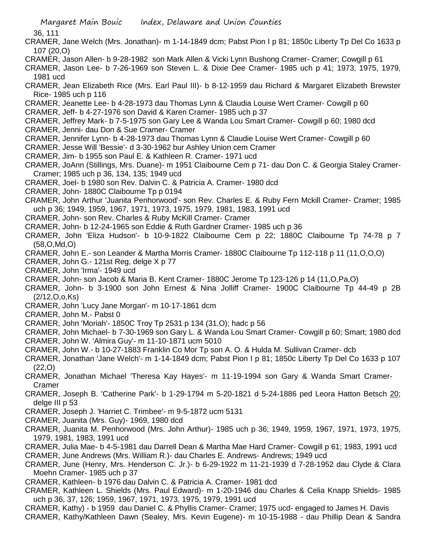36, 111

- CRAMER, Jane Welch (Mrs. Jonathan)- m 1-14-1849 dcm; Pabst Pion I p 81; 1850c Liberty Tp Del Co 1633 p 107 (20,O)
- CRAMER, Jason Allen- b 9-28-1982 son Mark Allen & Vicki Lynn Bushong Cramer- Cramer; Cowgill p 61
- CRAMER, Jason Lee- b 7-26-1969 son Steven L. & Dixie Dee Cramer- 1985 uch p 41; 1973, 1975, 1979, 1981 ucd
- CRAMER, Jean Elizabeth Rice (Mrs. Earl Paul III)- b 8-12-1959 dau Richard & Margaret Elizabeth Brewster Rice- 1985 uch p 116
- CRAMER, Jeanette Lee- b 4-28-1973 dau Thomas Lynn & Claudia Louise Wert Cramer- Cowgill p 60
- CRAMER, Jeff- b 4-27-1976 son David & Karen Cramer- 1985 uch p 37
- CRAMER, Jeffrey Mark- b 7-5-1975 son Gary Lee & Wanda Lou Smart Cramer- Cowgill p 60; 1980 dcd
- CRAMER, Jenni- dau Don & Sue Cramer- Cramer
- CRAMER, Jennifer Lynn- b 4-28-1973 dau Thomas Lynn & Claudie Louise Wert Cramer- Cowgill p 60
- CRAMER, Jesse Will 'Bessie'- d 3-30-1962 bur Ashley Union cem Cramer
- CRAMER, Jim- b 1955 son Paul E. & Kathleen R. Cramer- 1971 ucd
- CRAMER, JoAnn (Stillings, Mrs. Duane)- m 1951 Claibourne Cem p 71- dau Don C. & Georgia Staley Cramer-Cramer; 1985 uch p 36, 134, 135; 1949 ucd
- CRAMER, Joel- b 1980 son Rev. Dalvin C. & Patricia A. Cramer- 1980 dcd
- CRAMER, John- 1880C Claibourne Tp p 0194
- CRAMER, John Arthur 'Juanita Penhorwood'- son Rev. Charles E. & Ruby Fern Mckill Cramer- Cramer; 1985 uch p 36; 1949, 1959, 1967, 1971, 1973, 1975, 1979, 1981, 1983, 1991 ucd
- CRAMER, John- son Rev. Charles & Ruby McKill Cramer- Cramer
- CRAMER, John- b 12-24-1965 son Eddie & Ruth Gardner Cramer- 1985 uch p 36
- CRAMER, John 'Eliza Hudson'- b 10-9-1822 Claibourne Cem p 22; 1880C Claibourne Tp 74-78 p 7 (58,O,Md,O)
- CRAMER, John E.- son Leander & Martha Morris Cramer- 1880C Claibourne Tp 112-118 p 11 (11,O,O,O)
- CRAMER, John G.- 121st Reg, delge X p 77
- CRAMER, John 'Irma'- 1949 ucd
- CRAMER, John- son Jacob & Maria B. Kent Cramer- 1880C Jerome Tp 123-126 p 14 (11,O,Pa,O)
- CRAMER, John- b 3-1900 son John Ernest & Nina Jolliff Cramer- 1900C Claibourne Tp 44-49 p 2B (2/12,O,o,Ks)
- CRAMER, John 'Lucy Jane Morgan'- m 10-17-1861 dcm
- CRAMER, John M.- Pabst 0
- CRAMER, John 'Moriah'- 1850C Troy Tp 2531 p 134 (31,O); hadc p 56
- CRAMER, John Michael- b 7-30-1969 son Gary L. & Wanda Lou Smart Cramer- Cowgill p 60; Smart; 1980 dcd CRAMER, John W. 'Almira Guy'- m 11-10-1871 ucm 5010
- CRAMER, John W.- b 10-27-1883 Franklin Co Mor Tp son A. O. & Hulda M. Sullivan Cramer- dcb
- CRAMER, Jonathan 'Jane Welch'- m 1-14-1849 dcm; Pabst Pion I p 81; 1850c Liberty Tp Del Co 1633 p 107 (22,O)
- CRAMER, Jonathan Michael 'Theresa Kay Hayes'- m 11-19-1994 son Gary & Wanda Smart Cramer-Cramer
- CRAMER, Joseph B. 'Catherine Park'- b 1-29-1794 m 5-20-1821 d 5-24-1886 ped Leora Hatton Betsch 20; delge III p 53
- CRAMER, Joseph J. 'Harriet C. Trimbee'- m 9-5-1872 ucm 5131
- CRAMER, Juanita (Mrs. Guy)- 1969, 1980 dcd
- CRAMER, Juanita M. Penhorwood (Mrs. John Arthur)- 1985 uch p 36; 1949, 1959, 1967, 1971, 1973, 1975, 1979, 1981, 1983, 1991 ucd
- CRAMER, Julia Mae- b 4-5-1981 dau Darrell Dean & Martha Mae Hard Cramer- Cowgill p 61; 1983, 1991 ucd
- CRAMER, June Andrews (Mrs. William R.)- dau Charles E. Andrews- Andrews; 1949 ucd
- CRAMER, June (Henry, Mrs. Henderson C. Jr.)- b 6-29-1922 m 11-21-1939 d 7-28-1952 dau Clyde & Clara Moehn Cramer- 1985 uch p 37
- CRAMER, Kathleen- b 1976 dau Dalvin C. & Patricia A. Cramer- 1981 dcd
- CRAMER, Kathleen L. Shields (Mrs. Paul Edward)- m 1-20-1946 dau Charles & Celia Knapp Shields- 1985 uch p 36, 37, 126; 1959, 1967, 1971, 1973, 1975, 1979, 1991 ucd
- CRAMER, Kathy) b 1959 dau Daniel C. & Phyllis Cramer- Cramer; 1975 ucd- engaged to James H. Davis
- CRAMER, Kathy/Kathleen Dawn (Sealey, Mrs. Kevin Eugene)- m 10-15-1988 dau Phillip Dean & Sandra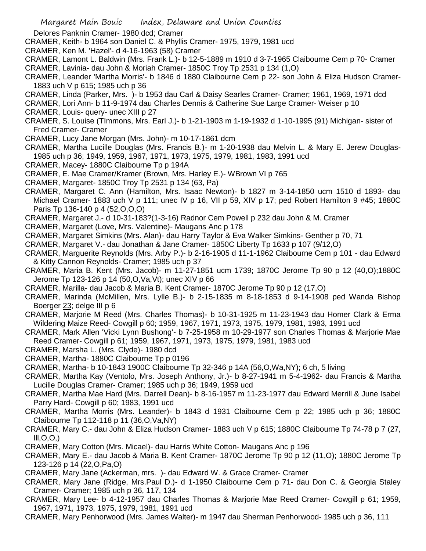Delores Panknin Cramer- 1980 dcd; Cramer

- CRAMER, Keith- b 1964 son Daniel C. & Phyllis Cramer- 1975, 1979, 1981 ucd
- CRAMER, Ken M. 'Hazel'- d 4-16-1963 (58) Cramer
- CRAMER, Lamont L. Baldwin (Mrs. Frank L.)- b 12-5-1889 m 1910 d 3-7-1965 Claibourne Cem p 70- Cramer CRAMER, Lavinia- dau John & Moriah Cramer- 1850C Troy Tp 2531 p 134 (1,O)
- CRAMER, Leander 'Martha Morris'- b 1846 d 1880 Claibourne Cem p 22- son John & Eliza Hudson Cramer-1883 uch V p 615; 1985 uch p 36
- CRAMER, Linda (Parker, Mrs. )- b 1953 dau Carl & Daisy Searles Cramer- Cramer; 1961, 1969, 1971 dcd
- CRAMER, Lori Ann- b 11-9-1974 dau Charles Dennis & Catherine Sue Large Cramer- Weiser p 10
- CRAMER, Louis- query- unec XIII p 27
- CRAMER, S. Louise (TImmons, Mrs. Earl J.)- b 1-21-1903 m 1-19-1932 d 1-10-1995 (91) Michigan- sister of Fred Cramer- Cramer
- CRAMER, Lucy Jane Morgan (Mrs. John)- m 10-17-1861 dcm
- CRAMER, Martha Lucille Douglas (Mrs. Francis B.)- m 1-20-1938 dau Melvin L. & Mary E. Jerew Douglas-1985 uch p 36; 1949, 1959, 1967, 1971, 1973, 1975, 1979, 1981, 1983, 1991 ucd
- CRAMER, Macey- 1880C Claibourne Tp p 194A
- CRAMER, E. Mae Cramer/Kramer (Brown, Mrs. Harley E.)- WBrown VI p 765
- CRAMER, Margaret- 1850C Troy Tp 2531 p 134 (63, Pa)
- CRAMER, Margaret C. Ann (Hamilton, Mrs. Isaac Newton)- b 1827 m 3-14-1850 ucm 1510 d 1893- dau Michael Cramer- 1883 uch V p 111; unec IV p 16, VII p 59, XIV p 17; ped Robert Hamilton 9 #45; 1880C Paris Tp 136-140 p 4 (52,O,O,O)
- CRAMER, Margaret J.- d 10-31-183?(1-3-16) Radnor Cem Powell p 232 dau John & M. Cramer
- CRAMER, Margaret (Love, Mrs. Valentine)- Maugans Anc p 178
- CRAMER, Margaret Simkins (Mrs. Alan)- dau Harry Taylor & Eva Walker Simkins- Genther p 70, 71
- CRAMER, Margaret V.- dau Jonathan & Jane Cramer- 1850C Liberty Tp 1633 p 107 (9/12,O)
- CRAMER, Marguerite Reynolds (Mrs. Arby P.)- b 2-16-1905 d 11-1-1962 Claibourne Cem p 101 dau Edward & Kitty Cannon Reynolds- Cramer; 1985 uch p 37
- CRAMER, Maria B. Kent (Mrs. Jacob)- m 11-27-1851 ucm 1739; 1870C Jerome Tp 90 p 12 (40,O);1880C Jerome Tp 123-126 p 14 (50,O,Va,Vt); unec XIV p 66
- CRAMER, Marilla- dau Jacob & Maria B. Kent Cramer- 1870C Jerome Tp 90 p 12 (17,O)
- CRAMER, Marinda (McMillen, Mrs. Lylle B.)- b 2-15-1835 m 8-18-1853 d 9-14-1908 ped Wanda Bishop Boerger 23; delge III p 6
- CRAMER, Marjorie M Reed (Mrs. Charles Thomas)- b 10-31-1925 m 11-23-1943 dau Homer Clark & Erma Wildering Maize Reed- Cowgill p 60; 1959, 1967, 1971, 1973, 1975, 1979, 1981, 1983, 1991 ucd
- CRAMER, Mark Allen 'Vicki Lynn Bushong'- b 7-25-1958 m 10-29-1977 son Charles Thomas & Marjorie Mae Reed Cramer- Cowgill p 61; 1959, 1967, 1971, 1973, 1975, 1979, 1981, 1983 ucd
- CRAMER, Marsha L. (Mrs. Clyde)- 1980 dcd
- CRAMER, Martha- 1880C Claibourne Tp p 0196
- CRAMER, Martha- b 10-1843 1900C Claibourne Tp 32-346 p 14A (56,O,Wa,NY); 6 ch, 5 living
- CRAMER, Martha Kay (Ventolo, Mrs. Joseph Anthony, Jr.)- b 8-27-1941 m 5-4-1962- dau Francis & Martha Lucille Douglas Cramer- Cramer; 1985 uch p 36; 1949, 1959 ucd
- CRAMER, Martha Mae Hard (Mrs. Darrell Dean)- b 8-16-1957 m 11-23-1977 dau Edward Merrill & June Isabel Parry Hard- Cowgill p 60; 1983, 1991 ucd
- CRAMER, Martha Morris (Mrs. Leander)- b 1843 d 1931 Claibourne Cem p 22; 1985 uch p 36; 1880C Claibourne Tp 112-118 p 11 (36,O,Va,NY)
- CRAMER, Mary C.- dau John & Eliza Hudson Cramer- 1883 uch V p 615; 1880C Claibourne Tp 74-78 p 7 (27,  $III, O, O$ ,)
- CRAMER, Mary Cotton (Mrs. Micael)- dau Harris White Cotton- Maugans Anc p 196
- CRAMER, Mary E.- dau Jacob & Maria B. Kent Cramer- 1870C Jerome Tp 90 p 12 (11,O); 1880C Jerome Tp 123-126 p 14 (22,O,Pa,O)
- CRAMER, Mary Jane (Ackerman, mrs. )- dau Edward W. & Grace Cramer- Cramer
- CRAMER, Mary Jane (Ridge, Mrs.Paul D.)- d 1-1950 Claibourne Cem p 71- dau Don C. & Georgia Staley Cramer- Cramer; 1985 uch p 36, 117, 134
- CRAMER, Mary Lee- b 4-12-1957 dau Charles Thomas & Marjorie Mae Reed Cramer- Cowgill p 61; 1959, 1967, 1971, 1973, 1975, 1979, 1981, 1991 ucd
- CRAMER, Mary Penhorwood (Mrs. James Walter)- m 1947 dau Sherman Penhorwood- 1985 uch p 36, 111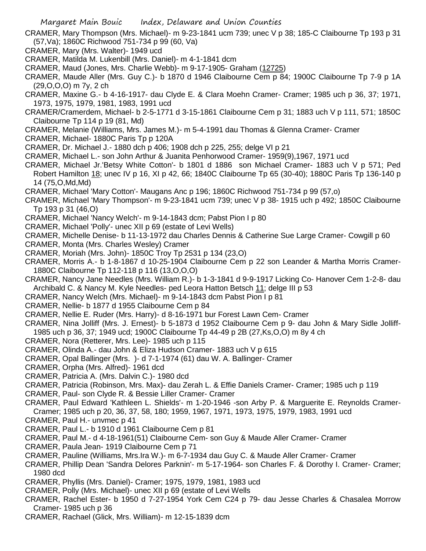- CRAMER, Mary Thompson (Mrs. Michael)- m 9-23-1841 ucm 739; unec V p 38; 185-C Claibourne Tp 193 p 31 (57,Va); 1860C Richwood 751-734 p 99 (60, Va)
- CRAMER, Mary (Mrs. Walter)- 1949 ucd
- CRAMER, Matilda M. Lukenbill (Mrs. Daniel)- m 4-1-1841 dcm
- CRAMER, Maud (Jones, Mrs. Charlie Webb)- m 9-17-1905- Graham (12725)
- CRAMER, Maude Aller (Mrs. Guy C.)- b 1870 d 1946 Claibourne Cem p 84; 1900C Claibourne Tp 7-9 p 1A (29,O,O,O) m 7y, 2 ch
- CRAMER, Maxine G.- b 4-16-1917- dau Clyde E. & Clara Moehn Cramer- Cramer; 1985 uch p 36, 37; 1971, 1973, 1975, 1979, 1981, 1983, 1991 ucd
- CRAMER/Cramerdem, Michael- b 2-5-1771 d 3-15-1861 Claibourne Cem p 31; 1883 uch V p 111, 571; 1850C Claibourne Tp 114 p 19 (81, Md)
- CRAMER, Melanie (Williams, Mrs. James M.)- m 5-4-1991 dau Thomas & Glenna Cramer- Cramer
- CRAMER, Michael- 1880C Paris Tp p 120A
- CRAMER, Dr. Michael J.- 1880 dch p 406; 1908 dch p 225, 255; delge VI p 21
- CRAMER, Michael L.- son John Arthur & Juanita Penhorwood Cramer- 1959(9),1967, 1971 ucd
- CRAMER, Michael Jr.'Betsy White Cotton'- b 1801 d 1886 son Michael Cramer- 1883 uch V p 571; Ped Robert Hamilton 18; unec IV p 16, XI p 42, 66; 1840C Claibourne Tp 65 (30-40); 1880C Paris Tp 136-140 p 14 (75,O,Md,Md)
- CRAMER, Michael 'Mary Cotton'- Maugans Anc p 196; 1860C Richwood 751-734 p 99 (57,o)
- CRAMER, Michael 'Mary Thompson'- m 9-23-1841 ucm 739; unec V p 38- 1915 uch p 492; 1850C Claibourne Tp 193 p 31 (46,O)
- CRAMER, Michael 'Nancy Welch'- m 9-14-1843 dcm; Pabst Pion I p 80
- CRAMER, Michael 'Polly'- unec XII p 69 (estate of Levi Wells)
- CRAMER, Michelle Denise- b 11-13-1972 dau Charles Dennis & Catherine Sue Large Cramer- Cowgill p 60
- CRAMER, Monta (Mrs. Charles Wesley) Cramer
- CRAMER, Moriah (Mrs. John)- 1850C Troy Tp 2531 p 134 (23,O)
- CRAMER, Morris A.- b 1-8-1867 d 10-25-1904 Claibourne Cem p 22 son Leander & Martha Morris Cramer-1880C Claibourne Tp 112-118 p 116 (13,O,O,O)
- CRAMER, Nancy Jane Needles (Mrs. William R.)- b 1-3-1841 d 9-9-1917 Licking Co- Hanover Cem 1-2-8- dau Archibald C. & Nancy M. Kyle Needles- ped Leora Hatton Betsch 11; delge III p 53
- CRAMER, Nancy Welch (Mrs. Michael)- m 9-14-1843 dcm Pabst Pion I p 81
- CRAMER, Nellie- b 1877 d 1955 Claibourne Cem p 84
- CRAMER, Nellie E. Ruder (Mrs. Harry)- d 8-16-1971 bur Forest Lawn Cem- Cramer
- CRAMER, Nina Jolliff (Mrs. J. Ernest)- b 5-1873 d 1952 Claibourne Cem p 9- dau John & Mary Sidle Jolliff-1985 uch p 36, 37; 1949 ucd; 1900C Claibourne Tp 44-49 p 2B (27,Ks,O,O) m 8y 4 ch
- CRAMER, Nora (Retterer, Mrs. Lee)- 1985 uch p 115
- CRAMER, Olinda A.- dau John & Eliza Hudson Cramer- 1883 uch V p 615
- CRAMER, Opal Ballinger (Mrs. )- d 7-1-1974 (61) dau W. A. Ballinger- Cramer
- CRAMER, Orpha (Mrs. Alfred)- 1961 dcd
- CRAMER, Patricia A. (Mrs. Dalvin C.)- 1980 dcd
- CRAMER, Patricia (Robinson, Mrs. Max)- dau Zerah L. & Effie Daniels Cramer- Cramer; 1985 uch p 119
- CRAMER, Paul- son Clyde R. & Bessie Liller Cramer- Cramer
- CRAMER, Paul Edward 'Kathleen L. Shields'- m 1-20-1946 -son Arby P. & Marguerite E. Reynolds Cramer-Cramer; 1985 uch p 20, 36, 37, 58, 180; 1959, 1967, 1971, 1973, 1975, 1979, 1983, 1991 ucd
- CRAMER, Paul H.- unvmec p 41
- CRAMER, Paul L.- b 1910 d 1961 Claibourne Cem p 81
- CRAMER, Paul M.- d 4-18-1961(51) Claibourne Cem- son Guy & Maude Aller Cramer- Cramer
- CRAMER, Paula Jean- 1919 Claibourne Cem p 71
- CRAMER, Pauline (Williams, Mrs.Ira W.)- m 6-7-1934 dau Guy C. & Maude Aller Cramer- Cramer
- CRAMER, Phillip Dean 'Sandra Delores Parknin'- m 5-17-1964- son Charles F. & Dorothy I. Cramer- Cramer; 1980 dcd
- CRAMER, Phyllis (Mrs. Daniel)- Cramer; 1975, 1979, 1981, 1983 ucd
- CRAMER, Polly (Mrs. Michael)- unec XII p 69 (estate of Levi Wells
- CRAMER, Rachel Ester- b 1950 d 7-27-1954 York Cem C24 p 79- dau Jesse Charles & Chasalea Morrow Cramer- 1985 uch p 36
- CRAMER, Rachael (Glick, Mrs. William)- m 12-15-1839 dcm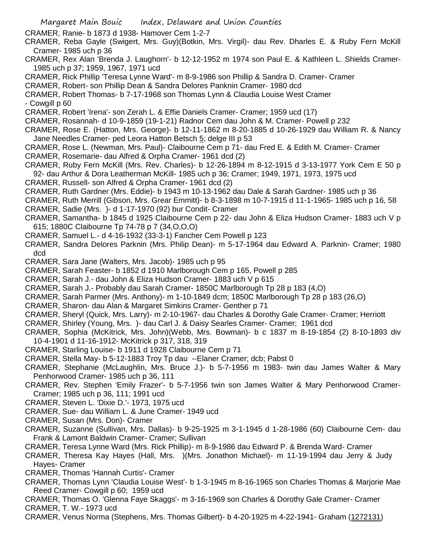CRAMER, Ranie- b 1873 d 1938- Hamover Cem 1-2-7

- CRAMER, Reba Gayle (Swigert, Mrs. Guy)(Botkin, Mrs. Virgil)- dau Rev. Dharles E. & Ruby Fern McKill Cramer- 1985 uch p 36
- CRAMER, Rex Alan 'Brenda J. Laughorn'- b 12-12-1952 m 1974 son Paul E. & Kathleen L. Shields Cramer-1985 uch p 37; 1959, 1967, 1971 ucd
- CRAMER, Rick Phillip 'Teresa Lynne Ward'- m 8-9-1986 son Phillip & Sandra D. Cramer- Cramer
- CRAMER, Robert- son Phillip Dean & Sandra Delores Panknin Cramer- 1980 dcd

CRAMER, Robert Thomas- b 7-17-1968 son Thomas Lynn & Claudia Louise West Cramer - Cowgill p 60

- CRAMER, Robert 'Irena'- son Zerah L. & Effie Daniels Cramer- Cramer; 1959 ucd (17)
- CRAMER, Rosannah- d 10-9-1859 (19-1-21) Radnor Cem dau John & M. Cramer- Powell p 232
- CRAMER, Rose E. (Hatton, Mrs. George)- b 12-11-1862 m 8-20-1885 d 10-26-1929 dau William R. & Nancy Jane Needles Cramer- ped Leora Hatton Betsch 5; delge III p 53
- CRAMER, Rose L. (Newman, Mrs. Paul)- Claibourne Cem p 71- dau Fred E. & Edith M. Cramer- Cramer
- CRAMER, Rosemarie- dau Alfred & Orpha Cramer- 1961 dcd (2)
- CRAMER, Ruby Fern McKill (Mrs. Rev. Charles)- b 12-26-1894 m 8-12-1915 d 3-13-1977 York Cem E 50 p 92- dau Arthur & Dora Leatherman McKill- 1985 uch p 36; Cramer; 1949, 1971, 1973, 1975 ucd
- CRAMER, Russell- son Alfred & Orpha Cramer- 1961 dcd (2)
- CRAMER, Ruth Gardner (Mrs. Eddie)- b 1943 m 10-13-1962 dau Dale & Sarah Gardner- 1985 uch p 36
- CRAMER, Ruth Merrill (Gibson, Mrs. Grear Emmitt)- b 8-3-1898 m 10-7-1915 d 11-1-1965- 1985 uch p 16, 58 CRAMER, Sadie (Mrs. )- d 1-17-1970 (92) bur Condit- Cramer
- CRAMER, Samantha- b 1845 d 1925 Claibourne Cem p 22- dau John & Eliza Hudson Cramer- 1883 uch V p 615; 1880C Claibourne Tp 74-78 p 7 (34,O,O,O)
- CRAMER, Samuel L.- d 4-16-1932 (33-3-1) Fancher Cem Powell p 123
- CRAMER, Sandra Delores Parknin (Mrs. Philip Dean)- m 5-17-1964 dau Edward A. Parknin- Cramer; 1980 dcd
- CRAMER, Sara Jane (Walters, Mrs. Jacob)- 1985 uch p 95
- CRAMER, Sarah Feaster- b 1852 d 1910 Marlborough Cem p 165, Powell p 285
- CRAMER, Sarah J.- dau John & Eliza Hudson Cramer- 1883 uch V p 615
- CRAMER, Sarah J.- Probably dau Sarah Cramer- 1850C Marlborough Tp 28 p 183 (4,O)
- CRAMER, Sarah Parmer (Mrs. Anthony)- m 1-10-1849 dcm; 1850C Marlborough Tp 28 p 183 (26,O)
- CRAMER, Sharon- dau Alan & Margaret Simkins Cramer- Genther p 71
- CRAMER, Sheryl (Quick, Mrs. Larry)- m 2-10-1967- dau Charles & Dorothy Gale Cramer- Cramer; Herriott
- CRAMER, Shirley (Young, Mrs. )- dau Carl J. & Daisy Searles Cramer- Cramer; 1961 dcd
- CRAMER, Sophia (McKitrick, Mrs. John)(Webb, Mrs. Bowman)- b c 1837 m 8-19-1854 (2) 8-10-1893 div 10-4-1901 d 11-16-1912- McKitrick p 317, 318, 319
- CRAMER, Starling Louise- b 1911 d 1928 Claibourne Cem p 71
- CRAMER, Stella May- b 5-12-1883 Troy Tp dau --Elaner Cramer; dcb; Pabst 0
- CRAMER, Stephanie (McLaughlin, Mrs. Bruce J.)- b 5-7-1956 m 1983- twin dau James Walter & Mary Penhorwood Cramer- 1985 uch p 36, 111
- CRAMER, Rev. Stephen 'Emily Frazer'- b 5-7-1956 twin son James Walter & Mary Penhorwood Cramer-Cramer; 1985 uch p 36, 111; 1991 ucd
- CRAMER, Steven L. 'Dixie D.'- 1973, 1975 ucd
- CRAMER, Sue- dau William L. & June Cramer- 1949 ucd
- CRAMER, Susan (Mrs. Don)- Cramer
- CRAMER, Suzanne (Sullivan, Mrs. Dallas)- b 9-25-1925 m 3-1-1945 d 1-28-1986 (60) Claibourne Cem- dau Frank & Lamont Baldwin Cramer- Cramer; Sullivan
- CRAMER, Teresa Lynne Ward (Mrs. Rick Phillip)- m 8-9-1986 dau Edward P. & Brenda Ward- Cramer
- CRAMER, Theresa Kay Hayes (Hall, Mrs. )(Mrs. Jonathon Michael)- m 11-19-1994 dau Jerry & Judy Hayes- Cramer
- CRAMER, Thomas 'Hannah Curtis'- Cramer
- CRAMER, Thomas Lynn 'Claudia Louise West'- b 1-3-1945 m 8-16-1965 son Charles Thomas & Marjorie Mae Reed Cramer- Cowgill p 60; 1959 ucd
- CRAMER, Thomas O. 'Glenna Faye Skaggs'- m 3-16-1969 son Charles & Dorothy Gale Cramer- Cramer CRAMER, T. W.- 1973 ucd
- CRAMER, Venus Norma (Stephens, Mrs. Thomas Gilbert)- b 4-20-1925 m 4-22-1941- Graham (1272131)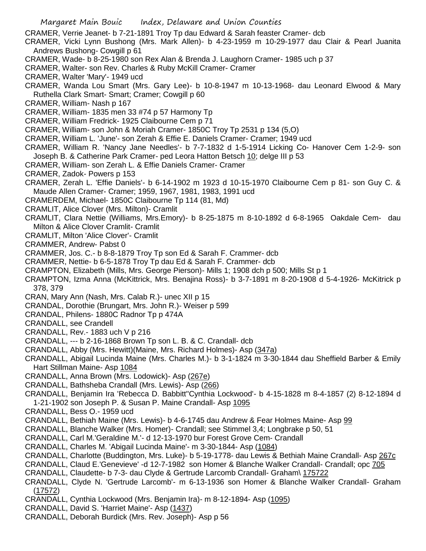- CRAMER, Verrie Jeanet- b 7-21-1891 Troy Tp dau Edward & Sarah feaster Cramer- dcb
- CRAMER, Vicki Lynn Bushong (Mrs. Mark Allen)- b 4-23-1959 m 10-29-1977 dau Clair & Pearl Juanita Andrews Bushong- Cowgill p 61
- CRAMER, Wade- b 8-25-1980 son Rex Alan & Brenda J. Laughorn Cramer- 1985 uch p 37
- CRAMER, Walter- son Rev. Charles & Ruby McKill Cramer- Cramer
- CRAMER, Walter 'Mary'- 1949 ucd
- CRAMER, Wanda Lou Smart (Mrs. Gary Lee)- b 10-8-1947 m 10-13-1968- dau Leonard Elwood & Mary Ruthella Clark Smart- Smart; Cramer; Cowgill p 60
- CRAMER, William- Nash p 167
- CRAMER, William- 1835 men 33 #74 p 57 Harmony Tp
- CRAMER, William Fredrick- 1925 Claibourne Cem p 71
- CRAMER, William- son John & Moriah Cramer- 1850C Troy Tp 2531 p 134 (5,O)
- CRAMER, William L. 'June'- son Zerah & Effie E. Daniels Cramer- Cramer; 1949 ucd
- CRAMER, William R. 'Nancy Jane Needles'- b 7-7-1832 d 1-5-1914 Licking Co- Hanover Cem 1-2-9- son Joseph B. & Catherine Park Cramer- ped Leora Hatton Betsch 10; delge III p 53
- CRAMER, William- son Zerah L. & Effie Daniels Cramer- Cramer
- CRAMER, Zadok- Powers p 153
- CRAMER, Zerah L. 'Effie Daniels'- b 6-14-1902 m 1923 d 10-15-1970 Claibourne Cem p 81- son Guy C. & Maude Allen Cramer- Cramer; 1959, 1967, 1981, 1983, 1991 ucd
- CRAMERDEM, Michael- 1850C Claibourne Tp 114 (81, Md)
- CRAMLIT, Alice Clover (Mrs. Milton)- Cramlit
- CRAMLIT, Clara Nettie (Williams, Mrs.Emory)- b 8-25-1875 m 8-10-1892 d 6-8-1965 Oakdale Cem- dau Milton & Alice Clover Cramlit- Cramlit
- CRAMLIT, Milton 'Alice Clover'- Cramlit
- CRAMMER, Andrew- Pabst 0
- CRAMMER, Jos. C.- b 8-8-1879 Troy Tp son Ed & Sarah F. Crammer- dcb
- CRAMMER, Nettie- b 6-5-1878 Troy Tp dau Ed & Sarah F. Crammer- dcb
- CRAMPTON, Elizabeth (Mills, Mrs. George Pierson)- Mills 1; 1908 dch p 500; Mills St p 1
- CRAMPTON, Izma Anna (McKittrick, Mrs. Benajina Ross)- b 3-7-1891 m 8-20-1908 d 5-4-1926- McKitrick p 378, 379
- CRAN, Mary Ann (Nash, Mrs. Calab R.)- unec XII p 15
- CRANDAL, Dorothie (Brungart, Mrs. John R.)- Weiser p 599
- CRANDAL, Philens- 1880C Radnor Tp p 474A
- CRANDALL, see Crandell
- CRANDALL, Rev.- 1883 uch V p 216
- CRANDALL, --- b 2-16-1868 Brown Tp son L. B. & C. Crandall- dcb
- CRANDALL, Abby (Mrs. Hewitt)(Maine, Mrs. Richard Holmes)- Asp (347a)
- CRANDALL, Abigail Lucinda Maine (Mrs. Charles M.)- b 3-1-1824 m 3-30-1844 dau Sheffield Barber & Emily Hart Stillman Maine- Asp 1084
- CRANDALL, Anna Brown (Mrs. Lodowick)- Asp (267e)
- CRANDALL, Bathsheba Crandall (Mrs. Lewis)- Asp (266)
- CRANDALL, Benjamin Ira 'Rebecca D. Babbitt''Cynthia Lockwood'- b 4-15-1828 m 8-4-1857 (2) 8-12-1894 d 1-21-1902 son Joseph P. & Susan P. Maine Crandall- Asp 1095
- CRANDALL, Bess O.- 1959 ucd
- CRANDALL, Bethiah Maine (Mrs. Lewis)- b 4-6-1745 dau Andrew & Fear Holmes Maine- Asp 99
- CRANDALL, Blanche Walker (Mrs. Homer)- Crandall; see Stimmel 3,4; Longbrake p 50, 51
- CRANDALL, Carl M.'Geraldine M.'- d 12-13-1970 bur Forest Grove Cem- Crandall
- CRANDALL, Charles M. 'Abigail Lucinda Maine'- m 3-30-1844- Asp (1084)
- CRANDALL, Charlotte (Buddington, Mrs. Luke)- b 5-19-1778- dau Lewis & Bethiah Maine Crandall- Asp 267c
- CRANDALL, Claud E.'Genevieve' -d 12-7-1982 son Homer & Blanche Walker Crandall- Crandall; opc 705
- CRANDALL, Claudette- b 7-3- dau Clyde & Gertrude Larcomb Crandall- Graham\ 175722
- CRANDALL, Clyde N. 'Gertrude Larcomb'- m 6-13-1936 son Homer & Blanche Walker Crandall- Graham (17572)
- CRANDALL, Cynthia Lockwood (Mrs. Benjamin Ira)- m 8-12-1894- Asp (1095)
- CRANDALL, David S. 'Harriet Maine'- Asp (1437)
- CRANDALL, Deborah Burdick (Mrs. Rev. Joseph)- Asp p 56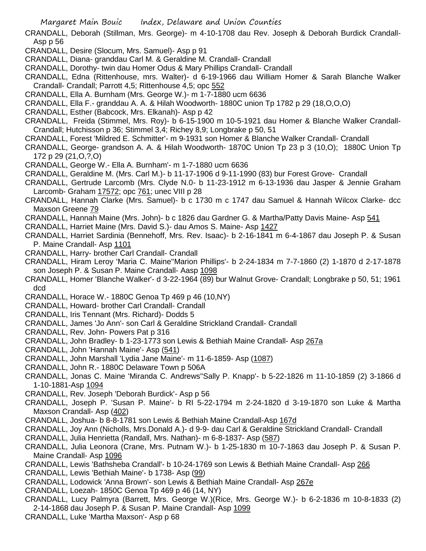- CRANDALL, Deborah (Stillman, Mrs. George)- m 4-10-1708 dau Rev. Joseph & Deborah Burdick Crandall-Asp p 56
- CRANDALL, Desire (Slocum, Mrs. Samuel)- Asp p 91
- CRANDALL, Diana- granddau Carl M. & Geraldine M. Crandall- Crandall
- CRANDALL, Dorothy- twin dau Homer Odus & Mary Phillips Crandall- Crandall
- CRANDALL, Edna (Rittenhouse, mrs. Walter)- d 6-19-1966 dau William Homer & Sarah Blanche Walker Crandall- Crandall; Parrott 4,5; Rittenhouse 4,5; opc 552
- CRANDALL, Ella A. Burnham (Mrs. George W.)- m 1-7-1880 ucm 6636
- CRANDALL, Ella F.- granddau A. A. & Hilah Woodworth- 1880C union Tp 1782 p 29 (18,O,O,O)
- CRANDALL, Esther (Babcock, Mrs. Elkanah)- Asp p 42
- CRANDALL, Freida (Stimmel, Mrs. Roy)- b 6-15-1900 m 10-5-1921 dau Homer & Blanche Walker Crandall-Crandall; Hutchisson p 36; Stimmel 3,4; Richey 8,9; Longbrake p 50, 51
- CRANDALL, Forest 'Mildred E. Schmitter'- m 9-1931 son Homer & Blanche Walker Crandall- Crandall
- CRANDALL, George- grandson A. A. & Hilah Woodworth- 1870C Union Tp 23 p 3 (10,O); 1880C Union Tp 172 p 29 (21,O,?,O)
- CRANDALL, George W.- Ella A. Burnham'- m 1-7-1880 ucm 6636
- CRANDALL, Geraldine M. (Mrs. Carl M.)- b 11-17-1906 d 9-11-1990 (83) bur Forest Grove- Crandall
- CRANDALL, Gertrude Larcomb (Mrs. Clyde N.0- b 11-23-1912 m 6-13-1936 dau Jasper & Jennie Graham Larcomb- Graham 17572; opc 761; unec VIII p 28
- CRANDALL, Hannah Clarke (Mrs. Samuel)- b c 1730 m c 1747 dau Samuel & Hannah Wilcox Clarke- dcc Maxson Greene 79
- CRANDALL, Hannah Maine (Mrs. John)- b c 1826 dau Gardner G. & Martha/Patty Davis Maine- Asp 541
- CRANDALL, Harriet Maine (Mrs. David S.)- dau Amos S. Maine- Asp 1427
- CRANDALL, Harriet Sardinia (Bennehoff, Mrs. Rev. Isaac)- b 2-16-1841 m 6-4-1867 dau Joseph P. & Susan P. Maine Crandall- Asp 1101
- CRANDALL, Harry- brother Carl Crandall- Crandall
- CRANDALL, Hiram Leroy 'Maria C. Maine''Marion Phillips'- b 2-24-1834 m 7-7-1860 (2) 1-1870 d 2-17-1878 son Joseph P. & Susan P. Maine Crandall- Aasp 1098
- CRANDALL, Homer 'Blanche Walker'- d 3-22-1964 (89) bur Walnut Grove- Crandall; Longbrake p 50, 51; 1961 dcd
- CRANDALL, Horace W.- 1880C Genoa Tp 469 p 46 (10,NY)
- CRANDALL, Howard- brother Carl Crandall- Crandall
- CRANDALL, Iris Tennant (Mrs. Richard)- Dodds 5
- CRANDALL, James 'Jo Ann'- son Carl & Geraldine Strickland Crandall- Crandall
- CRANDALL, Rev. John- Powers Pat p 316
- CRANDALL, John Bradley- b 1-23-1773 son Lewis & Bethiah Maine Crandall- Asp 267a
- CRANDALL, John 'Hannah Maine'- Asp (541)
- CRANDALL, John Marshall 'Lydia Jane Maine'- m 11-6-1859- Asp (1087)
- CRANDALL, John R.- 1880C Delaware Town p 506A
- CRANDALL, Jonas C. Maine 'Miranda C. Andrews''Sally P. Knapp'- b 5-22-1826 m 11-10-1859 (2) 3-1866 d 1-10-1881-Asp 1094
- CRANDALL, Rev. Joseph 'Deborah Burdick'- Asp p 56
- CRANDALL, Joseph P. 'Susan P. Maine'- b RI 5-22-1794 m 2-24-1820 d 3-19-1870 son Luke & Martha Maxson Crandall- Asp (402)
- CRANDALL, Joshua- b 8-8-1781 son Lewis & Bethiah Maine Crandall-Asp 167d
- CRANDALL, Joy Ann (Nicholls, Mrs.Donald A.)- d 9-9- dau Carl & Geraldine Strickland Crandall- Crandall
- CRANDALL, Julia Henrietta (Randall, Mrs. Nathan)- m 6-8-1837- Asp (587)
- CRANDALL, Julia Leonora (Crane, Mrs. Putnam W.)- b 1-25-1830 m 10-7-1863 dau Joseph P. & Susan P. Maine Crandall- Asp 1096
- CRANDALL, Lewis 'Bathsheba Crandall'- b 10-24-1769 son Lewis & Bethiah Maine Crandall- Asp 266
- CRANDALL, Lewis 'Bethiah Maine'- b 1738- Asp (99)
- CRANDALL, Lodowick 'Anna Brown'- son Lewis & Bethiah Maine Crandall- Asp 267e
- CRANDALL, Loezah- 1850C Genoa Tp 469 p 46 (14, NY)
- CRANDALL, Lucy Palmyra (Barrett, Mrs. George W.)(Rice, Mrs. George W.)- b 6-2-1836 m 10-8-1833 (2) 2-14-1868 dau Joseph P. & Susan P. Maine Crandall- Asp 1099
- CRANDALL, Luke 'Martha Maxson'- Asp p 68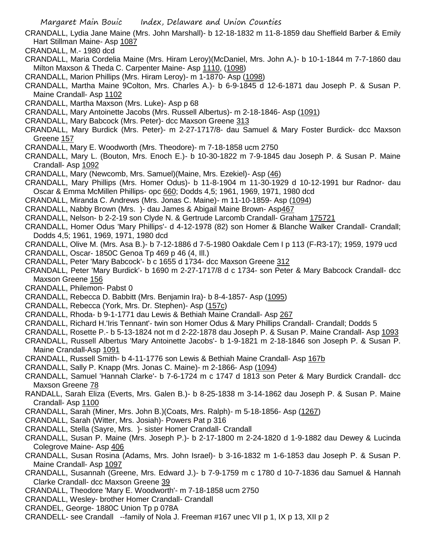CRANDALL, Lydia Jane Maine (Mrs. John Marshall)- b 12-18-1832 m 11-8-1859 dau Sheffield Barber & Emily Hart Stillman Maine- Asp 1087

- CRANDALL, M.- 1980 dcd
- CRANDALL, Maria Cordelia Maine (Mrs. Hiram Leroy)(McDaniel, Mrs. John A.)- b 10-1-1844 m 7-7-1860 dau Milton Maxson & Theda C. Carpenter Maine- Asp 1110, (1098)
- CRANDALL, Marion Phillips (Mrs. Hiram Leroy)- m 1-1870- Asp (1098)
- CRANDALL, Martha Maine 9Colton, Mrs. Charles A.)- b 6-9-1845 d 12-6-1871 dau Joseph P. & Susan P. Maine Crandall- Asp 1102
- CRANDALL, Martha Maxson (Mrs. Luke)- Asp p 68
- CRANDALL, Mary Antoinette Jacobs (Mrs. Russell Albertus)- m 2-18-1846- Asp (1091)
- CRANDALL, Mary Babcock (Mrs. Peter)- dcc Maxson Greene 313
- CRANDALL, Mary Burdick (Mrs. Peter)- m 2-27-1717/8- dau Samuel & Mary Foster Burdick- dcc Maxson Greene 157
- CRANDALL, Mary E. Woodworth (Mrs. Theodore)- m 7-18-1858 ucm 2750
- CRANDALL, Mary L. (Bouton, Mrs. Enoch E.)- b 10-30-1822 m 7-9-1845 dau Joseph P. & Susan P. Maine Crandall- Asp 1092
- CRANDALL, Mary (Newcomb, Mrs. Samuel)(Maine, Mrs. Ezekiel)- Asp (46)
- CRANDALL, Mary Phillips (Mrs. Homer Odus)- b 11-8-1904 m 11-30-1929 d 10-12-1991 bur Radnor- dau Oscar & Emma McMillen Phillips- opc 660; Dodds 4,5; 1961, 1969, 1971, 1980 dcd
- CRANDALL, Miranda C. Andrews (Mrs. Jonas C. Maine)- m 11-10-1859- Asp (1094)
- CRANDALL, Nabby Brown (Mrs. )- dau James & Abigail Maine Brown- Asp467
- CRANDALL, Nelson- b 2-2-19 son Clyde N. & Gertrude Larcomb Crandall- Graham 175721
- CRANDALL, Homer Odus 'Mary Phillips'- d 4-12-1978 (82) son Homer & Blanche Walker Crandall- Crandall; Dodds 4,5; 1961, 1969, 1971, 1980 dcd
- CRANDALL, Olive M. (Mrs. Asa B.)- b 7-12-1886 d 7-5-1980 Oakdale Cem I p 113 (F-R3-17); 1959, 1979 ucd
- CRANDALL, Oscar- 1850C Genoa Tp 469 p 46 (4, Ill.)
- CRANDALL, Peter 'Mary Babcock'- b c 1655 d 1734- dcc Maxson Greene 312
- CRANDALL, Peter 'Mary Burdick'- b 1690 m 2-27-1717/8 d c 1734- son Peter & Mary Babcock Crandall- dcc Maxson Greene 156
- CRANDALL, Philemon- Pabst 0
- CRANDALL, Rebecca D. Babbitt (Mrs. Benjamin Ira)- b 8-4-1857- Asp (1095)
- CRANDALL, Rebecca (York, Mrs. Dr. Stephen)- Asp (157c)
- CRANDALL, Rhoda- b 9-1-1771 dau Lewis & Bethiah Maine Crandall- Asp 267
- CRANDALL, Richard H.'Iris Tennant'- twin son Homer Odus & Mary Phillips Crandall- Crandall; Dodds 5
- CRANDALL, Rosette P.- b 5-13-1824 not m d 2-22-1878 dau Joseph P. & Susan P. Maine Crandall- Asp 1093
- CRANDALL, Russell Albertus 'Mary Antoinette Jacobs'- b 1-9-1821 m 2-18-1846 son Joseph P. & Susan P. Maine Crandall-Asp 1091
- CRANDALL, Russell Smith- b 4-11-1776 son Lewis & Bethiah Maine Crandall- Asp 167b
- CRANDALL, Sally P. Knapp (Mrs. Jonas C. Maine)- m 2-1866- Asp (1094)
- CRANDALL, Samuel 'Hannah Clarke'- b 7-6-1724 m c 1747 d 1813 son Peter & Mary Burdick Crandall- dcc Maxson Greene 78
- RANDALL, Sarah Eliza (Everts, Mrs. Galen B.)- b 8-25-1838 m 3-14-1862 dau Joseph P. & Susan P. Maine Crandall- Asp 1100
- CRANDALL, Sarah (Miner, Mrs. John B.)(Coats, Mrs. Ralph)- m 5-18-1856- Asp (1267)
- CRANDALL, Sarah (Witter, Mrs. Josiah)- Powers Pat p 316
- CRANDALL, Stella (Sayre, Mrs. )- sister Homer Crandall- Crandall
- CRANDALL, Susan P. Maine (Mrs. Joseph P.)- b 2-17-1800 m 2-24-1820 d 1-9-1882 dau Dewey & Lucinda Colegrove Maine- Asp 406
- CRANDALL, Susan Rosina (Adams, Mrs. John Israel)- b 3-16-1832 m 1-6-1853 dau Joseph P. & Susan P. Maine Crandall- Asp 1097
- CRANDALL, Susannah (Greene, Mrs. Edward J.)- b 7-9-1759 m c 1780 d 10-7-1836 dau Samuel & Hannah Clarke Crandall- dcc Maxson Greene 39
- CRANDALL, Theodore 'Mary E. Woodworth'- m 7-18-1858 ucm 2750
- CRANDALL, Wesley- brother Homer Crandall- Crandall
- CRANDEL, George- 1880C Union Tp p 078A
- CRANDELL- see Crandall --family of Nola J. Freeman #167 unec VII p 1, IX p 13, XII p 2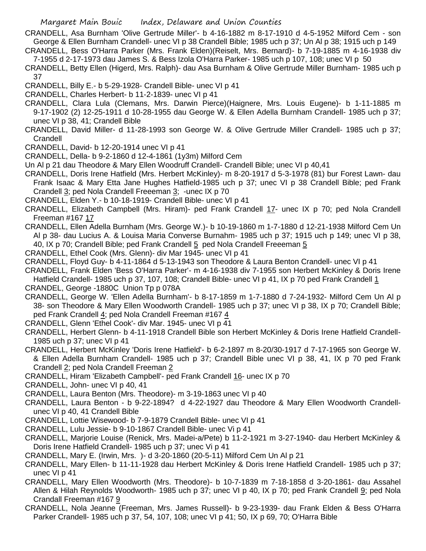- CRANDELL, Asa Burnham 'Olive Gertrude Miller'- b 4-16-1882 m 8-17-1910 d 4-5-1952 Milford Cem son George & Ellen Burnham Crandell- unec VI p 38 Crandell Bible; 1985 uch p 37; Un Al p 38; 1915 uch p 149
- CRANDELL, Bess O'Harra Parker (Mrs. Frank Elden)(Reiselt, Mrs. Bernard)- b 7-19-1885 m 4-16-1938 div 7-1955 d 2-17-1973 dau James S. & Bess Izola O'Harra Parker- 1985 uch p 107, 108; unec VI p 50
- CRANDELL, Betty Ellen (Higerd, Mrs. Ralph)- dau Asa Burnham & Olive Gertrude Miller Burnham- 1985 uch p 37
- CRANDELL, Billy E.- b 5-29-1928- Crandell Bible- unec VI p 41
- CRANDELL, Charles Herbert- b 11-2-1839- unec VI p 41
- CRANDELL, Clara Lula (Clemans, Mrs. Darwin Pierce)(Haignere, Mrs. Louis Eugene)- b 1-11-1885 m 9-17-1902 (2) 12-25-1911 d 10-28-1955 dau George W. & Ellen Adella Burnham Crandell- 1985 uch p 37; unec VI p 38, 41; Crandell Bible
- CRANDELL, David Miller- d 11-28-1993 son George W. & Olive Gertrude Miller Crandell- 1985 uch p 37; **Crandell**
- CRANDELL, David- b 12-20-1914 unec VI p 41
- CRANDELL, Della- b 9-2-1860 d 12-4-1861 (1y3m) Milford Cem
- Un Al p 21 dau Theodore & Mary Ellen Woodruff Crandell- Crandell Bible; unec VI p 40,41
- CRANDELL, Doris Irene Hatfield (Mrs. Herbert McKinley)- m 8-20-1917 d 5-3-1978 (81) bur Forest Lawn- dau Frank Isaac & Mary Etta Jane Hughes Hatfield-1985 uch p 37; unec VI p 38 Crandell Bible; ped Frank
- Crandell 3; ped Nola Crandell Freeeman 3; -unec IX p 70
- CRANDELL, Elden Y.- b 10-18-1919- Crandell Bible- unec VI p 41
- CRANDELL, Elizabeth Campbell (Mrs. Hiram)- ped Frank Crandell 17- unec IX p 70; ped Nola Crandell Freeman #167 17
- CRANDELL, Ellen Adella Burnham (Mrs. George W.)- b 10-19-1860 m 1-7-1880 d 12-21-1938 Milford Cem Un Al p 38- dau Lucius A. & Louisa Maria Converse Burnahm- 1985 uch p 37; 1915 uch p 149; unec VI p 38, 40, IX p 70; Crandell Bible; ped Frank Crandell 5 ped Nola Crandell Freeeman 5
- CRANDELL, Ethel Cook (Mrs. Glenn)- div Mar 1945- unec VI p 41
- CRANDELL, Floyd Guy- b 4-11-1864 d 5-13-1943 son Theodore & Laura Benton Crandell- unec VI p 41
- CRANDELL, Frank Elden 'Bess O'Harra Parker'- m 4-16-1938 div 7-1955 son Herbert McKinley & Doris Irene Hatfield Crandell- 1985 uch p 37, 107, 108; Crandell Bible- unec VI p 41, IX p 70 ped Frank Crandell 1
- CRANDEL, George -1880C Union Tp p 078A
- CRANDELL, George W. 'Ellen Adella Burnham'- b 8-17-1859 m 1-7-1880 d 7-24-1932- Milford Cem Un Al p 38- son Theodore & Mary Ellen Woodworth Crandell- 1985 uch p 37; unec VI p 38, IX p 70; Crandell Bible; ped Frank Crandell 4; ped Nola Crandell Freeman #167 4
- CRANDELL, Glenn 'Ethel Cook'- div Mar. 1945- unec VI p 41
- CRANDELL, Herbert Glenn- b 4-11-1918 Crandell Bible son Herbert McKinley & Doris Irene Hatfield Crandell-1985 uch p 37; unec VI p 41
- CRANDELL, Herbert McKinley 'Doris Irene Hatfield'- b 6-2-1897 m 8-20/30-1917 d 7-17-1965 son George W. & Ellen Adella Burnham Crandell- 1985 uch p 37; Crandell Bible unec VI p 38, 41, IX p 70 ped Frank Crandell 2; ped Nola Crandell Freeman 2
- CRANDELL, Hiram 'Elizabeth Campbell'- ped Frank Crandell 16- unec IX p 70
- CRANDELL, John- unec VI p 40, 41
- CRANDELL, Laura Benton (Mrs. Theodore)- m 3-19-1863 unec VI p 40
- CRANDELL, Laura Benton b 9-22-1894? d 4-22-1927 dau Theodore & Mary Ellen Woodworth Crandellunec VI p 40, 41 Crandell Bible
- CRANDELL, Lottie Wisewood- b 7-9-1879 Crandell Bible- unec VI p 41
- CRANDELL, Lulu Jessie- b 9-10-1867 Crandell Bible- unec Vi p 41
- CRANDELL, Marjorie Louise (Renick, Mrs. Madei-a/Pete) b 11-2-1921 m 3-27-1940- dau Herbert McKinley & Doris Irene Hatfield Crandell- 1985 uch p 37; unec Vi p 41
- CRANDELL, Mary E. (Irwin, Mrs. )- d 3-20-1860 (20-5-11) Milford Cem Un Al p 21
- CRANDELL, Mary Ellen- b 11-11-1928 dau Herbert McKinley & Doris Irene Hatfield Crandell- 1985 uch p 37; unec VI p 41
- CRANDELL, Mary Ellen Woodworth (Mrs. Theodore)- b 10-7-1839 m 7-18-1858 d 3-20-1861- dau Assahel Allen & Hilah Reynolds Woodworth- 1985 uch p 37; unec VI p 40, IX p 70; ped Frank Crandell 9; ped Nola Crandall Freeman #167 9
- CRANDELL, Nola Jeanne (Freeman, Mrs. James Russell)- b 9-23-1939- dau Frank Elden & Bess O'Harra Parker Crandell- 1985 uch p 37, 54, 107, 108; unec VI p 41; 50, IX p 69, 70; O'Harra Bible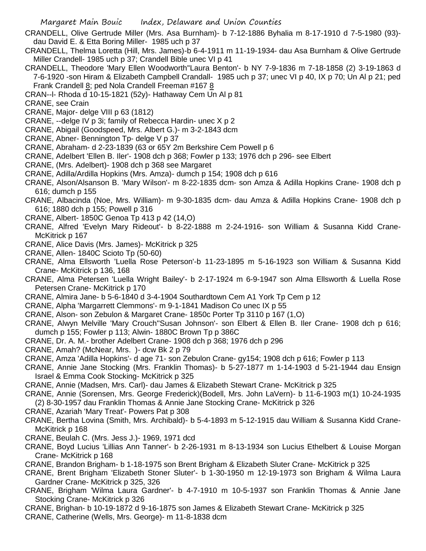CRANDELL, Olive Gertrude Miller (Mrs. Asa Burnham)- b 7-12-1886 Byhalia m 8-17-1910 d 7-5-1980 (93) dau David E. & Etta Boring Miller- 1985 uch p 37

CRANDELL, Thelma Loretta (Hill, Mrs. James)-b 6-4-1911 m 11-19-1934- dau Asa Burnham & Olive Gertrude Miller Crandell- 1985 uch p 37; Crandell Bible unec VI p 41

- CRANDELL, Theodore 'Mary Ellen Woodworth''Laura Benton'- b NY 7-9-1836 m 7-18-1858 (2) 3-19-1863 d 7-6-1920 -son Hiram & Elizabeth Campbell Crandall- 1985 uch p 37; unec VI p 40, IX p 70; Un Al p 21; ped Frank Crandell 8; ped Nola Crandell Freeman #167 8
- CRAN--l- Rhoda d 10-15-1821 (52y)- Hathaway Cem Un Al p 81
- CRANE, see Crain
- CRANE, Major- delge VIII p 63 (1812)
- CRANE, --delge IV p 3i; family of Rebecca Hardin- unec X p 2
- CRANE, Abigail (Goodspeed, Mrs. Albert G.)- m 3-2-1843 dcm
- CRANE, Abner- Bennington Tp- delge V p 37
- CRANE, Abraham- d 2-23-1839 (63 or 65Y 2m Berkshire Cem Powell p 6
- CRANE, Adelbert 'Ellen B. Iler'- 1908 dch p 368; Fowler p 133; 1976 dch p 296- see Elbert
- CRANE, (Mrs. Adelbert)- 1908 dch p 368 see Margaret
- CRANE, Adilla/Ardilla Hopkins (Mrs. Amza)- dumch p 154; 1908 dch p 616
- CRANE, Alson/Alsanson B. 'Mary Wilson'- m 8-22-1835 dcm- son Amza & Adilla Hopkins Crane- 1908 dch p 616; dumch p 155
- CRANE, Albacinda (Noe, Mrs. William)- m 9-30-1835 dcm- dau Amza & Adilla Hopkins Crane- 1908 dch p 616; 1880 dch p 155; Powell p 316
- CRANE, Albert- 1850C Genoa Tp 413 p 42 (14,O)
- CRANE, Alfred 'Evelyn Mary Rideout'- b 8-22-1888 m 2-24-1916- son William & Susanna Kidd Crane-McKitrick p 167
- CRANE, Alice Davis (Mrs. James)- McKitrick p 325
- CRANE, Allen- 1840C Scioto Tp (50-60)
- CRANE, Alma Ellsworth 'Luella Rose Peterson'-b 11-23-1895 m 5-16-1923 son William & Susanna Kidd Crane- McKitrick p 136, 168
- CRANE, Alma Petersen 'Luella Wright Bailey'- b 2-17-1924 m 6-9-1947 son Alma Ellsworth & Luella Rose Petersen Crane- McKitrick p 170
- CRANE, Almira Jane- b 5-6-1840 d 3-4-1904 Southardtown Cem A1 York Tp Cem p 12
- CRANE, Alpha 'Margarrett Clemmons'- m 9-1-1841 Madison Co unec IX p 55
- CRANE, Alson- son Zebulon & Margaret Crane- 1850c Porter Tp 3110 p 167 (1,O)
- CRANE, Alwyn Melville 'Mary Crouch''Susan Johnson'- son Elbert & Ellen B. Iler Crane- 1908 dch p 616; dumch p 155; Fowler p 113; Alwin- 1880C Brown Tp p 386C
- CRANE, Dr. A. M.- brother Adelbert Crane- 1908 dch p 368; 1976 dch p 296
- CRANE, Amah? (McNear, Mrs. )- dcw Bk 2 p 79
- CRANE, Amza 'Adilla Hopkins'- d age 71- son Zebulon Crane- gy154; 1908 dch p 616; Fowler p 113
- CRANE, Annie Jane Stocking (Mrs. Franklin Thomas)- b 5-27-1877 m 1-14-1903 d 5-21-1944 dau Ensign Israel & Emma Cook Stocking- McKitrick p 325
- CRANE, Annie (Madsen, Mrs. Carl)- dau James & Elizabeth Stewart Crane- McKitrick p 325
- CRANE, Annie (Sorensen, Mrs. George Frederick)(Bodell, Mrs. John LaVern)- b 11-6-1903 m(1) 10-24-1935 (2) 8-30-1957 dau Franklin Thomas & Annie Jane Stocking Crane- McKitrick p 326
- CRANE, Azariah 'Mary Treat'- Powers Pat p 308
- CRANE, Bertha Lovina (Smith, Mrs. Archibald)- b 5-4-1893 m 5-12-1915 dau William & Susanna Kidd Crane-McKitrick p 168
- CRANE, Beulah C. (Mrs. Jess J.)- 1969, 1971 dcd
- CRANE, Boyd Lucius 'Lillias Ann Tanner'- b 2-26-1931 m 8-13-1934 son Lucius Ethelbert & Louise Morgan Crane- McKitrick p 168
- CRANE, Brandon Brigham- b 1-18-1975 son Brent Brigham & Elizabeth Sluter Crane- McKitrick p 325
- CRANE, Brent Brigham 'Elizabeth Stoner Sluter'- b 1-30-1950 m 12-19-1973 son Brigham & Wilma Laura Gardner Crane- McKitrick p 325, 326
- CRANE, Brigham 'Wilma Laura Gardner'- b 4-7-1910 m 10-5-1937 son Franklin Thomas & Annie Jane Stocking Crane- McKitrick p 326
- CRANE, Brighan- b 10-19-1872 d 9-16-1875 son James & Elizabeth Stewart Crane- McKitrick p 325
- CRANE, Catherine (Wells, Mrs. George)- m 11-8-1838 dcm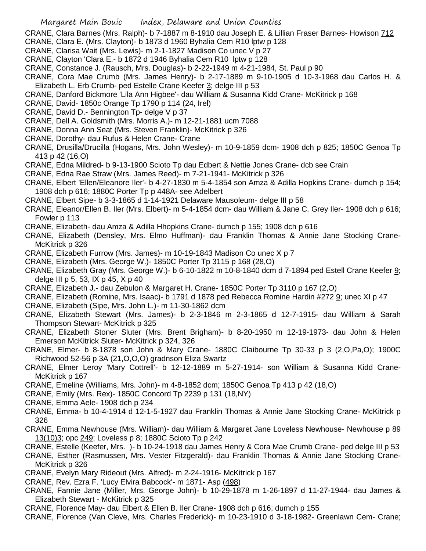CRANE. Clara Barnes (Mrs. Ralph)- b 7-1887 m 8-1910 dau Joseph E. & Lillian Fraser Barnes- Howison 712

- CRANE, Clara E. (Mrs. Clayton)- b 1873 d 1960 Byhalia Cem R10 lptw p 128
- CRANE, Clarisa Wait (Mrs. Lewis)- m 2-1-1827 Madison Co unec V p 27
- CRANE, Clayton 'Clara E.- b 1872 d 1946 Byhalia Cem R10 lptw p 128
- CRANE, Constance J. (Rausch, Mrs. Douglas)- b 2-22-1949 m 4-21-1984, St. Paul p 90
- CRANE, Cora Mae Crumb (Mrs. James Henry)- b 2-17-1889 m 9-10-1905 d 10-3-1968 dau Carlos H. & Elizabeth L. Erb Crumb- ped Estelle Crane Keefer 3; delge III p 53
- CRANE, Danford Bickmore 'Lila Ann Higbee'- dau William & Susanna Kidd Crane- McKitrick p 168
- CRANE, David- 1850c Orange Tp 1790 p 114 (24, Irel)
- CRANE, David D.- Bennington Tp- delge V p 37
- CRANE, Dell A. Goldsmith (Mrs. Morris A.)- m 12-21-1881 ucm 7088
- CRANE, Donna Ann Seat (Mrs. Steven Franklin)- McKitrick p 326
- CRANE, Dorothy- dau Rufus & Helen Crane- Crane
- CRANE, Drusilla/Drucilla (Hogans, Mrs. John Wesley)- m 10-9-1859 dcm- 1908 dch p 825; 1850C Genoa Tp 413 p 42 (16,O)
- CRANE, Edna Mildred- b 9-13-1900 Scioto Tp dau Edbert & Nettie Jones Crane- dcb see Crain
- CRANE, Edna Rae Straw (Mrs. James Reed)- m 7-21-1941- McKitrick p 326
- CRANE, Elbert 'Ellen/Eleanore Iler'- b 4-27-1830 m 5-4-1854 son Amza & Adilla Hopkins Crane- dumch p 154; 1908 dch p 616; 1880C Porter Tp p 448A- see Adelbert
- CRANE, Elbert Sipe- b 3-3-1865 d 1-14-1921 Delaware Mausoleum- delge III p 58
- CRANE, Eleanor/Ellen B. Iler (Mrs. Elbert)- m 5-4-1854 dcm- dau William & Jane C. Grey Iler- 1908 dch p 616; Fowler p 113
- CRANE, Elizabeth- dau Amza & Adilla Hhopkins Crane- dumch p 155; 1908 dch p 616
- CRANE, Elizabeth (Densley, Mrs. Elmo Huffman)- dau Franklin Thomas & Annie Jane Stocking Crane-McKitrick p 326
- CRANE, Elizabeth Furrow (Mrs. James)- m 10-19-1843 Madison Co unec X p 7
- CRANE, Elizabeth (Mrs. George W.)- 1850C Porter Tp 3115 p 168 (28,O)
- CRANE, Elizabeth Gray (Mrs. George W.)- b 6-10-1822 m 10-8-1840 dcm d 7-1894 ped Estell Crane Keefer 9; delge III p 5, 53, IX p 45, X p 40
- CRANE, Elizabeth J.- dau Zebulon & Margaret H. Crane- 1850C Porter Tp 3110 p 167 (2,O)
- CRANE, Elizabeth (Romine, Mrs. Isaac)- b 1791 d 1878 ped Rebecca Romine Hardin #272 9; unec XI p 47
- CRANE, Elizabeth (Sipe, Mrs. John L.)- m 11-30-1862 dcm
- CRANE, Elizabeth Stewart (Mrs. James)- b 2-3-1846 m 2-3-1865 d 12-7-1915- dau William & Sarah Thompson Stewart- McKitrick p 325
- CRANE, Elizabeth Stoner Sluter (Mrs. Brent Brigham)- b 8-20-1950 m 12-19-1973- dau John & Helen Emerson McKitrick Sluter- McKitrick p 324, 326
- CRANE, Elmer- b 8-1878 son John & Mary Crane- 1880C Claibourne Tp 30-33 p 3 (2,O,Pa,O); 1900C Richwood 52-56 p 3A (21,O,O,O) gradnson Eliza Swartz
- CRANE, Elmer Leroy 'Mary Cottrell'- b 12-12-1889 m 5-27-1914- son William & Susanna Kidd Crane-McKitrick p 167
- CRANE, Emeline (Williams, Mrs. John)- m 4-8-1852 dcm; 1850C Genoa Tp 413 p 42 (18,O)
- CRANE, Emily (Mrs. Rex)- 1850C Concord Tp 2239 p 131 (18,NY)
- CRANE, Emma Aele- 1908 dch p 234
- CRANE, Emma- b 10-4-1914 d 12-1-5-1927 dau Franklin Thomas & Annie Jane Stocking Crane- McKitrick p 326
- CRANE, Emma Newhouse (Mrs. William)- dau William & Margaret Jane Loveless Newhouse- Newhouse p 89 13(10)3; opc 249; Loveless p 8; 1880C Scioto Tp p 242
- CRANE, Estelle (Keefer, Mrs. )- b 10-24-1918 dau James Henry & Cora Mae Crumb Crane- ped delge III p 53
- CRANE, Esther (Rasmussen, Mrs. Vester Fitzgerald)- dau Franklin Thomas & Annie Jane Stocking Crane-McKitrick p 326
- CRANE, Evelyn Mary Rideout (Mrs. Alfred)- m 2-24-1916- McKitrick p 167
- CRANE, Rev. Ezra F. 'Lucy Elvira Babcock'- m 1871- Asp (498)
- CRANE, Fannie Jane (Miller, Mrs. George John)- b 10-29-1878 m 1-26-1897 d 11-27-1944- dau James & Elizabeth Stewart - McKitrick p 325
- CRANE, Florence May- dau Elbert & Ellen B. Iler Crane- 1908 dch p 616; dumch p 155
- CRANE, Florence (Van Cleve, Mrs. Charles Frederick)- m 10-23-1910 d 3-18-1982- Greenlawn Cem- Crane;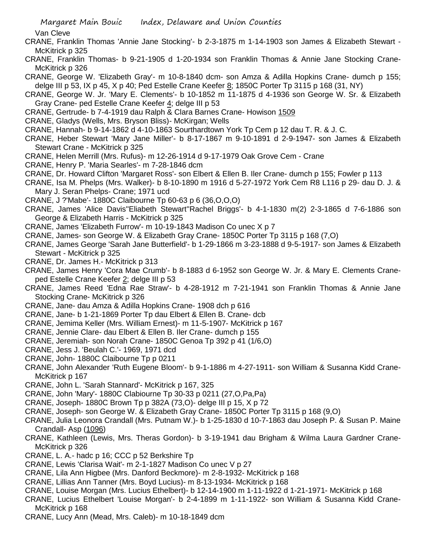Van Cleve

- CRANE, Franklin Thomas 'Annie Jane Stocking'- b 2-3-1875 m 1-14-1903 son James & Elizabeth Stewart McKitrick p 325
- CRANE, Franklin Thomas- b 9-21-1905 d 1-20-1934 son Franklin Thomas & Annie Jane Stocking Crane-McKitrick p 326
- CRANE, George W. 'Elizabeth Gray'- m 10-8-1840 dcm- son Amza & Adilla Hopkins Crane- dumch p 155; delge III p 53, IX p 45, X p 40; Ped Estelle Crane Keefer 8; 1850C Porter Tp 3115 p 168 (31, NY)
- CRANE, George W. Jr. 'Mary E. Clements'- b 10-1852 m 11-1875 d 4-1936 son George W. Sr. & Elizabeth Gray Crane- ped Estelle Crane Keefer 4; delge III p 53
- CRANE, Gertrude- b 7-4-1919 dau Ralph & Clara Barnes Crane- Howison 1509
- CRANE, Gladys (Wells, Mrs. Bryson Bliss)- McKirgan; Wells
- CRANE, Hannah- b 9-14-1862 d 4-10-1863 Sourthardtown York Tp Cem p 12 dau T. R. & J. C.
- CRANE, Heber Stewart 'Mary Jane Miller'- b 8-17-1867 m 9-10-1891 d 2-9-1947- son James & Elizabeth Stewart Crane - McKitrick p 325
- CRANE, Helen Merrill (Mrs. Rufus)- m 12-26-1914 d 9-17-1979 Oak Grove Cem Crane
- CRANE, Henry P. 'Maria Searles'- m 7-28-1846 dcm
- CRANE, Dr. Howard Clifton 'Margaret Ross'- son Elbert & Ellen B. Iler Crane- dumch p 155; Fowler p 113
- CRANE, Isa M. Phelps (Mrs. Walker)- b 8-10-1890 m 1916 d 5-27-1972 York Cem R8 L116 p 29- dau D. J. & Mary J. Seran Phelps- Crane; 1971 ucd
- CRANE, J ?'Mabe'- 1880C Claibourne Tp 60-63 p 6 (36,O,O,O)
- CRANE, James 'Alice Davis''Eliabeth Stewart''Rachel Briggs'- b 4-1-1830 m(2) 2-3-1865 d 7-6-1886 son George & Elizabeth Harris - McKitrick p 325
- CRANE, James 'Elizabeth Furrow'- m 10-19-1843 Madison Co unec X p 7
- CRANE, James- son George W. & Elizabeth Gray Crane- 1850C Porter Tp 3115 p 168 (7,O)
- CRANE, James George 'Sarah Jane Butterfield'- b 1-29-1866 m 3-23-1888 d 9-5-1917- son James & Elizabeth Stewart - McKitrick p 325
- CRANE, Dr. James H.- McKitrick p 313
- CRANE, James Henry 'Cora Mae Crumb'- b 8-1883 d 6-1952 son George W. Jr. & Mary E. Clements Craneped Estelle Crane Keefer 2; delge III p 53
- CRANE, James Reed 'Edna Rae Straw'- b 4-28-1912 m 7-21-1941 son Franklin Thomas & Annie Jane Stocking Crane- McKitrick p 326
- CRANE, Jane- dau Amza & Adilla Hopkins Crane- 1908 dch p 616
- CRANE, Jane- b 1-21-1869 Porter Tp dau Elbert & Ellen B. Crane- dcb
- CRANE, Jemima Keller (Mrs. William Ernest)- m 11-5-1907- McKitrick p 167
- CRANE, Jennie Clare- dau Elbert & Ellen B. Iler Crane- dumch p 155
- CRANE, Jeremiah- son Norah Crane- 1850C Genoa Tp 392 p 41 (1/6,O)
- CRANE, Jess J. 'Beulah C.'- 1969, 1971 dcd
- CRANE, John- 1880C Claibourne Tp p 0211
- CRANE, John Alexander 'Ruth Eugene Bloom'- b 9-1-1886 m 4-27-1911- son William & Susanna Kidd Crane-McKitrick p 167
- CRANE, John L. 'Sarah Stannard'- McKitrick p 167, 325
- CRANE, John 'Mary'- 1880C Clabiourne Tp 30-33 p 0211 (27,O,Pa,Pa)
- CRANE, Joseph- 1880C Brown Tp p 382A (73,O)- delge III p 15, X p 72
- CRANE, Joseph- son George W. & Elizabeth Gray Crane- 1850C Porter Tp 3115 p 168 (9,O)
- CRANE, Julia Leonora Crandall (Mrs. Putnam W.)- b 1-25-1830 d 10-7-1863 dau Joseph P. & Susan P. Maine Crandall- Asp (1096)
- CRANE, Kathleen (Lewis, Mrs. Theras Gordon)- b 3-19-1941 dau Brigham & Wilma Laura Gardner Crane-McKitrick p 326
- CRANE, L. A.- hadc p 16; CCC p 52 Berkshire Tp
- CRANE, Lewis 'Clarisa Wait'- m 2-1-1827 Madison Co unec V p 27
- CRANE, Lila Ann Higbee (Mrs. Danford Beckmore)- m 2-8-1932- McKitrick p 168
- CRANE, Lillias Ann Tanner (Mrs. Boyd Lucius)- m 8-13-1934- McKitrick p 168
- CRANE, Louise Morgan (Mrs. Lucius Ethelbert)- b 12-14-1900 m 1-11-1922 d 1-21-1971- McKitrick p 168
- CRANE, Lucius Ethelbert 'Louise Morgan'- b 2-4-1899 m 1-11-1922- son William & Susanna Kidd Crane-McKitrick p 168
- CRANE, Lucy Ann (Mead, Mrs. Caleb)- m 10-18-1849 dcm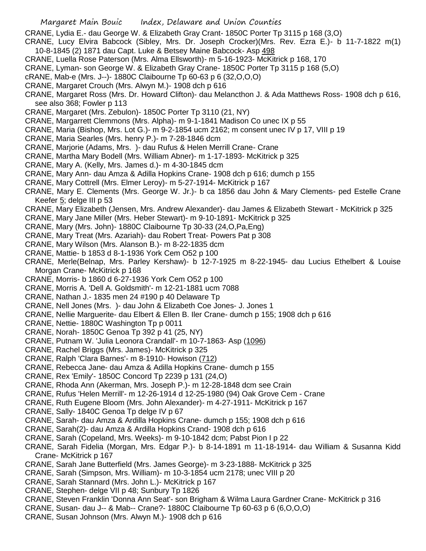CRANE, Lydia E.- dau George W. & Elizabeth Gray Crant- 1850C Porter Tp 3115 p 168 (3,O)

CRANE, Lucy Elvira Babcock (Sibley, Mrs. Dr. Joseph Crocker)(Mrs. Rev. Ezra E.)- b 11-7-1822 m(1) 10-8-1845 (2) 1871 dau Capt. Luke & Betsey Maine Babcock- Asp 498

- CRANE, Luella Rose Paterson (Mrs. Alma Ellsworth)- m 5-16-1923- McKitrick p 168, 170
- CRANE, Lyman- son George W. & Elizabeth Gray Crane- 1850C Porter Tp 3115 p 168 (5,O)
- 
- cRANE, Mab-e (Mrs. J--)- 1880C Claibourne Tp 60-63 p 6 (32,O,O,O)
- CRANE, Margaret Crouch (Mrs. Alwyn M.)- 1908 dch p 616
- CRANE, Margaret Ross (Mrs. Dr. Howard Clifton)- dau Melancthon J. & Ada Matthews Ross- 1908 dch p 616, see also 368; Fowler p 113
- CRANE, Margaret (Mrs. Zebulon)- 1850C Porter Tp 3110 (21, NY)
- CRANE, Margarrett Clemmons (Mrs. Alpha)- m 9-1-1841 Madison Co unec IX p 55
- CRANE, Maria (Bishop, Mrs. Lot G.)- m 9-2-1854 ucm 2162; m consent unec IV p 17, VIII p 19
- CRANE, Maria Searles (Mrs. henry P.)- m 7-28-1846 dcm
- CRANE, Marjorie (Adams, Mrs. )- dau Rufus & Helen Merrill Crane- Crane
- CRANE, Martha Mary Bodell (Mrs. William Abner)- m 1-17-1893- McKitrick p 325
- CRANE, Mary A. (Kelly, Mrs. James d.)- m 4-30-1845 dcm
- CRANE, Mary Ann- dau Amza & Adilla Hopkins Crane- 1908 dch p 616; dumch p 155
- CRANE, Mary Cottrell (Mrs. Elmer Leroy)- m 5-27-1914- McKitrick p 167
- CRANE, Mary E. Clements (Mrs. George W. Jr.)- b ca 1856 dau John & Mary Clements- ped Estelle Crane Keefer 5; delge III p 53
- CRANE, Mary Elizabeth (Jensen, Mrs. Andrew Alexander)- dau James & Elizabeth Stewart McKitrick p 325
- CRANE, Mary Jane Miller (Mrs. Heber Stewart)- m 9-10-1891- McKitrick p 325
- CRANE, Mary (Mrs. John)- 1880C Claibourne Tp 30-33 (24,O,Pa,Eng)
- CRANE, Mary Treat (Mrs. Azariah)- dau Robert Treat- Powers Pat p 308
- CRANE, Mary Wilson (Mrs. Alanson B.)- m 8-22-1835 dcm
- CRANE, Mattie- b 1853 d 8-1-1936 York Cem O52 p 100
- CRANE, Merle(Belnap, Mrs. Parley Kershaw)- b 12-7-1925 m 8-22-1945- dau Lucius Ethelbert & Louise Morgan Crane- McKitrick p 168
- CRANE, Morris- b 1860 d 6-27-1936 York Cem O52 p 100
- CRANE, Morris A. 'Dell A. Goldsmith'- m 12-21-1881 ucm 7088
- CRANE, Nathan J.- 1835 men 24 #190 p 40 Delaware Tp
- CRANE, Nell Jones (Mrs. )- dau John & Elizabeth Coe Jones- J. Jones 1
- CRANE, Nellie Marguerite- dau Elbert & Ellen B. Iler Crane- dumch p 155; 1908 dch p 616
- CRANE, Nettie- 1880C Washington Tp p 0011
- CRANE, Norah- 1850C Genoa Tp 392 p 41 (25, NY)
- CRANE, Putnam W. 'Julia Leonora Crandall'- m 10-7-1863- Asp (1096)
- CRANE, Rachel Briggs (Mrs. James)- McKitrick p 325
- CRANE, Ralph 'Clara Barnes'- m 8-1910- Howison (712)
- CRANE, Rebecca Jane- dau Amza & Adilla Hopkins Crane- dumch p 155
- CRANE, Rex 'Emily'- 1850C Concord Tp 2239 p 131 (24,O)
- CRANE, Rhoda Ann (Akerman, Mrs. Joseph P.)- m 12-28-1848 dcm see Crain
- CRANE, Rufus 'Helen Merrill'- m 12-26-1914 d 12-25-1980 (94) Oak Grove Cem Crane
- CRANE, Ruth Eugene Bloom (Mrs. John Alexander)- m 4-27-1911- McKitrick p 167
- CRANE, Sally- 1840C Genoa Tp delge IV p 67
- CRANE, Sarah- dau Amza & Ardilla Hopkins Crane- dumch p 155; 1908 dch p 616
- CRANE, Sarah(2)- dau Amza & Ardilla Hopkins Crand- 1908 dch p 616
- CRANE, Sarah (Copeland, Mrs. Weeks)- m 9-10-1842 dcm; Pabst Pion I p 22
- CRANE, Sarah Fidelia (Morgan, Mrs. Edgar P.)- b 8-14-1891 m 11-18-1914- dau William & Susanna Kidd Crane- McKitrick p 167
- CRANE, Sarah Jane Butterfield (Mrs. James George)- m 3-23-1888- McKitrick p 325
- CRANE, Sarah (Simpson, Mrs. William)- m 10-3-1854 ucm 2178; unec VIII p 20
- CRANE, Sarah Stannard (Mrs. John L.)- McKitrick p 167
- CRANE, Stephen- delge VII p 48; Sunbury Tp 1826
- CRANE, Steven Franklin 'Donna Ann Seat'- son Brigham & Wilma Laura Gardner Crane- McKitrick p 316
- CRANE, Susan- dau J-- & Mab-- Crane?- 1880C Claibourne Tp 60-63 p 6 (6,O,O,O)
- CRANE, Susan Johnson (Mrs. Alwyn M.)- 1908 dch p 616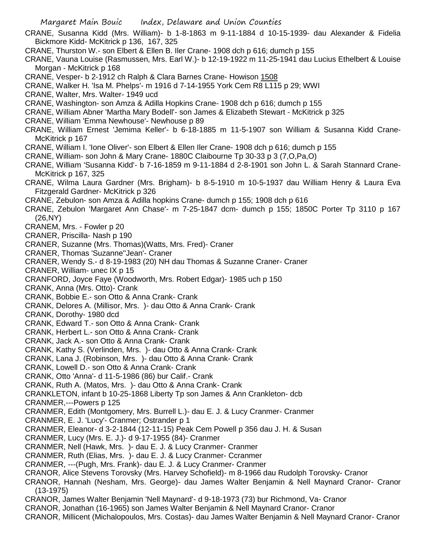- CRANE, Susanna Kidd (Mrs. William)- b 1-8-1863 m 9-11-1884 d 10-15-1939- dau Alexander & Fidelia Bickmore Kidd- McKitrick p 136, 167, 325
- CRANE, Thurston W.- son Elbert & Ellen B. Iler Crane- 1908 dch p 616; dumch p 155
- CRANE, Vauna Louise (Rasmussen, Mrs. Earl W.)- b 12-19-1922 m 11-25-1941 dau Lucius Ethelbert & Louise Morgan - McKitrick p 168
- CRANE, Vesper- b 2-1912 ch Ralph & Clara Barnes Crane- Howison 1508
- CRANE, Walker H. 'Isa M. Phelps'- m 1916 d 7-14-1955 York Cem R8 L115 p 29; WWI
- CRANE, Walter, Mrs. Walter- 1949 ucd
- CRANE, Washington- son Amza & Adilla Hopkins Crane- 1908 dch p 616; dumch p 155
- CRANE, William Abner 'Martha Mary Bodell'- son James & Elizabeth Stewart McKitrick p 325
- CRANE, William 'Emma Newhouse'- Newhouse p 89
- CRANE, William Ernest 'Jemima Keller'- b 6-18-1885 m 11-5-1907 son William & Susanna Kidd Crane-McKitrick p 167
- CRANE, William I. 'Ione Oliver'- son Elbert & Ellen Iler Crane- 1908 dch p 616; dumch p 155
- CRANE, William- son John & Mary Crane- 1880C Claibourne Tp 30-33 p 3 (7,O,Pa,O)
- CRANE, William 'Susanna Kidd'- b 7-16-1859 m 9-11-1884 d 2-8-1901 son John L. & Sarah Stannard Crane-McKitrick p 167, 325
- CRANE, Wilma Laura Gardner (Mrs. Brigham)- b 8-5-1910 m 10-5-1937 dau William Henry & Laura Eva Fitzgerald Gardner- McKitrick p 326
- CRANE, Zebulon- son Amza & Adilla hopkins Crane- dumch p 155; 1908 dch p 616
- CRANE, Zebulon 'Margaret Ann Chase'- m 7-25-1847 dcm- dumch p 155; 1850C Porter Tp 3110 p 167 (26,NY)
- CRANEM, Mrs. Fowler p 20
- CRANER, Priscilla- Nash p 190
- CRANER, Suzanne (Mrs. Thomas)(Watts, Mrs. Fred)- Craner
- CRANER, Thomas 'Suzanne''Jean'- Craner
- CRANER, Wendy S.- d 8-19-1983 (20) NH dau Thomas & Suzanne Craner- Craner
- CRANER, William- unec IX p 15
- CRANFORD, Joyce Faye (Woodworth, Mrs. Robert Edgar)- 1985 uch p 150
- CRANK, Anna (Mrs. Otto)- Crank
- CRANK, Bobbie E.- son Otto & Anna Crank- Crank
- CRANK, Delores A. (Millisor, Mrs. )- dau Otto & Anna Crank- Crank
- CRANK, Dorothy- 1980 dcd
- CRANK, Edward T.- son Otto & Anna Crank- Crank
- CRANK, Herbert L.- son Otto & Anna Crank- Crank
- CRANK, Jack A.- son Otto & Anna Crank- Crank
- CRANK, Kathy S. (Verlinden, Mrs. )- dau Otto & Anna Crank- Crank
- CRANK, Lana J. (Robinson, Mrs. )- dau Otto & Anna Crank- Crank
- CRANK, Lowell D.- son Otto & Anna Crank- Crank
- CRANK, Otto 'Anna'- d 11-5-1986 (86) bur Calif.- Crank
- CRANK, Ruth A. (Matos, Mrs. )- dau Otto & Anna Crank- Crank
- CRANKLETON, infant b 10-25-1868 Liberty Tp son James & Ann Crankleton- dcb
- CRANMER,---Powers p 125
- CRANMER, Edith (Montgomery, Mrs. Burrell L.)- dau E. J. & Lucy Cranmer- Cranmer
- CRANMER, E. J. 'Lucy'- Cranmer; Ostrander p 1
- CRANMER, Eleanor- d 3-2-1844 (12-11-15) Peak Cem Powell p 356 dau J. H. & Susan
- CRANMER, Lucy (Mrs. E. J.)- d 9-17-1955 (84)- Cranmer
- CRANMER, Nell (Hawk, Mrs. )- dau E. J. & Lucy Cranmer- Cranmer
- CRANMER, Ruth (Elias, Mrs. )- dau E. J. & Lucy Cranmer- Ccranmer
- CRANMER, ---(Pugh, Mrs. Frank)- dau E. J. & Lucy Cranmer- Cranmer
- CRANOR, Alice Stevens Torovsky (Mrs. Harvey Schofield)- m 8-1966 dau Rudolph Torovsky- Cranor
- CRANOR, Hannah (Nesham, Mrs. George)- dau James Walter Benjamin & Nell Maynard Cranor- Cranor (13-1975)
- CRANOR, James Walter Benjamin 'Nell Maynard'- d 9-18-1973 (73) bur Richmond, Va- Cranor
- CRANOR, Jonathan (16-1965) son James Walter Benjamin & Nell Maynard Cranor- Cranor
- CRANOR, Millicent (Michalopoulos, Mrs. Costas)- dau James Walter Benjamin & Nell Maynard Cranor- Cranor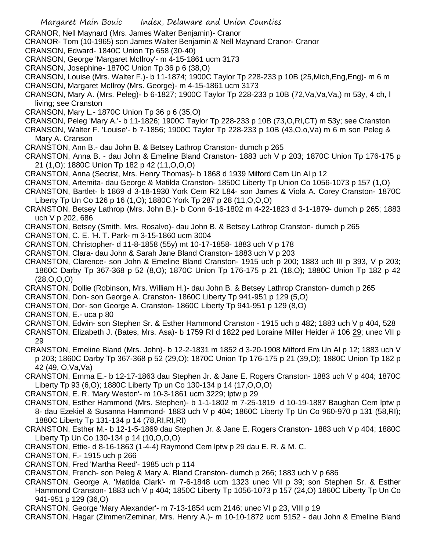- CRANOR, Nell Maynard (Mrs. James Walter Benjamin)- Cranor
- CRANOR- Tom (10-1965) son James Walter Benjamin & Nell Maynard Cranor- Cranor
- CRANSON, Edward- 1840C Union Tp 658 (30-40)
- CRANSON, George 'Margaret McIlroy'- m 4-15-1861 ucm 3173
- CRANSON, Josephine- 1870C Union Tp 36 p 6 (38,O)
- CRANSON, Louise (Mrs. Walter F.)- b 11-1874; 1900C Taylor Tp 228-233 p 10B (25,Mich,Eng,Eng)- m 6 m CRANSON, Margaret McIlroy (Mrs. George)- m 4-15-1861 ucm 3173
- CRANSON, Mary A. (Mrs. Peleg)- b 6-1827; 1900C Taylor Tp 228-233 p 10B (72,Va,Va,Va,) m 53y, 4 ch, l living; see Cranston
- CRANSON, Mary L.- 1870C Union Tp 36 p 6 (35,O)
- CRANSON, Peleg 'Mary A.'- b 11-1826; 1900C Taylor Tp 228-233 p 10B (73,O,RI,CT) m 53y; see Cranston
- CRANSON, Walter F. 'Louise'- b 7-1856; 1900C Taylor Tp 228-233 p 10B (43,O,o,Va) m 6 m son Peleg & Mary A. Cranson
- CRANSTON, Ann B.- dau John B. & Betsey Lathrop Cranston- dumch p 265
- CRANSTON, Anna B. dau John & Emeline Bland Cranston- 1883 uch V p 203; 1870C Union Tp 176-175 p 21 (1,O); 1880C Union Tp 182 p 42 (11,O,O,O)
- CRANSTON, Anna (Secrist, Mrs. Henry Thomas)- b 1868 d 1939 Milford Cem Un Al p 12
- CRANSTON, Artemita- dau George & Matilda Cranston- 1850C Liberty Tp Union Co 1056-1073 p 157 (1,O)
- CRANSTON, Bartlet- b 1869 d 3-18-1930 York Cem R2 L84- son James & Viola A. Corey Cranston- 1870C Liberty Tp Un Co 126 p 16 (1,O); 1880C York Tp 287 p 28 (11,O,O,O)
- CRANSTON, Betsey Lathrop (Mrs. John B.)- b Conn 6-16-1802 m 4-22-1823 d 3-1-1879- dumch p 265; 1883 uch V p 202, 686
- CRANSTON, Betsey (Smith, Mrs. Rosalvo)- dau John B. & Betsey Lathrop Cranston- dumch p 265
- CRANSTON, C. E. 'H. T. Park- m 3-15-1860 ucm 3004
- CRANSTON, Christopher- d 11-8-1858 (55y) mt 10-17-1858- 1883 uch V p 178
- CRANSTON, Clara- dau John & Sarah Jane Bland Cranston- 1883 uch V p 203
- CRANSTON, Clarence- son John & Emeline Bland Cranston- 1915 uch p 200; 1883 uch III p 393, V p 203; 1860C Darby Tp 367-368 p 52 (8,O); 1870C Union Tp 176-175 p 21 (18,O); 1880C Union Tp 182 p 42 (28,O,O,O)
- CRANSTON, Dollie (Robinson, Mrs. William H.)- dau John B. & Betsey Lathrop Cranston- dumch p 265
- CRANSTON, Don- son George A. Cranston- 1860C Liberty Tp 941-951 p 129 (5,O)
- CRANSTON, Dor- son George A. Cranston- 1860C Liberty Tp 941-951 p 129 (8,O)
- CRANSTON, E.- uca p 80
- CRANSTON, Edwin- son Stephen Sr. & Esther Hammond Cranston 1915 uch p 482; 1883 uch V p 404, 528
- CRANSTON, Elizabeth J. (Bates, Mrs. Asa)- b 1759 RI d 1822 ped Loraine Miller Heider # 106 29; unec VII p 29
- CRANSTON, Emeline Bland (Mrs. John)- b 12-2-1831 m 1852 d 3-20-1908 Milford Em Un Al p 12; 1883 uch V p 203; 1860C Darby Tp 367-368 p 52 (29,O); 1870C Union Tp 176-175 p 21 (39,O); 1880C Union Tp 182 p 42 (49, O,Va,Va)
- CRANSTON, Emma E.- b 12-17-1863 dau Stephen Jr. & Jane E. Rogers Cranston- 1883 uch V p 404; 1870C Liberty Tp 93 (6,O); 1880C Liberty Tp un Co 130-134 p 14 (17,O,O,O)
- CRANSTON, E. R. 'Mary Weston'- m 10-3-1861 ucm 3229; lptw p 29
- CRANSTON, Esther Hammond (Mrs. Stephen)- b 1-1-1802 m 7-25-1819 d 10-19-1887 Baughan Cem lptw p 8- dau Ezekiel & Susanna Hammond- 1883 uch V p 404; 1860C Liberty Tp Un Co 960-970 p 131 (58,RI); 1880C Liberty Tp 131-134 p 14 (78,RI,RI,RI)
- CRANSTON, Esther M.- b 12-1-5-1869 dau Stephen Jr. & Jane E. Rogers Cranston- 1883 uch V p 404; 1880C Liberty Tp Un Co 130-134 p 14 (10,O,O,O)
- CRANSTON, Ettie- d 8-16-1863 (1-4-4) Raymond Cem lptw p 29 dau E. R. & M. C.
- CRANSTON, F.- 1915 uch p 266
- CRANSTON, Fred 'Martha Reed'- 1985 uch p 114
- CRANSTON, French- son Peleg & Mary A. Bland Cranston- dumch p 266; 1883 uch V p 686
- CRANSTON, George A. 'Matilda Clark'- m 7-6-1848 ucm 1323 unec VII p 39; son Stephen Sr. & Esther Hammond Cranston- 1883 uch V p 404; 1850C Liberty Tp 1056-1073 p 157 (24,O) 1860C Liberty Tp Un Co 941-951 p 129 (36,O)
- CRANSTON, George 'Mary Alexander'- m 7-13-1854 ucm 2146; unec VI p 23, VIII p 19
- CRANSTON, Hagar (Zimmer/Zeminar, Mrs. Henry A.)- m 10-10-1872 ucm 5152 dau John & Emeline Bland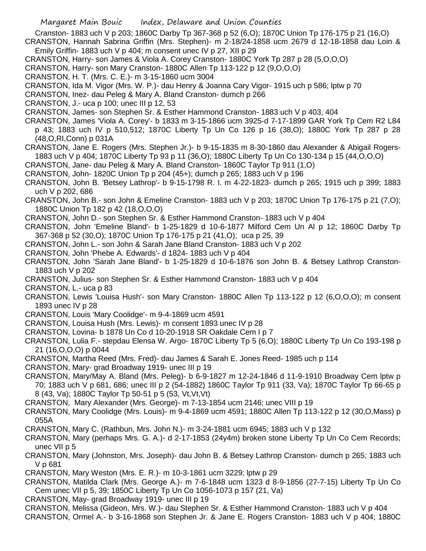Cranston- 1883 uch V p 203; 1860C Darby Tp 367-368 p 52 (6,O); 1870C Union Tp 176-175 p 21 (16,O) CRANSTON, Hannah Sabrina Griffin (Mrs. Stephen)- m 2-18/24-1858 ucm 2679 d 12-18-1858 dau Loin &

Emily Griffin- 1883 uch V p 404; m consent unec IV p 27, XII p 29

CRANSTON, Harry- son James & Viola A. Corey Cranston- 1880C York Tp 287 p 28 (5,O,O,O)

CRANSTON, Harry- son Mary Cranston- 1880C Allen Tp 113-122 p 12 (9,O,O,O)

CRANSTON, H. T. (Mrs. C. E.)- m 3-15-1860 ucm 3004

CRANSTON, Ida M. Vigor (Mrs. W. P.)- dau Henry & Joanna Cary Vigor- 1915 uch p 586; lptw p 70

CRANSTON, Inez- dau Peleg & Mary A. Bland Cranston- dumch p 266

CRANSTON, J.- uca p 100; unec III p 12, 53

CRANSTON, James- son Stephen Sr. & Esther Hammond Cranston- 1883 uch V p 403, 404

CRANSTON, James 'Viola A. Corey'- b 1833 m 3-15-1866 ucm 3925-d 7-17-1899 GAR York Tp Cem R2 L84 p 43; 1883 uch IV p 510,512; 1870C Liberty Tp Un Co 126 p 16 (38,O); 1880C York Tp 287 p 28 (48,O,RI,Conn) p 031A

CRANSTON, Jane E. Rogers (Mrs. Stephen Jr.)- b 9-15-1835 m 8-30-1860 dau Alexander & Abigail Rogers-1883 uch V p 404; 1870C Liberty Tp 93 p 11 (36,O); 1880C Liberty Tp Un Co 130-134 p 15 (44,O,O,O)

CRANSTON, Jane- dau Peleg & Mary A. Bland Cranston- 1860C Taylor Tp 911 (1,O)

CRANSTON, John- 1820C Union Tp p 204 (45+); dumch p 265; 1883 uch V p 196

CRANSTON, John B. 'Betsey Lathrop'- b 9-15-1798 R. I. m 4-22-1823- dumch p 265; 1915 uch p 399; 1883 uch V p 202, 686

CRANSTON, John B.- son John & Emeline Cranston- 1883 uch V p 203; 1870C Union Tp 176-175 p 21 (7,O); 1880C Union Tp 182 p 42 (18,O,O,O)

CRANSTON, John D.- son Stephen Sr. & Esther Hammond Cranston- 1883 uch V p 404

CRANSTON, John 'Emeline Bland'- b 1-25-1829 d 10-6-1877 Milford Cem Un Al p 12; 1860C Darby Tp 367-368 p 52 (30,O); 1870C Union Tp 176-175 p 21 (41,O); uca p 25, 39

CRANSTON, John L.- son John & Sarah Jane Bland Cranston- 1883 uch V p 202

CRANSTON, John 'Phebe A. Edwards'- d 1824- 1883 uch V p 404

CRANSTON, John 'Sarah Jane Bland'- b 1-25-1829 d 10-6-1876 son John B. & Betsey Lathrop Cranston-1883 uch V p 202

CRANSTON, Julius- son Stephen Sr. & Esther Hammond Cranston- 1883 uch V p 404

CRANSTON, L.- uca p 83

CRANSTON, Lewis 'Louisa Hush'- son Mary Cranston- 1880C Allen Tp 113-122 p 12 (6,O,O,O); m consent 1893 unec IV p 28

CRANSTON, Louis 'Mary Coolidge'- m 9-4-1869 ucm 4591

CRANSTON, Louisa Hush (Mrs. Lewis)- m consent 1893 unec IV p 28

CRANSTON, Lovina- b 1878 Un Co d 10-20-1918 SR Oakdale Cem I p 7

CRANSTON, Lulia F.- stepdau Elensa W. Argo- 1870C Liberty Tp 5 (6,O); 1880C Liberty Tp Un Co 193-198 p 21 (16,O,O,O) p 0044

CRANSTON, Martha Reed (Mrs. Fred)- dau James & Sarah E. Jones Reed- 1985 uch p 114

CRANSTON, Mary- grad Broadway 1919- unec III p 19

CRANSTON, Mary/May A. Bland (Mrs. Peleg)- b 6-9-1827 m 12-24-1846 d 11-9-1910 Broadway Cem lptw p 70; 1883 uch V p 681, 686; unec III p 2 (54-1882) 1860C Taylor Tp 911 (33, Va); 1870C Taylor Tp 66-65 p 8 (43, Va); 1880C Taylor Tp 50-51 p 5 (53, Vt,Vt,Vt)

CRANSTON, Mary Alexander (Mrs. George)- m 7-13-1854 ucm 2146; unec VIII p 19

CRANSTON, Mary Coolidge (Mrs. Louis)- m 9-4-1869 ucm 4591; 1880C Allen Tp 113-122 p 12 (30,O,Mass) p 055A

CRANSTON, Mary C. (Rathbun, Mrs. John N.)- m 3-24-1881 ucm 6945; 1883 uch V p 132

CRANSTON, Mary (perhaps Mrs. G. A.)- d 2-17-1853 (24y4m) broken stone Liberty Tp Un Co Cem Records; unec VII p 5

CRANSTON, Mary (Johnston, Mrs. Joseph)- dau John B. & Betsey Lathrop Cranston- dumch p 265; 1883 uch V p 681

CRANSTON, Mary Weston (Mrs. E. R.)- m 10-3-1861 ucm 3229; lptw p 29

CRANSTON, Matilda Clark (Mrs. George A.)- m 7-6-1848 ucm 1323 d 8-9-1856 (27-7-15) Liberty Tp Un Co Cem unec VII p 5, 39; 1850C Liberty Tp Un Co 1056-1073 p 157 (21, Va)

CRANSTON, May- grad Broadway 1919- unec III p 19

CRANSTON, Melissa (Gideon, Mrs. W.)- dau Stephen Sr. & Esther Hammond Cranston- 1883 uch V p 404 CRANSTON, Ormel A.- b 3-16-1868 son Stephen Jr. & Jane E. Rogers Cranston- 1883 uch V p 404; 1880C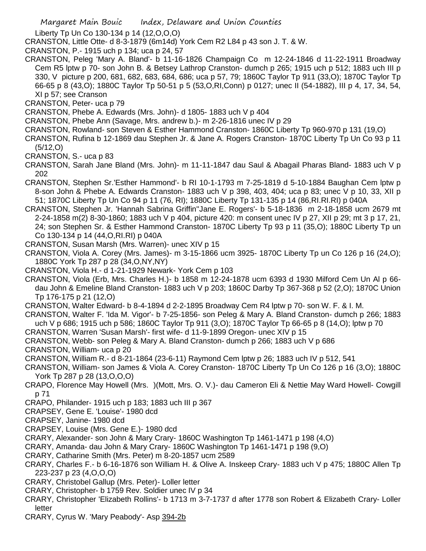Liberty Tp Un Co 130-134 p 14 (12,O,O,O)

CRANSTON, Little Otte- d 8-3-1879 (6m14d) York Cem R2 L84 p 43 son J. T. & W.

CRANSTON, P.- 1915 uch p 134; uca p 24, 57

CRANSTON, Peleg 'Mary A. Bland'- b 11-16-1826 Champaign Co m 12-24-1846 d 11-22-1911 Broadway Cem R5 lptw p 70- son John B. & Betsey Lathrop Cranston- dumch p 265; 1915 uch p 512; 1883 uch III p 330, V picture p 200, 681, 682, 683, 684, 686; uca p 57, 79; 1860C Taylor Tp 911 (33,O); 1870C Taylor Tp 66-65 p 8 (43,O); 1880C Taylor Tp 50-51 p 5 (53,O,RI,Conn) p 0127; unec II (54-1882), III p 4, 17, 34, 54, XI p 57; see Cranson

CRANSTON, Peter- uca p 79

CRANSTON, Phebe A. Edwards (Mrs. John)- d 1805- 1883 uch V p 404

- CRANSTON, Phebe Ann (Savage, Mrs. andrew b.)- m 2-26-1816 unec IV p 29
- CRANSTON, Rowland- son Steven & Esther Hammond Cranston- 1860C Liberty Tp 960-970 p 131 (19,O)
- CRANSTON, Rufina b 12-1869 dau Stephen Jr. & Jane A. Rogers Cranston- 1870C Liberty Tp Un Co 93 p 11 (5/12,O)
- CRANSTON, S.- uca p 83
- CRANSTON, Sarah Jane Bland (Mrs. John)- m 11-11-1847 dau Saul & Abagail Pharas Bland- 1883 uch V p 202
- CRANSTON, Stephen Sr.'Esther Hammond'- b RI 10-1-1793 m 7-25-1819 d 5-10-1884 Baughan Cem lptw p 8-son John & Phebe A. Edwards Cranston- 1883 uch V p 398, 403, 404; uca p 83; unec V p 10, 33, XII p 51; 1870C Liberty Tp Un Co 94 p 11 (76, RI); 1880C Liberty Tp 131-135 p 14 (86,RI.RI.RI) p 040A
- CRANSTON, Stephen Jr. 'Hannah Sabrina Griffin''Jane E. Rogers'- b 5-18-1836 m 2-18-1858 ucm 2679 mt 2-24-1858 m(2) 8-30-1860; 1883 uch V p 404, picture 420: m consent unec IV p 27, XII p 29; mt 3 p 17, 21, 24; son Stephen Sr. & Esther Hammond Cranston- 1870C Liberty Tp 93 p 11 (35,O); 1880C Liberty Tp un Co 130-134 p 14 (44,O,RI.RI) p 040A
- CRANSTON, Susan Marsh (Mrs. Warren)- unec XIV p 15
- CRANSTON, Viola A. Corey (Mrs. James)- m 3-15-1866 ucm 3925- 1870C Liberty Tp un Co 126 p 16 (24,O); 1880C York Tp 287 p 28 (34,O,NY,NY)
- CRANSTON, Viola H.- d 1-21-1929 Newark- York Cem p 103
- CRANSTON, Viola (Erb, Mrs. Charles H.)- b 1858 m 12-24-1878 ucm 6393 d 1930 Milford Cem Un Al p 66 dau John & Emeline Bland Cranston- 1883 uch V p 203; 1860C Darby Tp 367-368 p 52 (2,O); 1870C Union Tp 176-175 p 21 (12,O)
- CRANSTON, Walter Edward- b 8-4-1894 d 2-2-1895 Broadway Cem R4 lptw p 70- son W. F. & I. M.
- CRANSTON, Walter F. 'Ida M. Vigor'- b 7-25-1856- son Peleg & Mary A. Bland Cranston- dumch p 266; 1883 uch V p 686; 1915 uch p 586; 1860C Taylor Tp 911 (3,O); 1870C Taylor Tp 66-65 p 8 (14,O); lptw p 70

CRANSTON, Warren 'Susan Marsh'- first wife- d 11-9-1899 Oregon- unec XIV p 15

- CRANSTON, Webb- son Peleg & Mary A. Bland Cranston- dumch p 266; 1883 uch V p 686
- CRANSTON, William- uca p 20
- CRANSTON, William R.- d 8-21-1864 (23-6-11) Raymond Cem lptw p 26; 1883 uch IV p 512, 541
- CRANSTON, William- son James & Viola A. Corey Cranston- 1870C Liberty Tp Un Co 126 p 16 (3,O); 1880C York Tp 287 p 28 (13,O,O,O)
- CRAPO, Florence May Howell (Mrs. )(Mott, Mrs. O. V.)- dau Cameron Eli & Nettie May Ward Howell- Cowgill p 71
- CRAPO, Philander- 1915 uch p 183; 1883 uch III p 367
- CRAPSEY, Gene E. 'Louise'- 1980 dcd
- CRAPSEY, Janine- 1980 dcd
- CRAPSEY, Louise (Mrs. Gene E.)- 1980 dcd
- CRARY, Alexander- son John & Mary Crary- 1860C Washington Tp 1461-1471 p 198 (4,O)
- CRARY, Amanda- dau John & Mary Crary- 1860C Washington Tp 1461-1471 p 198 (9,O)
- CRARY, Catharine Smith (Mrs. Peter) m 8-20-1857 ucm 2589
- CRARY, Charles F.- b 6-16-1876 son William H. & Olive A. Inskeep Crary- 1883 uch V p 475; 1880C Allen Tp 223-237 p 23 (4,O,O,O)
- CRARY, Christobel Gallup (Mrs. Peter)- Loller letter
- CRARY, Christopher- b 1759 Rev. Soldier unec IV p 34
- CRARY, Christopher 'Elizabeth Rollins'- b 1713 m 3-7-1737 d after 1778 son Robert & Elizabeth Crary- Loller letter
- CRARY, Cyrus W. 'Mary Peabody'- Asp 394-2b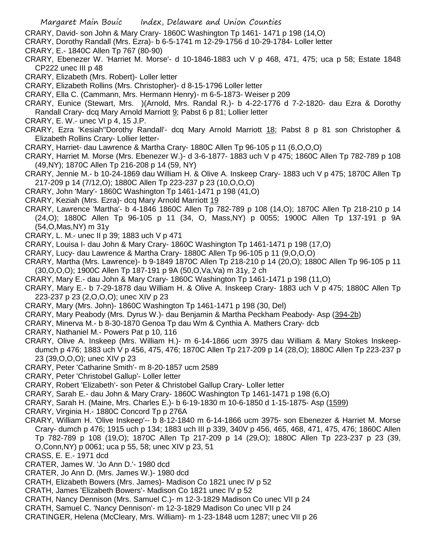- CRARY, David- son John & Mary Crary- 1860C Washington Tp 1461- 1471 p 198 (14,O)
- CRARY, Dorothy Randall (Mrs. Ezra)- b 6-5-1741 m 12-29-1756 d 10-29-1784- Loller letter
- CRARY, E.- 1840C Allen Tp 767 (80-90)
- CRARY, Ebenezer W. 'Harriet M. Morse'- d 10-1846-1883 uch V p 468, 471, 475; uca p 58; Estate 1848 CP222 unec III p 48
- CRARY, Elizabeth (Mrs. Robert)- Loller letter
- CRARY, Elizabeth Rollins (Mrs. Christopher)- d 8-15-1796 Loller letter
- CRARY, Ella C. (Cammann, Mrs. Hermann Henry)- m 6-5-1873- Weiser p 209
- CRARY, Eunice (Stewart, Mrs. )(Arnold, Mrs. Randal R.)- b 4-22-1776 d 7-2-1820- dau Ezra & Dorothy Randall Crary- dcq Mary Arnold Marriott 9; Pabst 6 p 81; Lollier letter
- CRARY, E. W.- unec VI p 4, 15 J.P.
- CRARY, Ezra 'Kesiah''Dorothy Randall'- dcq Mary Arnold Marriott 18; Pabst 8 p 81 son Christopher & Elizabeth Rollins Crary- Lollier letter-
- CRARY, Harriet- dau Lawrence & Martha Crary- 1880C Allen Tp 96-105 p 11 (6,O,O,O)
- CRARY, Harriet M. Morse (Mrs. Ebenezer W.)- d 3-6-1877- 1883 uch V p 475; 1860C Allen Tp 782-789 p 108 (49,NY); 1870C Allen Tp 216-208 p 14 (59, NY)
- CRARY, Jennie M.- b 10-24-1869 dau William H. & Olive A. Inskeep Crary- 1883 uch V p 475; 1870C Allen Tp 217-209 p 14 (7/12,O); 1880C Allen Tp 223-237 p 23 (10,O,O,O)
- CRARY, John 'Mary'- 1860C Washington Tp 1461-1471 p 198 (41,O)
- CRARY, Keziah (Mrs. Ezra)- dcq Mary Arnold Marriott 19
- CRARY, Lawrence 'Martha'- b 4-1846 1860C Allen Tp 782-789 p 108 (14,O); 1870C Allen Tp 218-210 p 14 (24,O); 1880C Allen Tp 96-105 p 11 (34, O, Mass,NY) p 0055; 1900C Allen Tp 137-191 p 9A (54,O,Mas,NY) m 31y
- CRARY, L. M.- unec II p 39; 1883 uch V p 471
- CRARY, Louisa I- dau John & Mary Crary- 1860C Washington Tp 1461-1471 p 198 (17,O)
- CRARY, Lucy- dau Lawrence & Martha Crary- 1880C Allen Tp 96-105 p 11 (9,O,O,O)
- CRARY, Martha (Mrs. Lawrence)- b 9-1849 1870C Allen Tp 218-210 p 14 (20,O); 1880C Allen Tp 96-105 p 11 (30,O,O,O); 1900C Allen Tp 187-191 p 9A (50,O,Va,Va) m 31y, 2 ch
- CRARY, Mary E.- dau John & Mary Crary- 1860C Washington Tp 1461-1471 p 198 (11,O)
- CRARY, Mary E.- b 7-29-1878 dau William H. & Olive A. Inskeep Crary- 1883 uch V p 475; 1880C Allen Tp 223-237 p 23 (2,O,O,O); unec XIV p 23
- CRARY, Mary (Mrs. John)- 1860C Washington Tp 1461-1471 p 198 (30, Del)
- CRARY, Mary Peabody (Mrs. Dyrus W.)- dau Benjamin & Martha Peckham Peabody- Asp (394-2b)
- CRARY, Minerva M.- b 8-30-1870 Genoa Tp dau Wm & Cynthia A. Mathers Crary- dcb
- CRARY, Nathaniel M.- Powers Pat p 10, 116
- CRARY, Olive A. Inskeep (Mrs. William H.)- m 6-14-1866 ucm 3975 dau William & Mary Stokes Inskeepdumch p 476; 1883 uch V p 456, 475, 476; 1870C Allen Tp 217-209 p 14 (28,O); 1880C Allen Tp 223-237 p 23 (39,O,O,O); unec XIV p 23
- CRARY, Peter 'Catharine Smith'- m 8-20-1857 ucm 2589
- CRARY, Peter 'Christobel Gallup'- Loller letter
- CRARY, Robert 'Elizabeth'- son Peter & Christobel Gallup Crary- Loller letter
- CRARY, Sarah E.- dau John & Mary Crary- 1860C Washington Tp 1461-1471 p 198 (6,O)
- CRARY, Sarah H. (Maine, Mrs. Charles E.)- b 6-19-1830 m 10-6-1850 d 1-15-1875- Asp (1599)
- CRARY, Virginia H.- 1880C Concord Tp p 276A
- CRARY, William H. 'Olive Inskeep'-- b 8-12-1840 m 6-14-1866 ucm 3975- son Ebenezer & Harriet M. Morse Crary- dumch p 476; 1915 uch p 134; 1883 uch III p 339, 340V p 456, 465, 468, 471, 475, 476; 1860C Allen Tp 782-789 p 108 (19,O); 1870C Allen Tp 217-209 p 14 (29,O); 1880C Allen Tp 223-237 p 23 (39, O,Conn,NY) p 0061; uca p 55, 58; unec XIV p 23, 51
- CRASS, E. E.- 1971 dcd
- CRATER, James W. 'Jo Ann D.'- 1980 dcd
- CRATER, Jo Ann D. (Mrs. James W.)- 1980 dcd
- CRATH, Elizabeth Bowers (Mrs. James)- Madison Co 1821 unec IV p 52
- CRATH, James 'Elizabeth Bowers'- Madison Co 1821 unec IV p 52
- CRATH, Nancy Dennison (Mrs. Samuel C.)- m 12-3-1829 Madison Co unec VII p 24
- CRATH, Samuel C. 'Nancy Dennison'- m 12-3-1829 Madison Co unec VII p 24
- CRATINGER, Helena (McCleary, Mrs. William)- m 1-23-1848 ucm 1287; unec VII p 26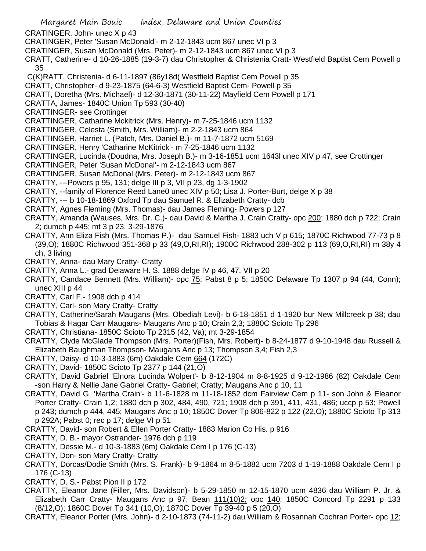- Margaret Main Bouic Index, Delaware and Union Counties CRATINGER, John- unec X p 43 CRATINGER, Peter 'Susan McDonald'- m 2-12-1843 ucm 867 unec VI p 3 CRATINGER, Susan McDonald (Mrs. Peter)- m 2-12-1843 ucm 867 unec VI p 3 CRATT, Catherine- d 10-26-1885 (19-3-7) dau Christopher & Christenia Cratt- Westfield Baptist Cem Powell p 35 C(K)RATT, Christenia- d 6-11-1897 (86y18d( Westfield Baptist Cem Powell p 35 CRATT, Christopher- d 9-23-1875 (64-6-3) Westfield Baptist Cem- Powell p 35 CRATT, Doretha (Mrs. Michael)- d 12-30-1871 (30-11-22) Mayfield Cem Powell p 171 CRATTA, James- 1840C Union Tp 593 (30-40) CRATTINGER- see Crottinger CRATTINGER, Catharine Mckitrick (Mrs. Henry)- m 7-25-1846 ucm 1132 CRATTINGER, Celesta (Smith, Mrs. William)- m 2-2-1843 ucm 864 CRATTINGER, Harriet L. (Patch, Mrs. Daniel B.)- m 11-7-1872 ucm 5169 CRATTINGER, Henry 'Catharine McKitrick'- m 7-25-1846 ucm 1132 CRATTINGER, Lucinda (Doudna, Mrs. Joseph B.)- m 3-16-1851 ucm 1643l unec XIV p 47, see Crottinger CRATTINGER, Peter 'Susan McDonal'- m 2-12-1843 ucm 867 CRATTINGER, Susan McDonal (Mrs. Peter)- m 2-12-1843 ucm 867 CRATTY, ---Powers p 95, 131; delge III p 3, VII p 23, dg 1-3-1902 CRATTY, --family of Florence Reed Lane0 unec XIV p 50; Lisa J. Porter-Burt, delge X p 38 CRATTY, --- b 10-18-1869 Oxford Tp dau Samuel R. & Elizabeth Cratty- dcb CRATTY, Agnes Fleming (Mrs. Thomas)- dau James Fleming- Powers p 127 CRATTY, Amanda (Wauses, Mrs. Dr. C.)- dau David & Martha J. Crain Cratty- opc 200; 1880 dch p 722; Crain 2; dumch p 445; mt 3 p 23, 3-29-1876 CRATTY, Ann Eliza Fish (Mrs. Thomas P.)- dau Samuel Fish- 1883 uch V p 615; 1870C Richwood 77-73 p 8 (39,O); 1880C Richwood 351-368 p 33 (49,O,RI,RI); 1900C Richwood 288-302 p 113 (69,O,RI,RI) m 38y 4 ch, 3 living CRATTY, Anna- dau Mary Cratty- Cratty CRATTY, Anna L.- grad Delaware H. S. 1888 delge IV p 46, 47, VII p 20 CRATTY, Candace Bennett (Mrs. William)- opc 75; Pabst 8 p 5; 1850C Delaware Tp 1307 p 94 (44, Conn); unec XIII p 44 CRATTY, Carl F.- 1908 dch p 414 CRATTY, Carl- son Mary Cratty- Cratty CRATTY, Catherine/Sarah Maugans (Mrs. Obediah Levi)- b 6-18-1851 d 1-1920 bur New Millcreek p 38; dau Tobias & Hagar Carr Maugans- Maugans Anc p 10; Crain 2,3; 1880C Scioto Tp 296 CRATTY, Christiana- 1850C Scioto Tp 2315 (42, Va); mt 3-29-1854 CRATTY, Clyde McGlade Thompson (Mrs. Porter)(Fish, Mrs. Robert)- b 8-24-1877 d 9-10-1948 dau Russell & Elizabeth Baughman Thompson- Maugans Anc p 13; Thompson 3,4; Fish 2,3 CRATTY, Daisy- d 10-3-1883 (6m) Oakdale Cem 664 (172C)
- CRATTY, David- 1850C Scioto Tp 2377 p 144 (21,O)
- CRATTY, David Gabriel 'Elnora Lucinda Wolpert'- b 8-12-1904 m 8-8-1925 d 9-12-1986 (82) Oakdale Cem -son Harry & Nellie Jane Gabriel Cratty- Gabriel; Cratty; Maugans Anc p 10, 11
- CRATTY, David G. 'Martha Crain'- b 11-6-1828 m 11-18-1852 dcm Fairview Cem p 11- son John & Eleanor Porter Cratty- Crain 1,2; 1880 dch p 302, 484, 490, 721; 1908 dch p 391, 411, 431, 486; uccp p 53; Powell p 243; dumch p 444, 445; Maugans Anc p 10; 1850C Dover Tp 806-822 p 122 (22,O); 1880C Scioto Tp 313 p 292A; Pabst 0; rec p 17; delge VI p 51
- CRATTY, David- son Robert & Ellen Porter Cratty- 1883 Marion Co His. p 916
- CRATTY, D. B.- mayor Ostrander- 1976 dch p 119
- CRATTY, Dessie M.- d 10-3-1883 (6m) Oakdale Cem I p 176 (C-13)
- CRATTY, Don- son Mary Cratty- Cratty
- CRATTY, Dorcas/Dodie Smith (Mrs. S. Frank)- b 9-1864 m 8-5-1882 ucm 7203 d 1-19-1888 Oakdale Cem I p 176 (C-13)
- CRATTY, D. S.- Pabst Pion II p 172
- CRATTY, Eleanor Jane (Filler, Mrs. Davidson)- b 5-29-1850 m 12-15-1870 ucm 4836 dau William P. Jr. & Elizabeth Carr Cratty- Maugans Anc p 97; Bean 111(10)2; opc 140; 1850C Concord Tp 2291 p 133 (8/12,O); 1860C Dover Tp 341 (10,O); 1870C Dover Tp 39-40 p 5 (20,O)
- CRATTY, Eleanor Porter (Mrs. John)- d 2-10-1873 (74-11-2) dau William & Rosannah Cochran Porter- opc 12;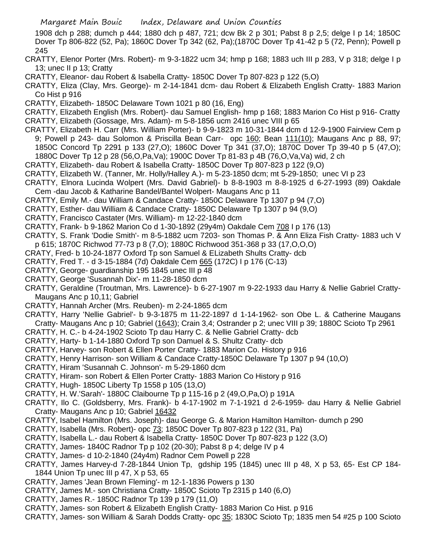1908 dch p 288; dumch p 444; 1880 dch p 487, 721; dcw Bk 2 p 301; Pabst 8 p 2,5; delge I p 14; 1850C Dover Tp 806-822 (52, Pa); 1860C Dover Tp 342 (62, Pa);(1870C Dover Tp 41-42 p 5 (72, Penn); Powell p 245

- CRATTY, Elenor Porter (Mrs. Robert)- m 9-3-1822 ucm 34; hmp p 168; 1883 uch III p 283, V p 318; delge I p 13; unec II p 13; Cratty
- CRATTY, Eleanor- dau Robert & Isabella Cratty- 1850C Dover Tp 807-823 p 122 (5,O)
- CRATTY, Eliza (Clay, Mrs. George)- m 2-14-1841 dcm- dau Robert & Elizabeth English Cratty- 1883 Marion Co Hist p 916
- CRATTY, Elizabeth- 1850C Delaware Town 1021 p 80 (16, Eng)
- CRATTY, Elizabeth English (Mrs. Robert)- dau Samuel English- hmp p 168; 1883 Marion Co Hist p 916- Cratty CRATTY, Elizabeth (Gossage, Mrs. Adam)- m 5-8-1856 ucm 2416 unec VIII p 65
- CRATTY, Elizabeth H. Carr (Mrs. William Porter)- b 9-9-1823 m 10-31-1844 dcm d 12-9-1900 Fairview Cem p 9; Powell p 243- dau Solomon & Priscilla Bean Carr- opc 160; Bean 111(10); Maugans Anc p 88, 97; 1850C Concord Tp 2291 p 133 (27,O); 1860C Dover Tp 341 (37,O); 1870C Dover Tp 39-40 p 5 (47,O);
- 1880C Dover Tp 12 p 28 (56,O,Pa,Va); 1900C Dover Tp 81-83 p 4B (76,O,Va,Va) wid, 2 ch
- CRATTY, Elizabeth- dau Robert & Isabella Cratty- 1850C Dover Tp 807-823 p 122 (9,O)
- CRATTY, Elizabeth W. (Tanner, Mr. Holly/Halley A.)- m 5-23-1850 dcm; mt 5-29-1850; unec VI p 23
- CRATTY, Elnora Lucinda Wolpert (Mrs. David Gabriel)- b 8-8-1903 m 8-8-1925 d 6-27-1993 (89) Oakdale Cem -dau Jacob & Katharine Bandel/Bantel Wolpert- Maugans Anc p 11
- CRATTY, Emily M.- dau William & Candace Cratty- 1850C Delaware Tp 1307 p 94 (7,O)
- CRATTY, Esther- dau William & Candace Cratty- 1850C Delaware Tp 1307 p 94 (9,O)
- CRATTY, Francisco Castater (Mrs. William)- m 12-22-1840 dcm
- CRATTY, Frank- b 9-1862 Marion Co d 1-30-1892 (29y4m) Oakdale Cem 708 I p 176 (13)
- CRATTY, S. Frank 'Dodie Smith'- m 8-5-1882 ucm 7203- son Thomas P. & Ann Eliza Fish Cratty- 1883 uch V
- p 615; 1870C Richwod 77-73 p 8 (7,O); 1880C Richwood 351-368 p 33 (17,O,O,O)
- CRATY, Fred- b 10-24-1877 Oxford Tp son Samuel & ELizabeth Shults Cratty- dcb
- CRATTY, Fred T. d 3-15-1884 (7d) Oakdale Cem 665 (172C) I p 176 (C-13)
- CRATTY, George- guardianship 195 1845 unec III p 48
- CRATTY, George 'Susannah Dix'- m 11-28-1850 dcm
- CRATTY, Geraldine (Troutman, Mrs. Lawrence)- b 6-27-1907 m 9-22-1933 dau Harry & Nellie Gabriel Cratty-Maugans Anc p 10,11; Gabriel
- CRATTY, Hannah Archer (Mrs. Reuben)- m 2-24-1865 dcm
- CRATTY, Harry 'Nellie Gabriel'- b 9-3-1875 m 11-22-1897 d 1-14-1962- son Obe L. & Catherine Maugans Cratty- Maugans Anc p 10; Gabriel (1643); Crain 3,4; Ostrander p 2; unec VIII p 39; 1880C Scioto Tp 2961
- CRATTY, H. C.- b 4-24-1902 Scioto Tp dau Harry C. & Nellie Gabriel Cratty- dcb
- CRATTY, Harty- b 1-14-1880 Oxford Tp son Damuel & S. Shultz Cratty- dcb
- CRATTY, Harvey- son Robert & Ellen Porter Cratty- 1883 Marion Co. History p 916
- CRATTY, Henry Harrison- son William & Candace Cratty-1850C Delaware Tp 1307 p 94 (10,O)
- CRATTY, Hiram 'Susannah C. Johnson'- m 5-29-1860 dcm
- CRATTY, Hiram- son Robert & Ellen Porter Cratty- 1883 Marion Co History p 916
- CRATTY, Hugh- 1850C Liberty Tp 1558 p 105 (13,O)
- CRATTY, H. W.'Sarah'- 1880C Claibourne Tp p 115-16 p 2 (49,O,Pa,O) p 191A
- CRATTY, Ilo C. (Goldsberry, Mrs. Frank)- b 4-17-1902 m 7-1-1921 d 2-6-1959- dau Harry & Nellie Gabriel Cratty- Maugans Anc p 10; Gabriel 16432
- CRATTY, Isabel Hamilton (Mrs. Joseph)- dau George G. & Marion Hamilton Hamilton- dumch p 290
- CRATTY, Isabella (Mrs. Robert)- opc 73; 1850C Dover Tp 807-823 p 122 (31, Pa)
- CRATTY, Isabella L.- dau Robert & Isabella Cratty- 1850C Dover Tp 807-823 p 122 (3,O)
- CRATTY, James- 1840C Radnor Tp p 102 (20-30); Pabst 8 p 4; delge IV p 4
- CRATTY, James- d 10-2-1840 (24y4m) Radnor Cem Powell p 228
- CRATTY, James Harvey-d 7-28-1844 Union Tp, gdship 195 (1845) unec III p 48, X p 53, 65- Est CP 184- 1844 Union Tp unec III p 47, X p 53, 65
- CRATTY, James 'Jean Brown Fleming'- m 12-1-1836 Powers p 130
- CRATTY, James M.- son Christiana Cratty- 1850C Scioto Tp 2315 p 140 (6,O)
- CRATTY, James R.- 1850C Radnor Tp 139 p 179 (11,O)
- CRATTY, James- son Robert & Elizabeth English Cratty- 1883 Marion Co Hist. p 916
- CRATTY, James- son William & Sarah Dodds Cratty- opc 35; 1830C Scioto Tp; 1835 men 54 #25 p 100 Scioto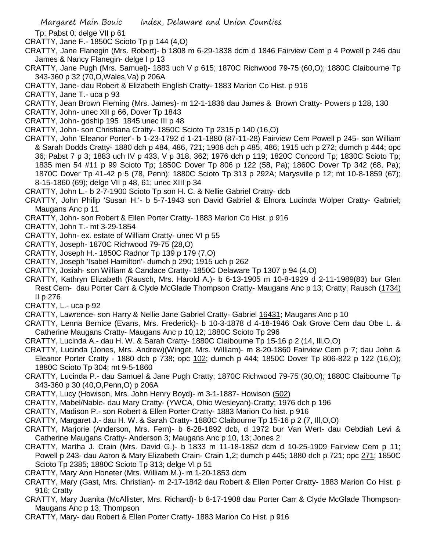Tp; Pabst 0; delge VII p 61

- CRATTY, Jane F.- 1850C Scioto Tp p 144 (4,O)
- CRATTY, Jane Flanegin (Mrs. Robert)- b 1808 m 6-29-1838 dcm d 1846 Fairview Cem p 4 Powell p 246 dau James & Nancy Flanegin- delge I p 13
- CRATTY, Jane Pugh (Mrs. Samuel)- 1883 uch V p 615; 1870C Richwood 79-75 (60,O); 1880C Claibourne Tp 343-360 p 32 (70,O,Wales,Va) p 206A
- CRATTY, Jane- dau Robert & Elizabeth English Cratty- 1883 Marion Co Hist. p 916
- CRATTY, Jane T.- uca p 93
- CRATTY, Jean Brown Fleming (Mrs. James)- m 12-1-1836 dau James & Brown Cratty- Powers p 128, 130
- CRATTY, John- unec XII p 66, Dover Tp 1843
- CRATTY, John- gdship 195 1845 unec III p 48
- CRATTY, John- son Christiana Cratty- 1850C Scioto Tp 2315 p 140 (16,O)
- CRATTY, John 'Eleanor Porter'- b 1-23-1792 d 1-21-1880 (87-11-28) Fairview Cem Powell p 245- son William & Sarah Dodds Cratty- 1880 dch p 484, 486, 721; 1908 dch p 485, 486; 1915 uch p 272; dumch p 444; opc 36; Pabst 7 p 3; 1883 uch IV p 433, V p 318, 362; 1976 dch p 119; 1820C Concord Tp; 1830C Scioto Tp; 1835 men 54 #11 p 99 Scioto Tp; 1850C Dover Tp 806 p 122 (58, Pa); 1860C Dover Tp 342 (68, Pa); 1870C Dover Tp 41-42 p 5 (78, Penn); 1880C Scioto Tp 313 p 292A; Marysville p 12; mt 10-8-1859 (67); 8-15-1860 (69); delge VII p 48, 61; unec XIII p 34
- CRATTY, John L.- b 2-7-1900 Scioto Tp son H. C. & Nellie Gabriel Cratty- dcb
- CRATTY, John Philip 'Susan H.'- b 5-7-1943 son David Gabriel & Elnora Lucinda Wolper Cratty- Gabriel; Maugans Anc p 11
- CRATTY, John- son Robert & Ellen Porter Cratty- 1883 Marion Co Hist. p 916
- CRATTY, John T.- mt 3-29-1854
- CRATTY, John- ex. estate of William Cratty- unec VI p 55
- CRATTY, Joseph- 1870C Richwood 79-75 (28,O)
- CRATTY, Joseph H.- 1850C Radnor Tp 139 p 179 (7,O)
- CRATTY, Joseph 'Isabel Hamilton'- dumch p 290; 1915 uch p 262
- CRATTY, Josiah- son William & Candace Cratty- 1850C Delaware Tp 1307 p 94 (4,O)
- CRATTY, Kathryn Elizabeth (Rausch, Mrs. Harold A.)- b 6-13-1905 m 10-8-1929 d 2-11-1989(83) bur Glen Rest Cem- dau Porter Carr & Clyde McGlade Thompson Cratty- Maugans Anc p 13; Cratty; Rausch (1734) II p 276
- CRATTY, L.- uca p 92
- CRATTY, Lawrence- son Harry & Nellie Jane Gabriel Cratty- Gabriel 16431; Maugans Anc p 10
- CRATTY, Lenna Bernice (Evans, Mrs. Frederick)- b 10-3-1878 d 4-18-1946 Oak Grove Cem dau Obe L. & Catherine Maugans Cratty- Maugans Anc p 10,12; 1880C Scioto Tp 296
- CRATTY, Lucinda A.- dau H. W. & Sarah Cratty- 1880C Claibourne Tp 15-16 p 2 (14, Ill,O,O)
- CRATTY, Lucinda (Jones, Mrs. Andrew)(Winget, Mrs. William)- m 8-20-1860 Fairview Cem p 7; dau John & Eleanor Porter Cratty - 1880 dch p 738; opc 102; dumch p 444; 1850C Dover Tp 806-822 p 122 (16,O); 1880C Scioto Tp 304; mt 9-5-1860
- CRATTY, Lucinda P.- dau Samuel & Jane Pugh Cratty; 1870C Richwood 79-75 (30,O); 1880C Claibourne Tp 343-360 p 30 (40,O,Penn,O) p 206A
- CRATTY, Lucy (Howison, Mrs. John Henry Boyd)- m 3-1-1887- Howison (502)
- CRATTY, Mabel/Nable- dau Mary Cratty- (YWCA, Ohio Wesleyan)-Cratty; 1976 dch p 196
- CRATTY, Madison P.- son Robert & Ellen Porter Cratty- 1883 Marion Co hist. p 916
- CRATTY, Margaret J.- dau H. W. & Sarah Cratty- 1880C Claibourne Tp 15-16 p 2 (7, Ill,O,O)
- CRATTY, Marjorie (Anderson, Mrs. Fern)- b 6-28-1892 dcb, d 1972 bur Van Wert- dau Oebdiah Levi & Catherine Maugans Cratty- Anderson 3; Maugans Anc p 10, 13; Jones 2
- CRATTY, Martha J. Crain (Mrs. David G.)- b 1833 m 11-18-1852 dcm d 10-25-1909 Fairview Cem p 11; Powell p 243- dau Aaron & Mary Elizabeth Crain- Crain 1,2; dumch p 445; 1880 dch p 721; opc 271; 1850C Scioto Tp 2385; 1880C Scioto Tp 313; delge VI p 51
- CRATTY, Mary Ann Honeter (Mrs. William M.)- m 1-20-1853 dcm
- CRATTY, Mary (Gast, Mrs. Christian)- m 2-17-1842 dau Robert & Ellen Porter Cratty- 1883 Marion Co Hist. p 916; Cratty
- CRATTY, Mary Juanita (McAllister, Mrs. Richard)- b 8-17-1908 dau Porter Carr & Clyde McGlade Thompson-Maugans Anc p 13; Thompson
- CRATTY, Mary- dau Robert & Ellen Porter Cratty- 1883 Marion Co Hist. p 916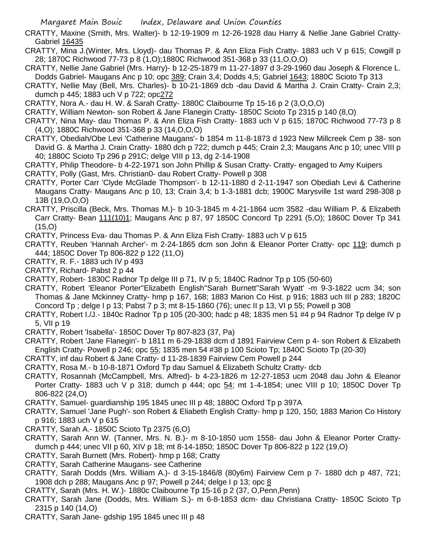- CRATTY, Maxine (Smith, Mrs. Walter)- b 12-19-1909 m 12-26-1928 dau Harry & Nellie Jane Gabriel Cratty-Gabriel 16435
- CRATTY, Mina J.(Winter, Mrs. Lloyd)- dau Thomas P. & Ann Eliza Fish Cratty- 1883 uch V p 615; Cowgill p 28; 1870C Richwood 77-73 p 8 (1,O);1880C Richwood 351-368 p 33 (11,O,O,O)
- CRATTY, Nellie Jane Gabriel (Mrs. Harry)- b 12-25-1879 m 11-27-1897 d 3-29-1960 dau Joseph & Florence L. Dodds Gabriel- Maugans Anc p 10; opc 389; Crain 3,4; Dodds 4,5; Gabriel 1643; 1880C Scioto Tp 313
- CRATTY, Nellie May (Bell, Mrs. Charles)- b 10-21-1869 dcb -dau David & Martha J. Crain Cratty- Crain 2,3; dumch p 445; 1883 uch V p 722; opc272
- CRATTY, Nora A.- dau H. W. & Sarah Cratty- 1880C Claibourne Tp 15-16 p 2 (3,O,O,O)
- CRATTY, William Newton- son Robert & Jane Flanegin Cratty- 1850C Scioto Tp 2315 p 140 (8,O)
- CRATTY, Nina May- dau Thomas P. & Ann Eliza Fish Cratty- 1883 uch V p 615; 1870C Richwood 77-73 p 8 (4,O); 1880C Richwood 351-368 p 33 (14,O,O,O)
- CRATTY, Obediah/Obe Levi 'Catherine Maugans'- b 1854 m 11-8-1873 d 1923 New Millcreek Cem p 38- son David G. & Martha J. Crain Cratty- 1880 dch p 722; dumch p 445; Crain 2,3; Maugans Anc p 10; unec VIII p 40; 1880C Scioto Tp 296 p 291C; delge VIII p 13, dg 2-14-1908
- CRATTY, Philip Theodore- b 4-22-1971 son John Phillip & Susan Cratty- Cratty- engaged to Amy Kuipers CRATTY, Polly (Gast, Mrs. Christian0- dau Robert Cratty- Powell p 308
- CRATTY, Porter Carr 'Clyde McGlade Thompson'- b 12-11-1880 d 2-11-1947 son Obediah Levi & Catherine Maugans Cratty- Maugans Anc p 10, 13; Crain 3,4; b 1-3-1881 dcb; 1900C Marysville 1st ward 298-308 p 13B (19,O,O,O)
- CRATTY, Priscilla (Beck, Mrs. Thomas M.)- b 10-3-1845 m 4-21-1864 ucm 3582 -dau William P. & Elizabeth Carr Cratty- Bean 111(10)1; Maugans Anc p 87, 97 1850C Concord Tp 2291 (5,O); 1860C Dover Tp 341 (15,O)

CRATTY, Princess Eva- dau Thomas P. & Ann Eliza Fish Cratty- 1883 uch V p 615

- CRATTY, Reuben 'Hannah Archer'- m 2-24-1865 dcm son John & Eleanor Porter Cratty- opc 119; dumch p 444; 1850C Dover Tp 806-822 p 122 (11,O)
- CRATTY, R. F.- 1883 uch IV p 493
- CRATTY, Richard- Pabst 2 p 44
- CRATTY, Robert- 1830C Radnor Tp delge III p 71, IV p 5; 1840C Radnor Tp p 105 (50-60)
- CRATTY, Robert 'Eleanor Porter''Elizabeth English''Sarah Burnett''Sarah Wyatt' -m 9-3-1822 ucm 34; son Thomas & Jane Mckinney Cratty- hmp p 167, 168; 1883 Marion Co Hist. p 916; 1883 uch III p 283; 1820C Concord Tp ; delge I p 13; Pabst 7 p 3; mt 8-15-1860 (76); unec II p 13, VI p 55; Powell p 308
- CRATTY, Robert I./J.- 1840c Radnor Tp p 105 (20-300; hadc p 48; 1835 men 51 #4 p 94 Radnor Tp delge IV p 5, VII p 19
- CRATTY, Robert 'Isabella'- 1850C Dover Tp 807-823 (37, Pa)
- CRATTY, Robert 'Jane Flanegin'- b 1811 m 6-29-1838 dcm d 1891 Fairview Cem p 4- son Robert & Elizabeth English Cratty- Powell p 246; opc 55; 1835 men 54 #38 p 100 Scioto Tp; 1840C Scioto Tp (20-30)
- CRATTY, inf dau Robert & Jane Cratty- d 11-28-1839 Fairview Cem Powell p 244
- CRATTY, Rosa M.- b 10-8-1871 Oxford Tp dau Samuel & Elizabeth Schultz Cratty- dcb
- CRATTY, Rosannah (McCampbell, Mrs. Alfred)- b 4-23-1826 m 12-27-1853 ucm 2048 dau John & Eleanor Porter Cratty- 1883 uch V p 318; dumch p 444; opc 54; mt 1-4-1854; unec VIII p 10; 1850C Dover Tp 806-822 (24,O)
- CRATTY, Samuel- guardianship 195 1845 unec III p 48; 1880C Oxford Tp p 397A
- CRATTY, Samuel 'Jane Pugh'- son Robert & Eliabeth English Cratty- hmp p 120, 150; 1883 Marion Co History p 916; 1883 uch V p 615
- CRATTY, Sarah A.- 1850C Scioto Tp 2375 (6,O)
- CRATTY, Sarah Ann W. (Tanner, Mrs. N. B.)- m 8-10-1850 ucm 1558- dau John & Eleanor Porter Crattydumch p 444; unec VII p 60, XIV p 18; mt 8-14-1850; 1850C Dover Tp 806-822 p 122 (19,O)
- CRATTY, Sarah Burnett (Mrs. Robert)- hmp p 168; Cratty
- CRATTY, Sarah Catherine Maugans- see Catherine
- CRATTY, Sarah Dodds (Mrs. William A.)- d 3-15-1846/8 (80y6m) Fairview Cem p 7- 1880 dch p 487, 721; 1908 dch p 288; Maugans Anc p 97; Powell p 244; delge I p 13; opc 8
- CRATTY, Sarah (Mrs. H. W.)- 1880c Claibourne Tp 15-16 p 2 (37, O,Penn,Penn)
- CRATTY, Sarah Jane (Dodds, Mrs. William S.)- m 6-8-1853 dcm- dau Christiana Cratty- 1850C Scioto Tp 2315 p 140 (14,O)
- CRATTY, Sarah Jane- gdship 195 1845 unec III p 48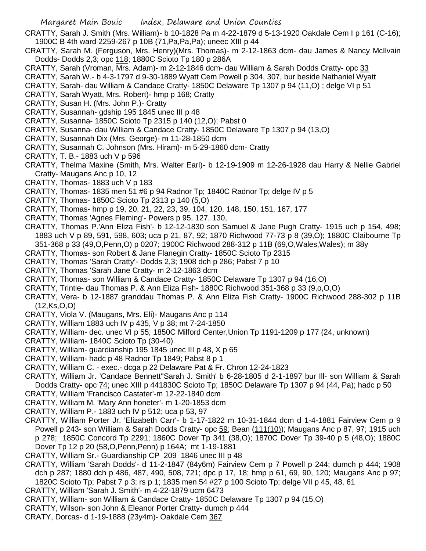CRATTY, Sarah J. Smith (Mrs. William)- b 10-1828 Pa m 4-22-1879 d 5-13-1920 Oakdale Cem I p 161 (C-16); 1900C B 4th ward 2259-267 p 10B (71,Pa,Pa,Pa); uneec XIII p 44

CRATTY, Sarah M. (Ferguson, Mrs. Henry)(Mrs. Thomas)- m 2-12-1863 dcm- dau James & Nancy McIlvain Dodds- Dodds 2,3; opc 118; 1880C Scioto Tp 180 p 286A

- CRATTY, Sarah (Vroman, Mrs. Adam)- m 2-12-1846 dcm- dau William & Sarah Dodds Cratty- opc 33
- CRATTY, Sarah W.- b 4-3-1797 d 9-30-1889 Wyatt Cem Powell p 304, 307, bur beside Nathaniel Wyatt
- CRATTY, Sarah- dau William & Candace Cratty- 1850C Delaware Tp 1307 p 94 (11,O) ; delge VI p 51
- CRATTY, Sarah Wyatt, Mrs. Robert)- hmp p 168; Cratty
- CRATTY, Susan H. (Mrs. John P.)- Cratty
- CRATTY, Susannah- gdship 195 1845 unec III p 48
- CRATTY, Susanna- 1850C Scioto Tp 2315 p 140 (12,O); Pabst 0
- CRATTY, Susanna- dau William & Candace Cratty- 1850C Delaware Tp 1307 p 94 (13,O)
- CRATTY, Susannah Dix (Mrs. George)- m 11-28-1850 dcm
- CRATTY, Susannah C. Johnson (Mrs. Hiram)- m 5-29-1860 dcm- Cratty
- CRATTY, T. B.- 1883 uch V p 596
- CRATTY, Thelma Maxine (Smith, Mrs. Walter Earl)- b 12-19-1909 m 12-26-1928 dau Harry & Nellie Gabriel Cratty- Maugans Anc p 10, 12
- CRATTY, Thomas- 1883 uch V p 183
- CRATTY, Thomas- 1835 men 51 #6 p 94 Radnor Tp; 1840C Radnor Tp; delge IV p 5
- CRATTY, Thomas- 1850C Scioto Tp 2313 p 140 (5,O)
- CRATTY, Thomas- hmp p 19, 20, 21, 22, 23, 39, 104, 120, 148, 150, 151, 167, 177
- CRATTY, Thomas 'Agnes Fleming'- Powers p 95, 127, 130,
- CRATTY, Thomas P.'Ann Eliza Fish'- b 12-12-1830 son Samuel & Jane Pugh Cratty- 1915 uch p 154, 498; 1883 uch V p 89, 591, 598, 603; uca p 21, 87, 92; 1870 Richwood 77-73 p 8 (39,O); 1880C Claibourne Tp 351-368 p 33 (49,O,Penn,O) p 0207; 1900C Richwood 288-312 p 11B (69,O,Wales,Wales); m 38y
- CRATTY, Thomas- son Robert & Jane Flanegin Cratty- 1850C Scioto Tp 2315
- CRATTY, Thomas 'Sarah Cratty'- Dodds 2,3; 1908 dch p 286; Pabst 7 p 10
- CRATTY, Thomas 'Sarah Jane Cratty- m 2-12-1863 dcm
- CRATTY, Thomas- son William & Candace Cratty- 1850C Delaware Tp 1307 p 94 (16,O)
- CRATTY, Trintie- dau Thomas P. & Ann Eliza Fish- 1880C Richwood 351-368 p 33 (9,o,O,O)
- CRATTY, Vera- b 12-1887 granddau Thomas P. & Ann Eliza Fish Cratty- 1900C Richwood 288-302 p 11B (12,Ks,O,O)
- CRATTY, Viola V. (Maugans, Mrs. Eli)- Maugans Anc p 114
- CRATTY, William 1883 uch IV p 435, V p 38; mt 7-24-1850
- CRATTY, William- dec. unec VI p 55; 1850C Milford Center,Union Tp 1191-1209 p 177 (24, unknown)
- CRATTY, William- 1840C Scioto Tp (30-40)
- CRATTY, William- guardianship 195 1845 unec III p 48, X p 65
- CRATTY, William- hadc p 48 Radnor Tp 1849; Pabst 8 p 1
- CRATTY, William C. exec.- dcga p 22 Delaware Pat & Fr. Chron 12-24-1823
- CRATTY, William Jr. 'Candace Bennett''Sarah J. Smith' b 6-28-1805 d 2-1-1897 bur Ill- son William & Sarah Dodds Cratty- opc 74; unec XIII p 441830C Scioto Tp; 1850C Delaware Tp 1307 p 94 (44, Pa); hadc p 50
- CRATTY, William 'Francisco Castater'-m 12-22-1840 dcm
- CRATTY, William M. 'Mary Ann honeter'- m 1-20-1853 dcm
- CRATTY, William P.- 1883 uch IV p 512; uca p 53, 97
- CRATTY, William Porter Jr. 'Elizabeth Carr'- b 1-17-1822 m 10-31-1844 dcm d 1-4-1881 Fairview Cem p 9 Powell p 243- son William & Sarah Dodds Cratty- opc 59; Bean (111(10)); Maugans Anc p 87, 97; 1915 uch p 278; 1850C Concord Tp 2291; 1860C Dover Tp 341 (38,O); 1870C Dover Tp 39-40 p 5 (48,O); 1880C Dover Tp 12 p 20 (58,O,Penn,Penn) p 164A; mt 1-19-1881
- CRATTY, William Sr.- Guardianship CP 209 1846 unec III p 48
- CRATTY, William 'Sarah Dodds'- d 11-2-1847 (84y6m) Fairview Cem p 7 Powell p 244; dumch p 444; 1908 dch p 287; 1880 dch p 486, 487, 490, 508, 721; dpc p 17, 18; hmp p 61, 69, 90, 120; Maugans Anc p 97; 1820C Scioto Tp; Pabst 7 p 3; rs p 1; 1835 men 54 #27 p 100 Scioto Tp; delge VII p 45, 48, 61
- CRATTY, William 'Sarah J. Smith'- m 4-22-1879 ucm 6473
- CRATTY, William- son William & Candace Cratty- 1850C Delaware Tp 1307 p 94 (15,O)
- CRATTY, Wilson- son John & Eleanor Porter Cratty- dumch p 444
- CRATY, Dorcas- d 1-19-1888 (23y4m)- Oakdale Cem 367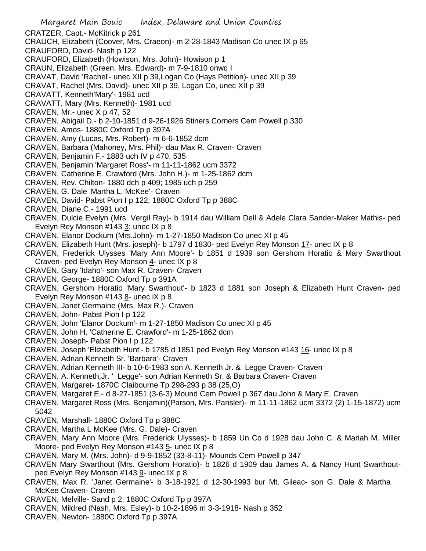- Margaret Main Bouic Index, Delaware and Union Counties CRATZER, Capt.- McKitrick p 261 CRAUCH, Elizabeth (Coover, Mrs. Craeon)- m 2-28-1843 Madison Co unec IX p 65 CRAUFORD, David- Nash p 122 CRAUFORD, Elizabeth (Howison, Mrs. John)- Howison p 1 CRAUN, Elizabeth (Green, Mrs. Edward)- m 7-9-1810 onwq I CRAVAT, David 'Rachel'- unec XII p 39,Logan Co (Hays Petition)- unec XII p 39 CRAVAT, Rachel (Mrs. David)- unec XII p 39, Logan Co, unec XII p 39 CRAVATT, Kenneth'Mary'- 1981 ucd CRAVATT, Mary (Mrs. Kenneth)- 1981 ucd CRAVEN, Mr.- unec X p 47, 52 CRAVEN, Abigail D.- b 2-10-1851 d 9-26-1926 Stiners Corners Cem Powell p 330 CRAVEN, Amos- 1880C Oxford Tp p 397A CRAVEN, Amy (Lucas, Mrs. Robert)- m 6-6-1852 dcm CRAVEN, Barbara (Mahoney, Mrs. Phil)- dau Max R. Craven- Craven CRAVEN, Benjamin F.- 1883 uch IV p 470, 535 CRAVEN, Benjamin 'Margaret Ross'- m 11-11-1862 ucm 3372 CRAVEN, Catherine E. Crawford (Mrs. John H.)- m 1-25-1862 dcm CRAVEN, Rev. Chilton- 1880 dch p 409; 1985 uch p 259 CRAVEN, G. Dale 'Martha L. McKee'- Craven CRAVEN, David- Pabst Pion I p 122; 1880C Oxford Tp p 388C CRAVEN, Diane C.- 1991 ucd CRAVEN, Dulcie Evelyn (Mrs. Vergil Ray)- b 1914 dau William Dell & Adele Clara Sander-Maker Mathis- ped Evelyn Rey Monson #143 3; unec IX p 8 CRAVEN, Elanor Dockum (Mrs.John)- m 1-27-1850 Madison Co unec XI p 45 CRAVEN, Elizabeth Hunt (Mrs. joseph)- b 1797 d 1830- ped Evelyn Rey Monson 17- unec IX p 8 CRAVEN, Frederick Ulysses 'Mary Ann Moore'- b 1851 d 1939 son Gershom Horatio & Mary Swarthout Craven- ped Evelyn Rey Monson 4- unec IX p 8 CRAVEN, Gary 'Idaho'- son Max R. Craven- Craven CRAVEN, George- 1880C Oxford Tp p 391A CRAVEN, Gershom Horatio 'Mary Swarthout'- b 1823 d 1881 son Joseph & Elizabeth Hunt Craven- ped Evelyn Rey Monson  $\#143$   $\underline{8}$ - unec iX p 8 CRAVEN, Janet Germaine (Mrs. Max R.)- Craven CRAVEN, John- Pabst Pion I p 122 CRAVEN, John 'Elanor Dockum'- m 1-27-1850 Madison Co unec XI p 45 CRAVEN, John H. 'Catherine E. Crawford'- m 1-25-1862 dcm CRAVEN, Joseph- Pabst Pion I p 122 CRAVEN, Joseph 'Elizabeth Hunt'- b 1785 d 1851 ped Evelyn Rey Monson #143 16- unec IX p 8 CRAVEN, Adrian Kenneth Sr. 'Barbara'- Craven CRAVEN, Adrian Kenneth III- b 10-6-1983 son A. Kenneth Jr. & Legge Craven- Craven CRAVEN, A. Kenneth,Jr. ' Legge'- son Adrian Kenneth Sr. & Barbara Craven- Craven
- CRAVEN, Margaret- 1870C Claibourne Tp 298-293 p 38 (25,O)
- CRAVEN, Margaret E.- d 8-27-1851 (3-6-3) Mound Cem Powell p 367 dau John & Mary E. Craven
- CRAVEN, Margaret Ross (Mrs. Benjamin)(Parson, Mrs. Pansler)- m 11-11-1862 ucm 3372 (2) 1-15-1872) ucm 5042
- CRAVEN, Marshall- 1880C Oxford Tp p 388C
- CRAVEN, Martha L McKee (Mrs. G. Dale)- Craven
- CRAVEN, Mary Ann Moore (Mrs. Frederick Ulysses)- b 1859 Un Co d 1928 dau John C. & Mariah M. Miller Moore- ped Evelyn Rey Monson #143 5- unec IX p 8
- CRAVEN, Mary M. (Mrs. John)- d 9-9-1852 (33-8-11)- Mounds Cem Powell p 347
- CRAVEN Mary Swarthout (Mrs. Gershom Horatio)- b 1826 d 1909 dau James A. & Nancy Hunt Swarthoutped Evelyn Rey Monson #143 9- unec IX p 8
- CRAVEN, Max R. 'Janet Germaine'- b 3-18-1921 d 12-30-1993 bur Mt. Gileac- son G. Dale & Martha McKee Craven- Craven
- CRAVEN, Melville- Sand p 2; 1880C Oxford Tp p 397A
- CRAVEN, Mildred (Nash, Mrs. Esley)- b 10-2-1896 m 3-3-1918- Nash p 352
- CRAVEN, Newton- 1880C Oxford Tp p 397A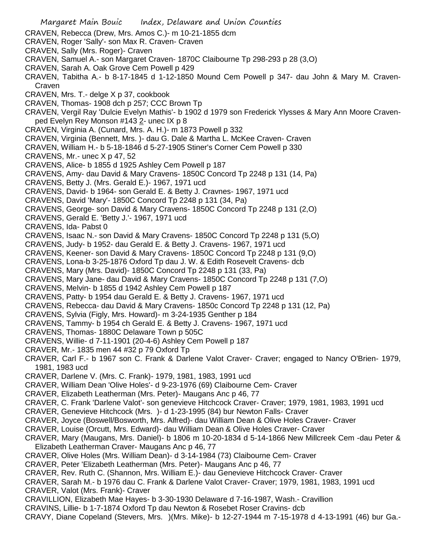Margaret Main Bouic Index, Delaware and Union Counties CRAVEN, Rebecca (Drew, Mrs. Amos C.)- m 10-21-1855 dcm CRAVEN, Roger 'Sally'- son Max R. Craven- Craven CRAVEN, Sally (Mrs. Roger)- Craven CRAVEN, Samuel A.- son Margaret Craven- 1870C Claibourne Tp 298-293 p 28 (3,O) CRAVEN, Sarah A. Oak Grove Cem Powell p 429 CRAVEN, Tabitha A.- b 8-17-1845 d 1-12-1850 Mound Cem Powell p 347- dau John & Mary M. Craven-Craven CRAVEN, Mrs. T.- delge X p 37, cookbook CRAVEN, Thomas- 1908 dch p 257; CCC Brown Tp CRAVEN, Vergil Ray 'Dulcie Evelyn Mathis'- b 1902 d 1979 son Frederick Ylysses & Mary Ann Moore Cravenped Evelyn Rey Monson #143 2- unec IX p 8 CRAVEN, Virginia A. (Cunard, Mrs. A. H.)- m 1873 Powell p 332 CRAVEN, Virginia (Bennett, Mrs. )- dau G. Dale & Martha L. McKee Craven- Craven CRAVEN, William H.- b 5-18-1846 d 5-27-1905 Stiner's Corner Cem Powell p 330 CRAVENS, Mr.- unec X p 47, 52 CRAVENS, Alice- b 1855 d 1925 Ashley Cem Powell p 187 CRAVENS, Amy- dau David & Mary Cravens- 1850C Concord Tp 2248 p 131 (14, Pa) CRAVENS, Betty J. (Mrs. Gerald E.)- 1967, 1971 ucd CRAVENS, David- b 1964- son Gerald E. & Betty J. Cravnes- 1967, 1971 ucd CRAVENS, David 'Mary'- 1850C Concord Tp 2248 p 131 (34, Pa) CRAVENS, George- son David & Mary Cravens- 1850C Concord Tp 2248 p 131 (2,O) CRAVENS, Gerald E. 'Betty J.'- 1967, 1971 ucd CRAVENS, Ida- Pabst 0 CRAVENS, Isaac N.- son David & Mary Cravens- 1850C Concord Tp 2248 p 131 (5,O) CRAVENS, Judy- b 1952- dau Gerald E. & Betty J. Cravens- 1967, 1971 ucd CRAVENS, Keener- son David & Mary Cravens- 1850C Concord Tp 2248 p 131 (9,O) CRAVENS, Lona-b 3-25-1876 Oxford Tp dau J. W. & Edith Rosevelt Cravens- dcb CRAVENS, Mary (Mrs. David)- 1850C Concord Tp 2248 p 131 (33, Pa) CRAVENS, Mary Jane- dau David & Mary Cravens- 1850C Concord Tp 2248 p 131 (7,O) CRAVENS, Melvin- b 1855 d 1942 Ashley Cem Powell p 187 CRAVENS, Patty- b 1954 dau Gerald E. & Betty J. Cravens- 1967, 1971 ucd CRAVENS, Rebecca- dau David & Mary Cravens- 1850c Concord Tp 2248 p 131 (12, Pa) CRAVENS, Sylvia (Figly, Mrs. Howard)- m 3-24-1935 Genther p 184 CRAVENS, Tammy- b 1954 ch Gerald E. & Betty J. Cravens- 1967, 1971 ucd CRAVENS, Thomas- 1880C Delaware Town p 505C CRAVENS, Willie- d 7-11-1901 (20-4-6) Ashley Cem Powell p 187 CRAVER, Mr.- 1835 men 44 #32 p 79 Oxford Tp CRAVER, Carl F.- b 1967 son C. Frank & Darlene Valot Craver- Craver; engaged to Nancy O'Brien- 1979, 1981, 1983 ucd CRAVER, Darlene V. (Mrs. C. Frank)- 1979, 1981, 1983, 1991 ucd CRAVER, William Dean 'Olive Holes'- d 9-23-1976 (69) Claibourne Cem- Craver CRAVER, Elizabeth Leatherman (Mrs. Peter)- Maugans Anc p 46, 77 CRAVER, C. Frank 'Darlene Valot'- son genevieve Hitchcock Craver- Craver; 1979, 1981, 1983, 1991 ucd CRAVER, Genevieve Hitchcock (Mrs. )- d 1-23-1995 (84) bur Newton Falls- Craver CRAVER, Joyce (Boswell/Bosworth, Mrs. Alfred)- dau William Dean & Olive Holes Craver- Craver CRAVER, Louise (Orcutt, Mrs. Edward)- dau William Dean & Olive Holes Craver- Craver CRAVER, Mary (Maugans, Mrs. Daniel)- b 1806 m 10-20-1834 d 5-14-1866 New Millcreek Cem -dau Peter & Elizabeth Leatherman Craver- Maugans Anc p 46, 77 CRAVER, Olive Holes (Mrs. William Dean)- d 3-14-1984 (73) Claibourne Cem- Craver CRAVER, Peter 'Elizabeth Leatherman (Mrs. Peter)- Maugans Anc p 46, 77 CRAVER, Rev. Ruth C. (Shannon, Mrs. William E.)- dau Genevieve Hitchcock Craver- Craver CRAVER, Sarah M.- b 1976 dau C. Frank & Darlene Valot Craver- Craver; 1979, 1981, 1983, 1991 ucd CRAVER, Valot (Mrs. Frank)- Craver CRAVILLION, Elizabeth Mae Hayes- b 3-30-1930 Delaware d 7-16-1987, Wash.- Cravillion CRAVINS, Lillie- b 1-7-1874 Oxford Tp dau Newton & Rosebet Roser Cravins- dcb CRAVY, Diane Copeland (Stevers, Mrs. )(Mrs. Mike)- b 12-27-1944 m 7-15-1978 d 4-13-1991 (46) bur Ga.-